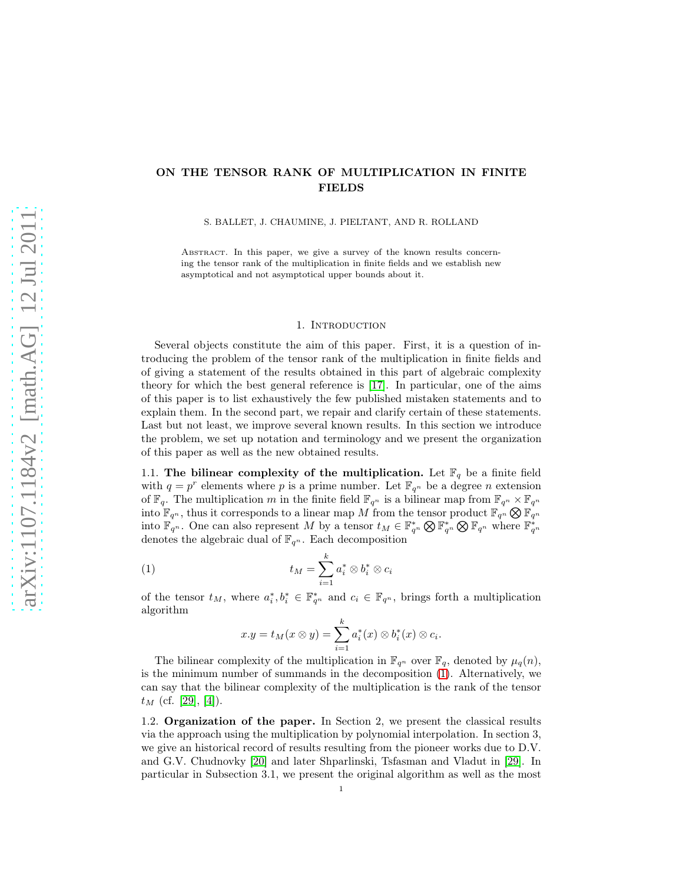# ON THE TENSOR RANK OF MULTIPLICATION IN FINITE FIELDS

S. BALLET, J. CHAUMINE, J. PIELTANT, AND R. ROLLAND

ABSTRACT. In this paper, we give a survey of the known results concerning the tensor rank of the multiplication in finite fields and we establish new asymptotical and not asymptotical upper bounds about it.

## 1. Introduction

Several objects constitute the aim of this paper. First, it is a question of introducing the problem of the tensor rank of the multiplication in finite fields and of giving a statement of the results obtained in this part of algebraic complexity theory for which the best general reference is [\[17\]](#page-60-0). In particular, one of the aims of this paper is to list exhaustively the few published mistaken statements and to explain them. In the second part, we repair and clarify certain of these statements. Last but not least, we improve several known results. In this section we introduce the problem, we set up notation and terminology and we present the organization of this paper as well as the new obtained results.

1.1. The bilinear complexity of the multiplication. Let  $\mathbb{F}_q$  be a finite field with  $q = p^r$  elements where p is a prime number. Let  $\mathbb{F}_{q^n}$  be a degree n extension of  $\mathbb{F}_q$ . The multiplication m in the finite field  $\mathbb{F}_{q^n}$  is a bilinear map from  $\mathbb{F}_{q^n} \times \mathbb{F}_{q^n}$ into  $\mathbb{F}_{q^n}$ , thus it corresponds to a linear map M from the tensor product  $\mathbb{F}_{q^n} \otimes \mathbb{F}_{q^n}$ into  $\mathbb{F}_{q^n}$ . One can also represent M by a tensor  $t_M \in \mathbb{F}_{q^n}^* \otimes \mathbb{F}_{q^n} \otimes \mathbb{F}_{q^n}$  where  $\mathbb{F}_{q^n}^*$ denotes the algebraic dual of  $\mathbb{F}_{q^n}.$  Each decomposition

$$
(1) \t t_M = \sum_{i=1}^k a_i^* \otimes b_i^* \otimes c_i
$$

of the tensor  $t_M$ , where  $a_i^*, b_i^* \in \mathbb{F}_{q^n}^*$  and  $c_i \in \mathbb{F}_{q^n}$ , brings forth a multiplication algorithm

$$
x.y = t_M(x \otimes y) = \sum_{i=1}^k a_i^*(x) \otimes b_i^*(x) \otimes c_i.
$$

The bilinear complexity of the multiplication in  $\mathbb{F}_{q^n}$  over  $\mathbb{F}_q$ , denoted by  $\mu_q(n)$ , is the minimum number of summands in the decomposition [\(1\)](#page-31-0). Alternatively, we can say that the bilinear complexity of the multiplication is the rank of the tensor  $t_M$  (cf. [\[29\]](#page-60-1), [\[4\]](#page-59-0)).

1.2. Organization of the paper. In Section 2, we present the classical results via the approach using the multiplication by polynomial interpolation. In section 3, we give an historical record of results resulting from the pioneer works due to D.V. and G.V. Chudnovky [\[20\]](#page-60-2) and later Shparlinski, Tsfasman and Vladut in [\[29\]](#page-60-1). In particular in Subsection 3.1, we present the original algorithm as well as the most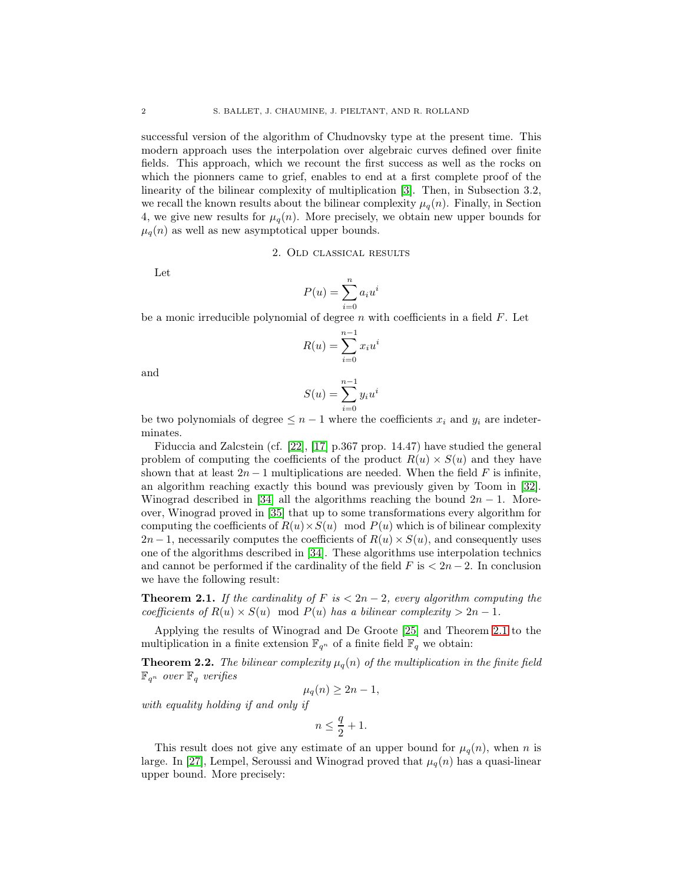successful version of the algorithm of Chudnovsky type at the present time. This modern approach uses the interpolation over algebraic curves defined over finite fields. This approach, which we recount the first success as well as the rocks on which the pionners came to grief, enables to end at a first complete proof of the linearity of the bilinear complexity of multiplication [\[3\]](#page-59-1). Then, in Subsection 3.2, we recall the known results about the bilinear complexity  $\mu_q(n)$ . Finally, in Section 4, we give new results for  $\mu_q(n)$ . More precisely, we obtain new upper bounds for  $\mu_q(n)$  as well as new asymptotical upper bounds.

2. Old classical results

Let

$$
P(u) = \sum_{i=0}^{n} a_i u^i
$$

be a monic irreducible polynomial of degree  $n$  with coefficients in a field  $F$ . Let

$$
R(u) = \sum_{i=0}^{n-1} x_i u^i
$$

and

$$
S(u) = \sum_{i=0}^{n-1} y_i u^i
$$

be two polynomials of degree  $\leq n-1$  where the coefficients  $x_i$  and  $y_i$  are indeterminates.

Fiduccia and Zalcstein (cf. [\[22\]](#page-60-3), [\[17\]](#page-60-0) p.367 prop. 14.47) have studied the general problem of computing the coefficients of the product  $R(u) \times S(u)$  and they have shown that at least  $2n-1$  multiplications are needed. When the field F is infinite, an algorithm reaching exactly this bound was previously given by Toom in [\[32\]](#page-61-0). Winograd described in [\[34\]](#page-61-1) all the algorithms reaching the bound  $2n - 1$ . Moreover, Winograd proved in [\[35\]](#page-61-2) that up to some transformations every algorithm for computing the coefficients of  $R(u) \times S(u) \mod P(u)$  which is of bilinear complexity  $2n-1$ , necessarily computes the coefficients of  $R(u) \times S(u)$ , and consequently uses one of the algorithms described in [\[34\]](#page-61-1). These algorithms use interpolation technics and cannot be performed if the cardinality of the field  $F$  is  $\lt 2n-2$ . In conclusion we have the following result:

**Theorem 2.1.** If the cardinality of F is  $\lt 2n-2$ , every algorithm computing the coefficients of  $R(u) \times S(u) \mod P(u)$  has a bilinear complexity  $> 2n - 1$ .

Applying the results of Winograd and De Groote [\[25\]](#page-60-4) and Theorem [2.1](#page-32-0) to the multiplication in a finite extension  $\mathbb{F}_{q^n}$  of a finite field  $\mathbb{F}_q$  we obtain:

**Theorem 2.2.** The bilinear complexity  $\mu_q(n)$  of the multiplication in the finite field  $\mathbb{F}_{q^n}$  over  $\mathbb{F}_q$  verifies

$$
\mu_q(n) \geq 2n - 1,
$$

with equality holding if and only if

$$
n\leq \frac{q}{2}+1.
$$

This result does not give any estimate of an upper bound for  $\mu_q(n)$ , when n is large. In [\[27\]](#page-60-5), Lempel, Seroussi and Winograd proved that  $\mu_q(n)$  has a quasi-linear upper bound. More precisely: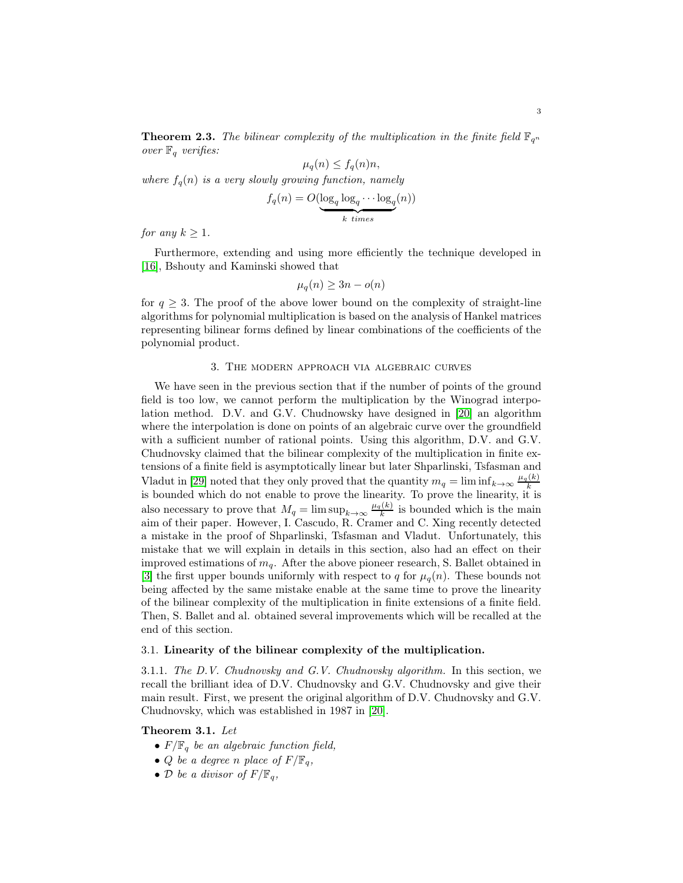**Theorem 2.3.** The bilinear complexity of the multiplication in the finite field  $\mathbb{F}_{q^n}$ over  $\mathbb{F}_q$  verifies:

$$
\mu_q(n) \le f_q(n)n,
$$
  
where  $f_q(n)$  is a very slowly growing function, namely  

$$
f_q(n) = O(\log_q \log_q \cdots \log_q(n))
$$
  

$$
k \text{ times}
$$

for any  $k \geq 1$ .

Furthermore, extending and using more efficiently the technique developed in [\[16\]](#page-60-6), Bshouty and Kaminski showed that

$$
\mu_q(n) \ge 3n - o(n)
$$

for  $q \geq 3$ . The proof of the above lower bound on the complexity of straight-line algorithms for polynomial multiplication is based on the analysis of Hankel matrices representing bilinear forms defined by linear combinations of the coefficients of the polynomial product.

#### 3. The modern approach via algebraic curves

We have seen in the previous section that if the number of points of the ground field is too low, we cannot perform the multiplication by the Winograd interpolation method. D.V. and G.V. Chudnowsky have designed in [\[20\]](#page-60-2) an algorithm where the interpolation is done on points of an algebraic curve over the groundfield with a sufficient number of rational points. Using this algorithm, D.V. and G.V. Chudnovsky claimed that the bilinear complexity of the multiplication in finite extensions of a finite field is asymptotically linear but later Shparlinski, Tsfasman and Vladut in [\[29\]](#page-60-1) noted that they only proved that the quantity  $m_q = \liminf_{k \to \infty} \frac{\mu_q(k)}{k}$ is bounded which do not enable to prove the linearity. To prove the linearity, it is also necessary to prove that  $M_q = \limsup_{k \to \infty} \frac{\mu_q(k)}{k}$  is bounded which is the main aim of their paper. However, I. Cascudo, R. Cramer and C. Xing recently detected a mistake in the proof of Shparlinski, Tsfasman and Vladut. Unfortunately, this mistake that we will explain in details in this section, also had an effect on their improved estimations of  $m_q$ . After the above pioneer research, S. Ballet obtained in [\[3\]](#page-59-1) the first upper bounds uniformly with respect to q for  $\mu_q(n)$ . These bounds not being affected by the same mistake enable at the same time to prove the linearity of the bilinear complexity of the multiplication in finite extensions of a finite field. Then, S. Ballet and al. obtained several improvements which will be recalled at the end of this section.

## 3.1. Linearity of the bilinear complexity of the multiplication.

3.1.1. The D.V. Chudnovsky and G.V. Chudnovsky algorithm. In this section, we recall the brilliant idea of D.V. Chudnovsky and G.V. Chudnovsky and give their main result. First, we present the original algorithm of D.V. Chudnovsky and G.V. Chudnovsky, which was established in 1987 in [\[20\]](#page-60-2).

## Theorem 3.1. Let

- $F/\mathbb{F}_q$  be an algebraic function field,
- *Q* be a degree n place of  $F/\mathbb{F}_q$ ,
- D be a divisor of  $F/\mathbb{F}_q$ ,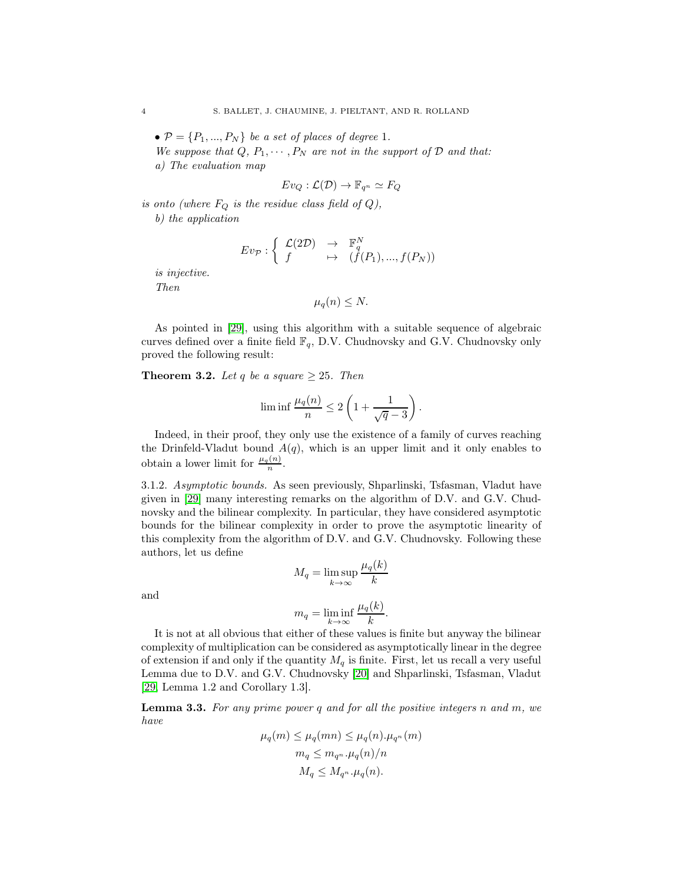$\mathcal{P} = \{P_1, ..., P_N\}$  be a set of places of degree 1.

We suppose that  $Q, P_1, \cdots, P_N$  are not in the support of  $D$  and that: a) The evaluation map

$$
Ev_Q : \mathcal{L}(\mathcal{D}) \to \mathbb{F}_{q^n} \simeq F_Q
$$

is onto (where  $F_Q$  is the residue class field of  $Q$ ),

b) the application

$$
E v_{\mathcal{P}} : \left\{ \begin{array}{ccc} \mathcal{L}(2\mathcal{D}) & \to & \mathbb{F}_q^N \\ f & \mapsto & (f(P_1), ..., f(P_N)) \end{array} \right.
$$

is injective. Then

$$
\mu_q(n)\leq N.
$$

As pointed in [\[29\]](#page-60-1), using this algorithm with a suitable sequence of algebraic curves defined over a finite field  $\mathbb{F}_q$ , D.V. Chudnovsky and G.V. Chudnovsky only proved the following result:

**Theorem 3.2.** Let q be a square  $\geq 25$ . Then

$$
\liminf \frac{\mu_q(n)}{n} \leq 2\left(1 + \frac{1}{\sqrt{q} - 3}\right)
$$

.

Indeed, in their proof, they only use the existence of a family of curves reaching the Drinfeld-Vladut bound  $A(q)$ , which is an upper limit and it only enables to obtain a lower limit for  $\frac{\mu_q(n)}{n}$ .

3.1.2. Asymptotic bounds. As seen previously, Shparlinski, Tsfasman, Vladut have given in [\[29\]](#page-60-1) many interesting remarks on the algorithm of D.V. and G.V. Chudnovsky and the bilinear complexity. In particular, they have considered asymptotic bounds for the bilinear complexity in order to prove the asymptotic linearity of this complexity from the algorithm of D.V. and G.V. Chudnovsky. Following these authors, let us define

$$
M_q = \limsup_{k \to \infty} \frac{\mu_q(k)}{k}
$$

and

$$
m_q = \liminf_{k \to \infty} \frac{\mu_q(k)}{k}.
$$

It is not at all obvious that either of these values is finite but anyway the bilinear complexity of multiplication can be considered as asymptotically linear in the degree of extension if and only if the quantity  $M_q$  is finite. First, let us recall a very useful Lemma due to D.V. and G.V. Chudnovsky [\[20\]](#page-60-2) and Shparlinski, Tsfasman, Vladut [\[29,](#page-60-1) Lemma 1.2 and Corollary 1.3].

**Lemma 3.3.** For any prime power q and for all the positive integers n and  $m$ , we have

$$
\mu_q(m) \le \mu_q(mn) \le \mu_q(n) \cdot \mu_{q^n}(m)
$$
  
\n
$$
m_q \le m_{q^n} \cdot \mu_q(n)/n
$$
  
\n
$$
M_q \le M_{q^n} \cdot \mu_q(n).
$$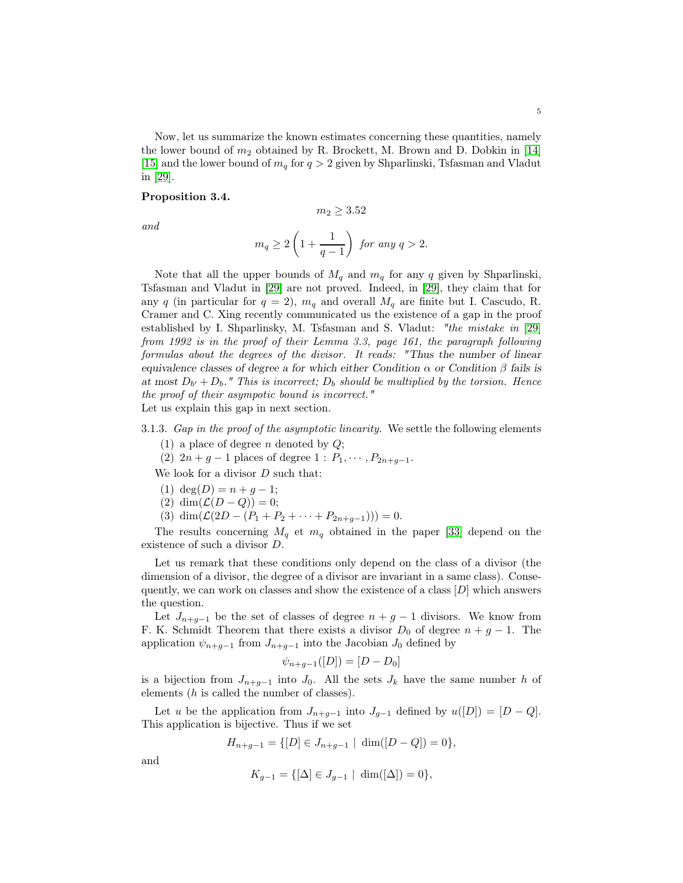Now, let us summarize the known estimates concerning these quantities, namely the lower bound of  $m_2$  obtained by R. Brockett, M. Brown and D. Dobkin in [\[14\]](#page-60-7) [\[15\]](#page-60-8) and the lower bound of  $m_q$  for  $q > 2$  given by Shparlinski, Tsfasman and Vladut in [\[29\]](#page-60-1).

## Proposition 3.4.

 $m_2 > 3.52$ 

and

$$
m_q\geq 2\left(1+\frac{1}{q-1}\right) \text{ for any } q>2.
$$

Note that all the upper bounds of  $M_q$  and  $m_q$  for any q given by Shparlinski, Tsfasman and Vladut in [\[29\]](#page-60-1) are not proved. Indeed, in [\[29\]](#page-60-1), they claim that for any q (in particular for  $q = 2$ ),  $m_q$  and overall  $M_q$  are finite but I. Cascudo, R. Cramer and C. Xing recently communicated us the existence of a gap in the proof established by I. Shparlinsky, M. Tsfasman and S. Vladut: "the mistake in [\[29\]](#page-60-1) from 1992 is in the proof of their Lemma 3.3, page 161, the paragraph following formulas about the degrees of the divisor. It reads: "Thus the number of linear equivalence classes of degree a for which either Condition  $\alpha$  or Condition  $\beta$  fails is at most  $D_{b'} + D_b$ ." This is incorrect;  $D_b$  should be multiplied by the torsion. Hence the proof of their asympotic bound is incorrect." Let us explain this gap in next section.

3.1.3. Gap in the proof of the asymptotic linearity. We settle the following elements

- (1) a place of degree *n* denoted by  $Q$ ;
- (2)  $2n + g 1$  places of degree  $1 : P_1, \cdots, P_{2n+g-1}$ .

We look for a divisor  $D$  such that:

- (1)  $deg(D) = n + q 1;$
- (2) dim $(\mathcal{L}(D-Q))=0;$
- (3) dim $(\mathcal{L}(2D (P_1 + P_2 + \cdots + P_{2n+q-1}))) = 0.$

The results concerning  $M_q$  et  $m_q$  obtained in the paper [\[33\]](#page-61-3) depend on the existence of such a divisor D.

Let us remark that these conditions only depend on the class of a divisor (the dimension of a divisor, the degree of a divisor are invariant in a same class). Consequently, we can work on classes and show the existence of a class  $[D]$  which answers the question.

Let  $J_{n+g-1}$  be the set of classes of degree  $n+g-1$  divisors. We know from F. K. Schmidt Theorem that there exists a divisor  $D_0$  of degree  $n + g - 1$ . The application  $\psi_{n+g-1}$  from  $J_{n+g-1}$  into the Jacobian  $J_0$  defined by

$$
\psi_{n+g-1}([D]) = [D - D_0]
$$

is a bijection from  $J_{n+g-1}$  into  $J_0$ . All the sets  $J_k$  have the same number h of elements (h is called the number of classes).

Let u be the application from  $J_{n+g-1}$  into  $J_{g-1}$  defined by  $u([D]) = [D - Q]$ . This application is bijective. Thus if we set

$$
H_{n+g-1} = \{ [D] \in J_{n+g-1} \mid \dim([D - Q]) = 0 \},\
$$

and

$$
K_{g-1} = \{ [\Delta] \in J_{g-1} \mid \dim([\Delta]) = 0 \},\
$$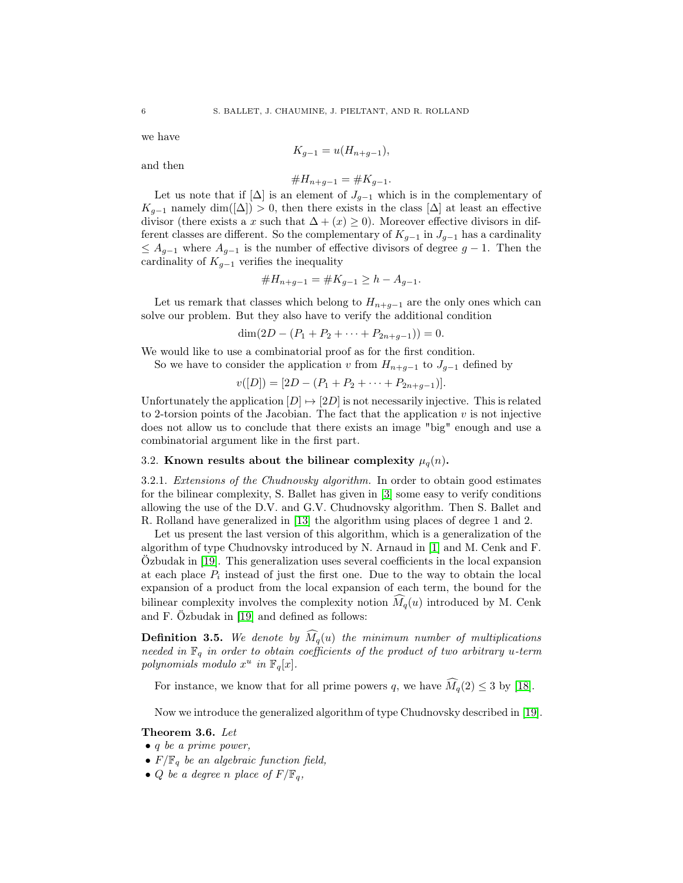we have

$$
K_{g-1} = u(H_{n+g-1}),
$$

and then

$$
\#H_{n+g-1} = \#K_{g-1}.
$$

Let us note that if  $[\Delta]$  is an element of  $J_{g-1}$  which is in the complementary of  $K_{g-1}$  namely dim( $[\Delta]$ ) > 0, then there exists in the class  $[\Delta]$  at least an effective divisor (there exists a x such that  $\Delta + (x) \geq 0$ ). Moreover effective divisors in different classes are different. So the complementary of  $K_{q-1}$  in  $J_{q-1}$  has a cardinality  $\leq A_{g-1}$  where  $A_{g-1}$  is the number of effective divisors of degree  $g-1$ . Then the cardinality of  $K_{g-1}$  verifies the inequality

#H<sup>n</sup>+g−<sup>1</sup> = #K<sup>g</sup>−<sup>1</sup> ≥ h − A<sup>g</sup>−<sup>1</sup>.

Let us remark that classes which belong to  $H_{n+g-1}$  are the only ones which can solve our problem. But they also have to verify the additional condition

 $\dim(2D - (P_1 + P_2 + \cdots + P_{2n+q-1})) = 0.$ 

We would like to use a combinatorial proof as for the first condition.

So we have to consider the application v from  $H_{n+g-1}$  to  $J_{g-1}$  defined by

$$
v([D]) = [2D - (P_1 + P_2 + \cdots + P_{2n+g-1})].
$$

Unfortunately the application  $[D] \mapsto [2D]$  is not necessarily injective. This is related to 2-torsion points of the Jacobian. The fact that the application  $v$  is not injective does not allow us to conclude that there exists an image "big" enough and use a combinatorial argument like in the first part.

## 3.2. Known results about the bilinear complexity  $\mu_q(n)$ .

3.2.1. Extensions of the Chudnovsky algorithm. In order to obtain good estimates for the bilinear complexity, S. Ballet has given in [\[3\]](#page-59-1) some easy to verify conditions allowing the use of the D.V. and G.V. Chudnovsky algorithm. Then S. Ballet and R. Rolland have generalized in [\[13\]](#page-60-9) the algorithm using places of degree 1 and 2.

Let us present the last version of this algorithm, which is a generalization of the algorithm of type Chudnovsky introduced by N. Arnaud in [\[1\]](#page-59-2) and M. Cenk and F. Özbudak in [\[19\]](#page-60-10). This generalization uses several coefficients in the local expansion at each place  $P_i$  instead of just the first one. Due to the way to obtain the local expansion of a product from the local expansion of each term, the bound for the bilinear complexity involves the complexity notion  $\tilde{M}_q(u)$  introduced by M. Cenk and F. Özbudak in [\[19\]](#page-60-10) and defined as follows:

**Definition 3.5.** We denote by  $\widehat{M}_q(u)$  the minimum number of multiplications needed in  $\mathbb{F}_q$  in order to obtain coefficients of the product of two arbitrary u-term polynomials modulo  $x^u$  in  $\mathbb{F}_q[x]$ .

For instance, we know that for all prime powers q, we have  $\widehat{M}_q(2) \leq 3$  by [\[18\]](#page-60-11).

Now we introduce the generalized algorithm of type Chudnovsky described in [\[19\]](#page-60-10).

#### Theorem 3.6. Let

- q be a prime power,
- $F/\mathbb{F}_q$  be an algebraic function field,
- Q be a degree n place of  $F/\mathbb{F}_q$ ,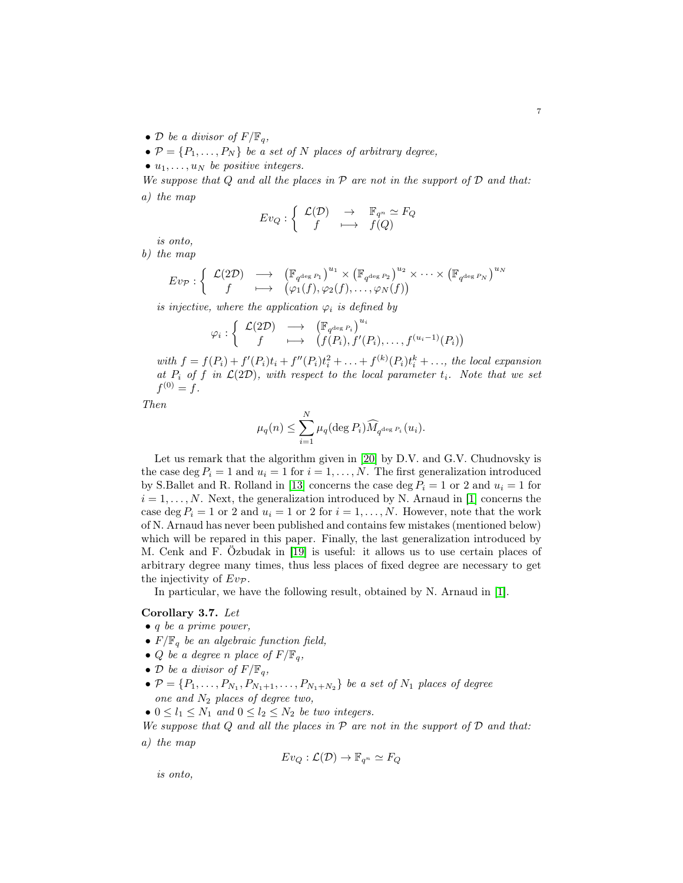- D be a divisor of  $F/\mathbb{F}_q$ ,
- $P = \{P_1, \ldots, P_N\}$  be a set of N places of arbitrary degree,

•  $u_1, \ldots, u_N$  be positive integers.

We suppose that  $Q$  and all the places in  $P$  are not in the support of  $D$  and that: a) the map

$$
Ev_Q: \left\{ \begin{array}{ccc} \mathcal{L}(\mathcal{D}) & \to & \mathbb{F}_{q^n} \simeq F_Q \\ f & \longmapsto & f(Q) \end{array} \right.
$$

is onto,

b) the map

$$
E v_{\mathcal{P}} : \left\{ \begin{array}{ccc} \mathcal{L}(2\mathcal{D}) & \longrightarrow & \left(\mathbb{F}_{q^{\deg P_1}}\right)^{u_1} \times \left(\mathbb{F}_{q^{\deg P_2}}\right)^{u_2} \times \cdots \times \left(\mathbb{F}_{q^{\deg P_N}}\right)^{u_N} \\ f & \longmapsto & \left(\varphi_1(f), \varphi_2(f), \dots, \varphi_N(f)\right) \end{array} \right.
$$

is injective, where the application  $\varphi_i$  is defined by

$$
\varphi_i : \left\{ \begin{array}{ccc} \mathcal{L}(2\mathcal{D}) & \longrightarrow & \left( \mathbb{F}_{q^{\deg P_i}} \right)^{u_i} \\ f & \longmapsto & \left( f(P_i), f'(P_i), \dots, f^{(u_i-1)}(P_i) \right) \end{array} \right.
$$

with  $f = f(P_i) + f'(P_i)t_i + f''(P_i)t_i^2 + ... + f^{(k)}(P_i)t_i^k + ...,$  the local expansion at  $P_i$  of f in  $\mathcal{L}(2\mathcal{D})$ , with respect to the local parameter  $t_i$ . Note that we set  $f^{(0)} = f.$ 

Then

$$
\mu_q(n) \leq \sum_{i=1}^N \mu_q(\deg P_i) \widehat{M}_{q^{\deg P_i}}(u_i).
$$

Let us remark that the algorithm given in [\[20\]](#page-60-2) by D.V. and G.V. Chudnovsky is the case deg  $P_i = 1$  and  $u_i = 1$  for  $i = 1, ..., N$ . The first generalization introduced by S.Ballet and R. Rolland in [\[13\]](#page-60-9) concerns the case deg  $P_i = 1$  or 2 and  $u_i = 1$  for  $i = 1, \ldots, N$ . Next, the generalization introduced by N. Arnaud in [\[1\]](#page-59-2) concerns the case deg  $P_i = 1$  or 2 and  $u_i = 1$  or 2 for  $i = 1, \ldots, N$ . However, note that the work of N. Arnaud has never been published and contains few mistakes (mentioned below) which will be repared in this paper. Finally, the last generalization introduced by M. Cenk and F. Özbudak in [\[19\]](#page-60-10) is useful: it allows us to use certain places of arbitrary degree many times, thus less places of fixed degree are necessary to get the injectivity of  $Ev_{\mathcal{P}}$ .

In particular, we have the following result, obtained by N. Arnaud in [\[1\]](#page-59-2).

## Corollary 3.7. Let

- q be a prime power,
- $F/\mathbb{F}_q$  be an algebraic function field,
- Q be a degree n place of  $F/\mathbb{F}_q$ ,
- D be a divisor of  $F/\mathbb{F}_q$ ,
- $\bullet \ \mathcal{P} = \{P_1, \ldots, P_{N_1}, P_{N_1+1}, \ldots, P_{N_1+N_2}\}$  be a set of  $N_1$  places of degree one and  $N_2$  places of degree two,
- $0 \leq l_1 \leq N_1$  and  $0 \leq l_2 \leq N_2$  be two integers.

We suppose that Q and all the places in  $\mathcal P$  are not in the support of  $\mathcal D$  and that: a) the map

$$
Ev_Q : \mathcal{L}(\mathcal{D}) \to \mathbb{F}_{q^n} \simeq F_Q
$$

is onto,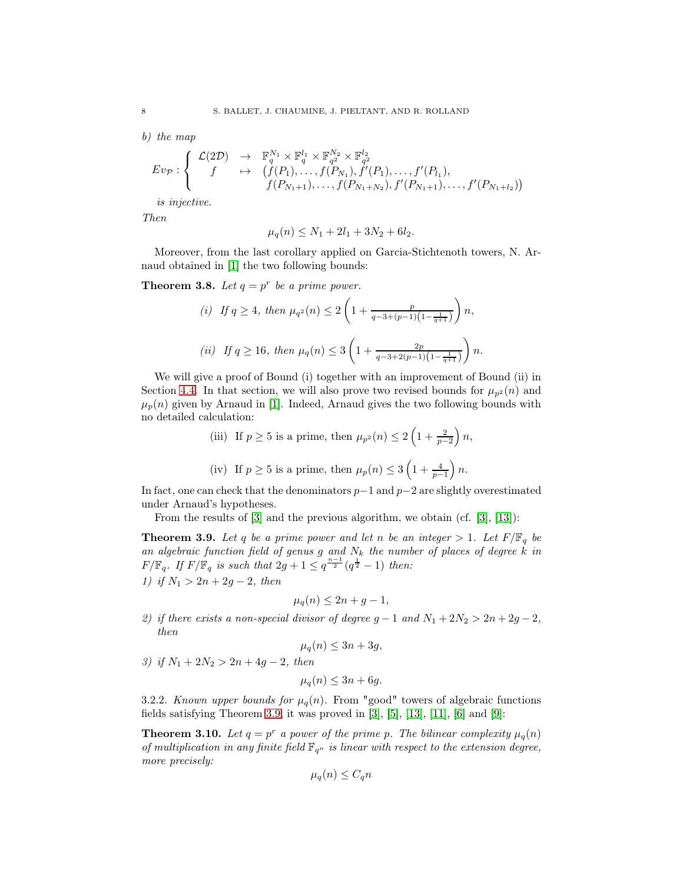b) the map

$$
Ev_{\mathcal{P}}: \left\{ \begin{array}{ccc} \mathcal{L}(2\mathcal{D}) & \to & \mathbb{F}_q^{N_1} \times \mathbb{F}_q^{l_1} \times \mathbb{F}_{q^2}^{N_2} \times \mathbb{F}_{q^2}^{l_2} \\ f & \mapsto & \left(f(P_1), \dots, f(P_{N_1}), f'(P_1), \dots, f'(P_{l_1}), \dots, f'(P_{N_1+l_2}), f'(P_{N_1+l_2}), \dots, f'(P_{N_l+l_2})\right) \end{array} \right.
$$

is injective.

Then

$$
\mu_q(n) \le N_1 + 2l_1 + 3N_2 + 6l_2.
$$

Moreover, from the last corollary applied on Garcia-Stichtenoth towers, N. Arnaud obtained in [\[1\]](#page-59-2) the two following bounds:

**Theorem 3.8.** Let  $q = p^r$  be a prime power.

(i) If 
$$
q \ge 4
$$
, then  $\mu_{q^2}(n) \le 2\left(1 + \frac{p}{q-3+(p-1)\left(1-\frac{1}{q+1}\right)}\right)n$ ,  
\n(ii) If  $q \ge 16$ , then  $\mu_q(n) \le 3\left(1 + \frac{2p}{q-3+2(p-1)\left(1-\frac{1}{q+1}\right)}\right)n$ .

We will give a proof of Bound (i) together with an improvement of Bound (ii) in Section [4.4.](#page-48-0) In that section, we will also prove two revised bounds for  $\mu_{n^2}(n)$  and  $\mu_p(n)$  given by Arnaud in [\[1\]](#page-59-2). Indeed, Arnaud gives the two following bounds with no detailed calculation:

(iii) If 
$$
p \ge 5
$$
 is a prime, then  $\mu_{p^2}(n) \le 2\left(1 + \frac{2}{p-2}\right)n$ ,  
(iv) If  $p \ge 5$  is a prime, then  $\mu_p(n) \le 3\left(1 + \frac{4}{p-1}\right)n$ .

In fact, one can check that the denominators  $p-1$  and  $p-2$  are slightly overestimated under Arnaud's hypotheses.

From the results of  $[3]$  and the previous algorithm, we obtain (cf.  $[3]$ ,  $[13]$ ):

**Theorem 3.9.** Let q be a prime power and let n be an integer  $> 1$ . Let  $F/\mathbb{F}_q$  be an algebraic function field of genus g and  $N_k$  the number of places of degree k in  $F/\mathbb{F}_q$ . If  $F/\mathbb{F}_q$  is such that  $2g + 1 \leq q^{\frac{n-1}{2}}(q^{\frac{1}{2}} - 1)$  then: 1) if  $N_1 > 2n + 2g - 2$ , then

$$
\mu_q(n) \le 2n + g - 1,
$$

2) if there exists a non-special divisor of degree  $g - 1$  and  $N_1 + 2N_2 > 2n + 2g - 2$ , then

$$
\mu_q(n) \le 3n + 3g,
$$

3) if  $N_1 + 2N_2 > 2n + 4g - 2$ , then

$$
\mu_q(n) \le 3n + 6g.
$$

3.2.2. Known upper bounds for  $\mu_q(n)$ . From "good" towers of algebraic functions fields satisfying Theorem [3.9,](#page-38-0) it was proved in  $[3]$ ,  $[5]$ ,  $[13]$ ,  $[11]$ ,  $[6]$  and  $[9]$ :

**Theorem 3.10.** Let  $q = p^r$  a power of the prime p. The bilinear complexity  $\mu_q(n)$ of multiplication in any finite field  $\mathbb{F}_{q^n}$  is linear with respect to the extension degree, more precisely:

$$
\mu_q(n) \le C_q n
$$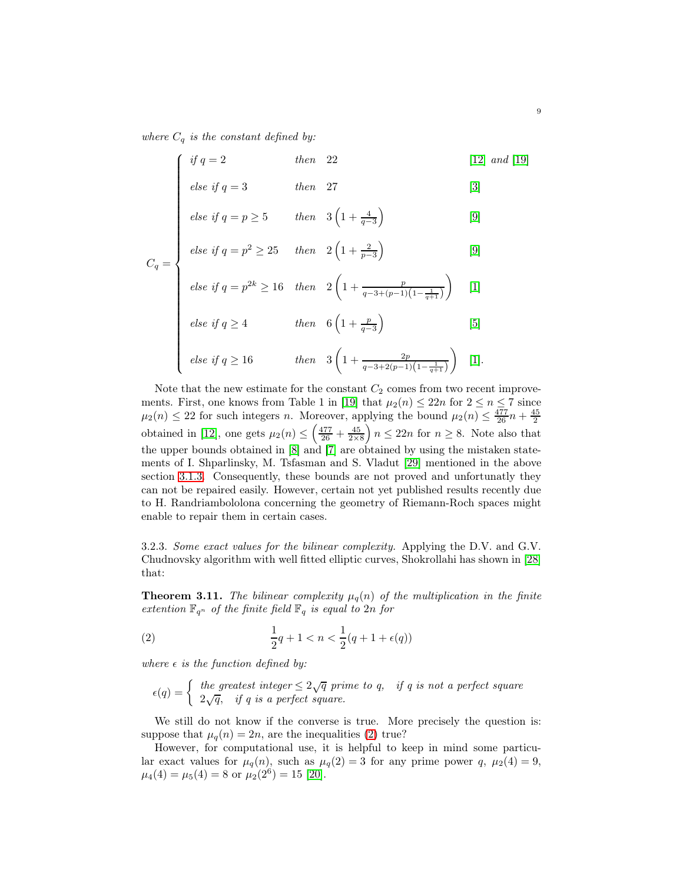where  $C_q$  is the constant defined by:

$$
\begin{cases}\n \text{if } q = 2 & \text{then } 22 & [12] \text{ and } [19] \\
\text{else if } q = 3 & \text{then } 27 & [3] \\
\text{else if } q = p \ge 5 & \text{then } 3\left(1 + \frac{4}{q - 3}\right) & [9] \\
\text{else if } q = p^2 \ge 25 & \text{then } 2\left(1 + \frac{2}{p - 3}\right) & [9]\n \end{cases}
$$

$$
else if q = p \ge 5 \qquad then \quad 3\left(1 + \frac{4}{q - 3}\right) \tag{9}
$$

$$
C_q = \begin{cases} else if q = p^2 \ge 25 & then \quad 2\left(1 + \frac{2}{p-3}\right) \end{cases}
$$
 [9]

else if 
$$
q = p^{2k} \ge 16
$$
 then  $2\left(1 + \frac{p}{q - 3 + (p-1)\left(1 - \frac{1}{q+1}\right)}\right)$  [1]  
\nelse if  $q \ge 4$  then  $6\left(1 + \frac{p}{q-3}\right)$  [5]  
\nelse if  $q \ge 16$  then  $3\left(1 + \frac{2p}{q - 3 + 2(p-1)\left(1 - \frac{1}{q+1}\right)}\right)$  [1]

$$
else if q \ge 4 \qquad \qquad then \quad 6\left(1 + \frac{p}{q-3}\right) \tag{5}
$$

else if 
$$
q \ge 16
$$
 then  $3\left(1 + \frac{2p}{q-3+2(p-1)\left(1 - \frac{1}{q+1}\right)}\right)$  [1].

Note that the new estimate for the constant  $C_2$  comes from two recent improve-ments. First, one knows from Table 1 in [\[19\]](#page-60-10) that  $\mu_2(n) \leq 22n$  for  $2 \leq n \leq 7$  since  $\mu_2(n) \leq 22$  for such integers *n*. Moreover, applying the bound  $\mu_2(n) \leq \frac{477}{26}n + \frac{45}{2}$ obtained in [\[12\]](#page-60-14), one gets  $\mu_2(n) \leq \left(\frac{477}{26} + \frac{45}{2 \times 8}\right)$  $n \leq 22n$  for  $n \geq 8$ . Note also that the upper bounds obtained in [\[8\]](#page-60-15) and [\[7\]](#page-60-16) are obtained by using the mistaken statements of I. Shparlinsky, M. Tsfasman and S. Vladut [\[29\]](#page-60-1) mentioned in the above section [3.1.3.](#page-35-0) Consequently, these bounds are not proved and unfortunatly they can not be repaired easily. However, certain not yet published results recently due to H. Randriambololona concerning the geometry of Riemann-Roch spaces might enable to repair them in certain cases.

3.2.3. Some exact values for the bilinear complexity. Applying the D.V. and G.V. Chudnovsky algorithm with well fitted elliptic curves, Shokrollahi has shown in [\[28\]](#page-60-17) that:

**Theorem 3.11.** The bilinear complexity  $\mu_q(n)$  of the multiplication in the finite extention  $\mathbb{F}_{q^n}$  of the finite field  $\mathbb{F}_q$  is equal to 2n for

(2) 
$$
\frac{1}{2}q + 1 < n < \frac{1}{2}(q + 1 + \epsilon(q))
$$

where  $\epsilon$  is the function defined by:

$$
\epsilon(q) = \begin{cases} \text{ the greatest integer} \leq 2\sqrt{q} \text{ prime to } q, & \text{if } q \text{ is not a perfect square} \\ 2\sqrt{q}, & \text{if } q \text{ is a perfect square.} \end{cases}
$$

We still do not know if the converse is true. More precisely the question is: suppose that  $\mu_q(n) = 2n$ , are the inequalities [\(2\)](#page-39-0) true?

However, for computational use, it is helpful to keep in mind some particular exact values for  $\mu_q(n)$ , such as  $\mu_q(2) = 3$  for any prime power q,  $\mu_2(4) = 9$ ,  $\mu_4(4) = \mu_5(4) = 8$  or  $\mu_2(2^6) = 15$  [\[20\]](#page-60-2).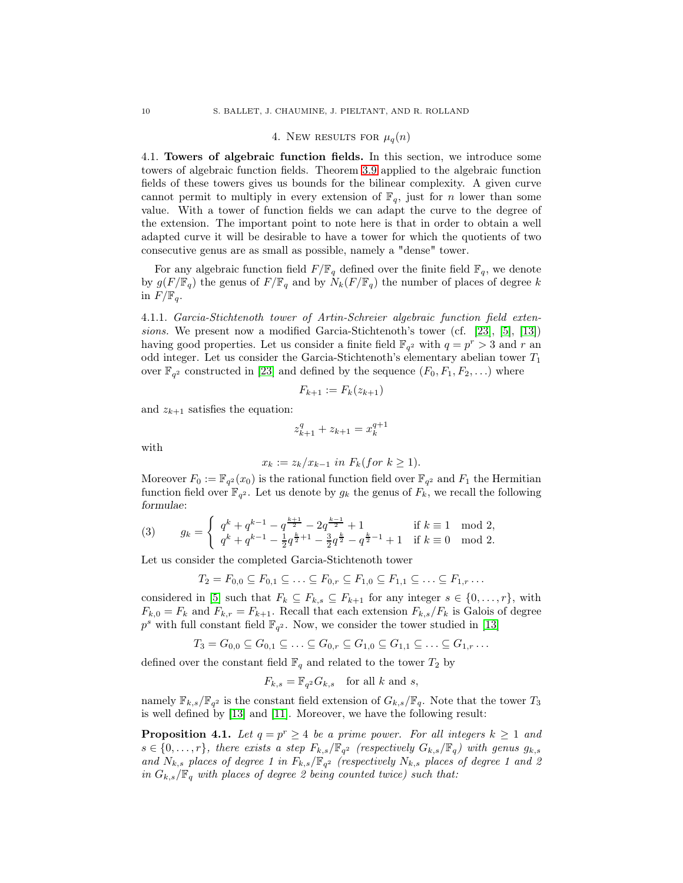#### 4. New RESULTS FOR  $\mu_q(n)$

4.1. Towers of algebraic function fields. In this section, we introduce some towers of algebraic function fields. Theorem [3.9](#page-38-0) applied to the algebraic function fields of these towers gives us bounds for the bilinear complexity. A given curve cannot permit to multiply in every extension of  $\mathbb{F}_q$ , just for *n* lower than some value. With a tower of function fields we can adapt the curve to the degree of the extension. The important point to note here is that in order to obtain a well adapted curve it will be desirable to have a tower for which the quotients of two consecutive genus are as small as possible, namely a "dense" tower.

For any algebraic function field  $F/\mathbb{F}_q$  defined over the finite field  $\mathbb{F}_q$ , we denote by  $g(F/\mathbb{F}_q)$  the genus of  $F/\mathbb{F}_q$  and by  $N_k(F/\mathbb{F}_q)$  the number of places of degree k in  $F/\mathbb{F}_q$ .

4.1.1. Garcia-Stichtenoth tower of Artin-Schreier algebraic function field extensions. We present now a modified Garcia-Stichtenoth's tower (cf. [\[23\]](#page-60-18), [\[5\]](#page-59-3), [\[13\]](#page-60-9)) having good properties. Let us consider a finite field  $\mathbb{F}_{q^2}$  with  $q = p^r > 3$  and r an odd integer. Let us consider the Garcia-Stichtenoth's elementary abelian tower  $T_1$ over  $\mathbb{F}_{q^2}$  constructed in [\[23\]](#page-60-18) and defined by the sequence  $(F_0, F_1, F_2, \ldots)$  where

$$
F_{k+1} := F_k(z_{k+1})
$$

and  $z_{k+1}$  satisfies the equation:

$$
z_{k+1}^q + z_{k+1} = x_k^{q+1}
$$

with

$$
x_k := z_k/x_{k-1} \text{ in } F_k (for \ k \ge 1).
$$

Moreover  $F_0 := \mathbb{F}_{q^2}(x_0)$  is the rational function field over  $\mathbb{F}_{q^2}$  and  $F_1$  the Hermitian function field over  $\mathbb{F}_{q^2}$ . Let us denote by  $g_k$  the genus of  $F_k$ , we recall the following formulae:

$$
(3) \qquad g_{k}=\left\{\begin{array}{ll} q^{k}+q^{k-1}-q^{\frac{k+1}{2}}-2q^{\frac{k-1}{2}}+1 & \text{if } k\equiv 1\mod 2,\\ q^{k}+q^{k-1}-\frac{1}{2}q^{\frac{k}{2}+1}-\frac{3}{2}q^{\frac{k}{2}}-q^{\frac{k}{2}-1}+1 & \text{if } k\equiv 0\mod 2.\end{array}\right.
$$

Let us consider the completed Garcia-Stichtenoth tower

$$
T_2 = F_{0,0} \subseteq F_{0,1} \subseteq \ldots \subseteq F_{0,r} \subseteq F_{1,0} \subseteq F_{1,1} \subseteq \ldots \subseteq F_{1,r} \ldots
$$

considered in [\[5\]](#page-59-3) such that  $F_k \subseteq F_{k,s} \subseteq F_{k+1}$  for any integer  $s \in \{0, \ldots, r\}$ , with  $F_{k,0} = F_k$  and  $F_{k,r} = F_{k+1}$ . Recall that each extension  $F_{k,s}/F_k$  is Galois of degree  $p<sup>s</sup>$  with full constant field  $\mathbb{F}_{q^2}$ . Now, we consider the tower studied in [\[13\]](#page-60-9)

$$
T_3 = G_{0,0} \subseteq G_{0,1} \subseteq \ldots \subseteq G_{0,r} \subseteq G_{1,0} \subseteq G_{1,1} \subseteq \ldots \subseteq G_{1,r} \ldots
$$

defined over the constant field  $\mathbb{F}_q$  and related to the tower  $T_2$  by

$$
F_{k,s} = \mathbb{F}_{q^2} G_{k,s} \quad \text{for all } k \text{ and } s,
$$

namely  $\mathbb{F}_{k,s}/\mathbb{F}_{q^2}$  is the constant field extension of  $G_{k,s}/\mathbb{F}_{q}$ . Note that the tower  $T_3$ is well defined by [\[13\]](#page-60-9) and [\[11\]](#page-60-12). Moreover, we have the following result:

**Proposition 4.1.** Let  $q = p^r \geq 4$  be a prime power. For all integers  $k \geq 1$  and  $s \in \{0, \ldots, r\}$ , there exists a step  $F_{k,s}/\mathbb{F}_{q^2}$  (respectively  $G_{k,s}/\mathbb{F}_q$ ) with genus  $g_{k,s}$ and  $N_{k,s}$  places of degree 1 in  $F_{k,s}/\mathbb{F}_{q^2}$  (respectively  $N_{k,s}$  places of degree 1 and 2 in  $G_{k,s}/\mathbb{F}_q$  with places of degree 2 being counted twice) such that: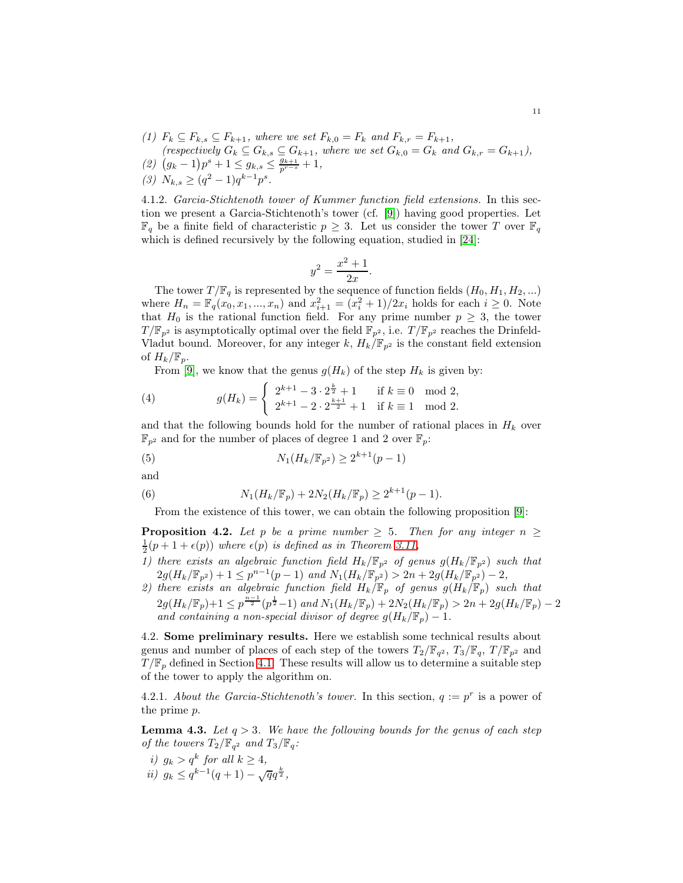- (1)  $F_k \subseteq F_{k,s} \subseteq F_{k+1}$ , where we set  $F_{k,0} = F_k$  and  $F_{k,r} = F_{k+1}$ ,
- (respectively  $G_k \subseteq G_{k,s} \subseteq G_{k+1}$ , where we set  $G_{k,0} = G_k$  and  $G_{k,r} = G_{k+1}$ ),
- (2)  $(g_k 1)p^s + 1 \le g_{k,s} \le \frac{g_{k+1}}{p^{r-s}} + 1,$
- (3)  $N_{k,s} \geq (q^2 1)q^{k-1}p^s$ .

4.1.2. Garcia-Stichtenoth tower of Kummer function field extensions. In this section we present a Garcia-Stichtenoth's tower (cf. [\[9\]](#page-60-13)) having good properties. Let  $\mathbb{F}_q$  be a finite field of characteristic  $p \geq 3$ . Let us consider the tower T over  $\mathbb{F}_q$ which is defined recursively by the following equation, studied in [\[24\]](#page-60-19):

$$
y^2 = \frac{x^2 + 1}{2x}.
$$

The tower  $T/\mathbb{F}_q$  is represented by the sequence of function fields  $(H_0, H_1, H_2, ...)$ where  $H_n = \mathbb{F}_q(x_0, x_1, ..., x_n)$  and  $x_{i+1}^2 = (x_i^2 + 1)/2x_i$  holds for each  $i \ge 0$ . Note that  $H_0$  is the rational function field. For any prime number  $p \geq 3$ , the tower  $T/\mathbb{F}_{p^2}$  is asymptotically optimal over the field  $\mathbb{F}_{p^2}$ , i.e.  $T/\mathbb{F}_{p^2}$  reaches the Drinfeld-Vladut bound. Moreover, for any integer k,  $H_k/\mathbb{F}_{p^2}$  is the constant field extension of  $H_k/\mathbb{F}_p$ .

From [\[9\]](#page-60-13), we know that the genus  $g(H_k)$  of the step  $H_k$  is given by:

(4) 
$$
g(H_k) = \begin{cases} 2^{k+1} - 3 \cdot 2^{\frac{k}{2}} + 1 & \text{if } k \equiv 0 \mod 2, \\ 2^{k+1} - 2 \cdot 2^{\frac{k+1}{2}} + 1 & \text{if } k \equiv 1 \mod 2. \end{cases}
$$

and that the following bounds hold for the number of rational places in  $H_k$  over  $\mathbb{F}_{p^2}$  and for the number of places of degree 1 and 2 over  $\mathbb{F}_p$ :

(5) 
$$
N_1(H_k/\mathbb{F}_{p^2}) \ge 2^{k+1}(p-1)
$$

and

(6) 
$$
N_1(H_k/\mathbb{F}_p) + 2N_2(H_k/\mathbb{F}_p) \ge 2^{k+1}(p-1).
$$

From the existence of this tower, we can obtain the following proposition [\[9\]](#page-60-13):

**Proposition 4.2.** Let p be a prime number  $\geq 5$ . Then for any integer  $n \geq 5$  $\frac{1}{2}(p+1+\epsilon(p))$  where  $\epsilon(p)$  is defined as in Theorem [3.11,](#page-39-1)

- 1) there exists an algebraic function field  $H_k/\mathbb{F}_{p^2}$  of genus  $g(H_k/\mathbb{F}_{p^2})$  such that  $2g(H_k/\mathbb{F}_{p^2})+1 \leq p^{n-1}(p-1)$  and  $N_1(H_k/\mathbb{F}_{p^2}) > 2n + 2g(H_k/\mathbb{F}_{p^2})-2$ ,
- 2) there exists an algebraic function field  $H_k/\mathbb{F}_p$  of genus  $g(H_k/\mathbb{F}_p)$  such that  $2g(H_k/\mathbb{F}_p)+1 \leq p^{\frac{n-1}{2}}(p^{\frac{1}{2}}-1)$  and  $N_1(H_k/\mathbb{F}_p) + 2N_2(H_k/\mathbb{F}_p) > 2n + 2g(H_k/\mathbb{F}_p) - 2$ and containing a non-special divisor of degree  $g(H_k/\mathbb{F}_p) - 1$ .

4.2. Some preliminary results. Here we establish some technical results about genus and number of places of each step of the towers  $T_2/\mathbb{F}_{q^2}$ ,  $T_3/\mathbb{F}_{q}$ ,  $T/\mathbb{F}_{p^2}$  and  $T/\mathbb{F}_p$  defined in Section [4.1.](#page-40-0) These results will allow us to determine a suitable step of the tower to apply the algorithm on.

4.2.1. About the Garcia-Stichtenoth's tower. In this section,  $q := p^r$  is a power of the prime p.

**Lemma 4.3.** Let  $q > 3$ . We have the following bounds for the genus of each step of the towers  $T_2/\mathbb{F}_{q^2}$  and  $T_3/\mathbb{F}_{q}$ :

i)  $g_k > q^k$  for all  $k \geq 4$ , ii)  $g_k \leq q^{k-1}(q+1) - \sqrt{q}q^{\frac{k}{2}},$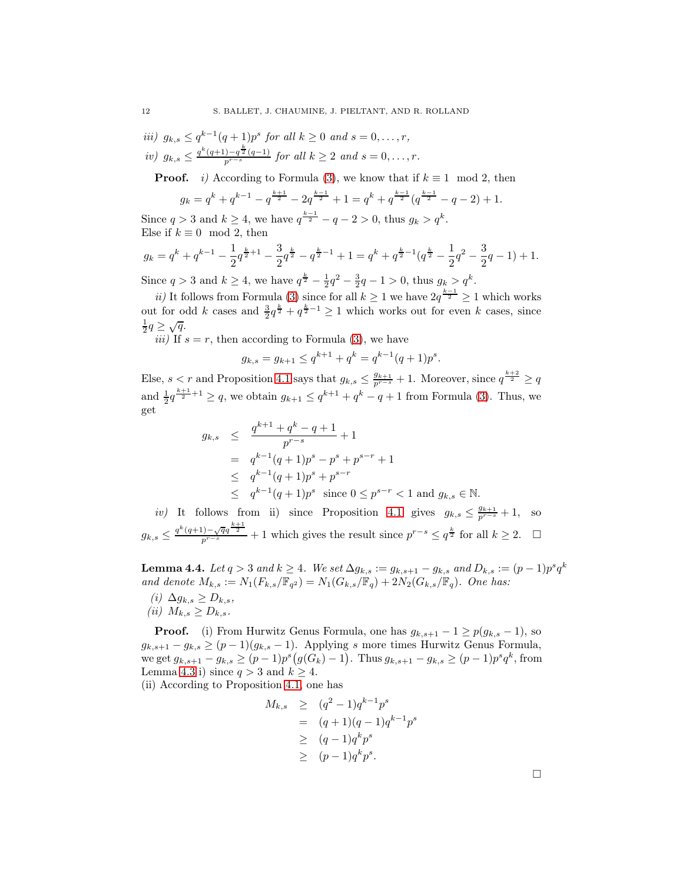iii)  $g_{k,s} \leq q^{k-1}(q+1)p^s$  for all  $k \geq 0$  and  $s = 0, \ldots, r$ , iv)  $g_{k,s} \leq \frac{q^k(q+1)-q^{\frac{k}{2}}(q-1)}{p^{r-s}}$  for all  $k \geq 2$  and  $s = 0, \ldots, r$ .

**Proof.** *i)* According to Formula [\(3\)](#page-40-1), we know that if  $k \equiv 1 \mod 2$ , then

$$
g_k = q^k + q^{k-1} - q^{\frac{k+1}{2}} - 2q^{\frac{k-1}{2}} + 1 = q^k + q^{\frac{k-1}{2}}(q^{\frac{k-1}{2}} - q - 2) + 1.
$$

Since  $q > 3$  and  $k \ge 4$ , we have  $q^{\frac{k-1}{2}} - q - 2 > 0$ , thus  $g_k > q^k$ . Else if  $k \equiv 0 \mod 2$ , then

$$
g_k = q^k + q^{k-1} - \frac{1}{2}q^{\frac{k}{2}+1} - \frac{3}{2}q^{\frac{k}{2}} - q^{\frac{k}{2}-1} + 1 = q^k + q^{\frac{k}{2}-1}(q^{\frac{k}{2}} - \frac{1}{2}q^2 - \frac{3}{2}q - 1) + 1.
$$

Since  $q > 3$  and  $k \ge 4$ , we have  $q^{\frac{k}{2}} - \frac{1}{2}q^2 - \frac{3}{2}q - 1 > 0$ , thus  $g_k > q^k$ .

ii) It follows from Formula [\(3\)](#page-40-1) since for all  $k \geq 1$  we have  $2q^{\frac{k-1}{2}} \geq 1$  which works out for odd k cases and  $\frac{3}{2}q^{\frac{k}{2}} + q^{\frac{k}{2}-1} \ge 1$  which works out for even k cases, since  $\frac{1}{2}q \geq \sqrt{q}.$ 

*iii*) If  $s = r$ , then according to Formula [\(3\)](#page-40-1), we have

$$
g_{k,s} = g_{k+1} \le q^{k+1} + q^k = q^{k-1}(q+1)p^s
$$

.

Else,  $s < r$  and Proposition [4.1](#page-41-0) says that  $g_{k,s} \leq \frac{g_{k+1}}{p^{r-s}} + 1$ . Moreover, since  $q^{\frac{k+2}{2}} \geq q$ and  $\frac{1}{2}q^{\frac{k+1}{2}+1} \ge q$ , we obtain  $g_{k+1} \le q^{k+1} + q^k - q + 1$  from Formula [\(3\)](#page-40-1). Thus, we get

$$
g_{k,s} \leq \frac{q^{k+1} + q^k - q + 1}{p^{r-s}} + 1
$$
  
=  $q^{k-1}(q+1)p^s - p^s + p^{s-r} + 1$   
 $\leq q^{k-1}(q+1)p^s + p^{s-r}$   
 $\leq q^{k-1}(q+1)p^s$  since  $0 \leq p^{s-r} < 1$  and  $g_{k,s} \in \mathbb{N}$ .

iv) It follows from ii) since Proposition [4.1](#page-41-0) gives  $g_{k,s} \leq \frac{g_{k+1}}{p^{r-s}} + 1$ , so  $g_{k,s} \leq \frac{q^k(q+1)-\sqrt{q}q^{\frac{k+1}{2}}}{p^{r-s}} + 1$  which gives the result since  $p^{r-s} \leq q^{\frac{k}{2}}$  for all  $k \geq 2$ .  $\Box$ 

**Lemma 4.4.** Let  $q > 3$  and  $k \ge 4$ . We set  $\Delta g_{k,s} := g_{k,s+1} - g_{k,s}$  and  $D_{k,s} := (p-1)p^s q^k$ and denote  $M_{k,s} := N_1(F_{k,s}/\mathbb{F}_{q^2}) = N_1(G_{k,s}/\mathbb{F}_{q}) + 2N_2(G_{k,s}/\mathbb{F}_{q})$ . One has:

 $(i)$   $\Delta g_{k,s} \geq D_{k,s},$ (ii)  $M_{k,s} \geq D_{k,s}$ .

**Proof.** (i) From Hurwitz Genus Formula, one has  $g_{k,s+1} - 1 \geq p(g_{k,s} - 1)$ , so  $g_{k,s+1} - g_{k,s} \ge (p-1)(g_{k,s}-1)$ . Applying s more times Hurwitz Genus Formula, we get  $g_{k,s+1} - g_{k,s} \ge (p-1)p^s(g(G_k) - 1)$ . Thus  $g_{k,s+1} - g_{k,s} \ge (p-1)p^s q^k$ , from Lemma [4.3](#page-42-0) i) since  $q > 3$  and  $k \geq 4$ .

(ii) According to Proposition [4.1,](#page-41-0) one has

$$
M_{k,s} \geq (q^2 - 1)q^{k-1}p^s
$$
  
=  $(q+1)(q-1)q^{k-1}p^s$   
 $\geq (q-1)q^k p^s$   
 $\geq (p-1)q^k p^s.$ 

 $\Box$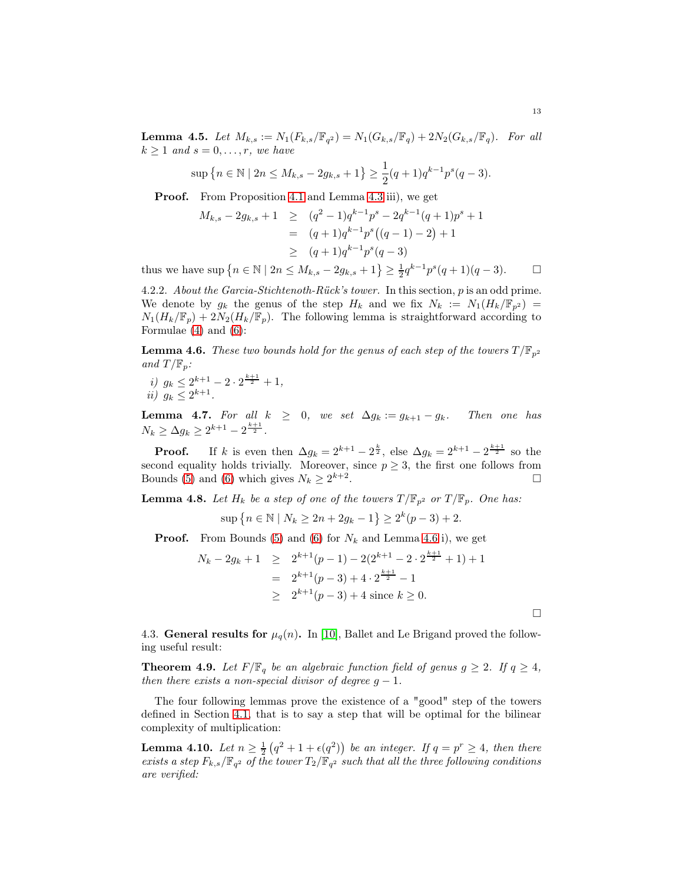**Lemma 4.5.** Let  $M_{k,s} := N_1(F_{k,s}/\mathbb{F}_{q^2}) = N_1(G_{k,s}/\mathbb{F}_{q}) + 2N_2(G_{k,s}/\mathbb{F}_{q})$ . For all  $k \geq 1$  and  $s = 0, \ldots, r$ , we have

$$
\sup\left\{n \in \mathbb{N} \mid 2n \le M_{k,s} - 2g_{k,s} + 1\right\} \ge \frac{1}{2}(q+1)q^{k-1}p^s(q-3).
$$

Proof. From Proposition [4.1](#page-41-0) and Lemma [4.3](#page-42-0) iii), we get

$$
M_{k,s} - 2g_{k,s} + 1 \ge (q^2 - 1)q^{k-1}p^s - 2q^{k-1}(q+1)p^s + 1
$$
  
=  $(q+1)q^{k-1}p^s((q-1) - 2) + 1$   
 $\ge (q+1)q^{k-1}p^s(q-3)$ 

thus we have  $\sup \{ n \in \mathbb{N} \mid 2n \le M_{k,s} - 2g_{k,s} + 1 \} \ge \frac{1}{2} q^{k-1} p^s (q+1)(q-3).$ 

4.2.2. About the Garcia-Stichtenoth-Rück's tower. In this section, p is an odd prime. We denote by  $g_k$  the genus of the step  $H_k$  and we fix  $N_k := N_1(H_k/\mathbb{F}_{p^2}) =$  $N_1(H_k/\mathbb{F}_p) + 2N_2(H_k/\mathbb{F}_p)$ . The following lemma is straightforward according to Formulae [\(4\)](#page-41-1) and [\(6\)](#page-41-2):

**Lemma 4.6.** These two bounds hold for the genus of each step of the towers  $T/\mathbb{F}_{p^2}$ and  $T/\mathbb{F}_p$ :

*i)* 
$$
g_k \le 2^{k+1} - 2 \cdot 2^{\frac{k+1}{2}} + 1
$$
,  
*ii)*  $g_k \le 2^{k+1}$ .

**Lemma 4.7.** For all  $k \geq 0$ , we set  $\Delta g_k := g_{k+1} - g_k$ . Then one has  $N_k \geq \Delta g_k \geq 2^{k+1} - 2^{\frac{k+1}{2}}$ .

**Proof.** If k is even then  $\Delta g_k = 2^{k+1} - 2^{\frac{k}{2}}$ , else  $\Delta g_k = 2^{k+1} - 2^{\frac{k+1}{2}}$  so the second equality holds trivially. Moreover, since  $p \geq 3$ , the first one follows from Bounds [\(5\)](#page-41-3) and [\(6\)](#page-41-2) which gives  $N_k \geq 2^{k+2}$ . В последните последните последните последните последните последните последните последните последните последн<br>В последните последните последните последните последните последните последните последните последните последнит

**Lemma 4.8.** Let  $H_k$  be a step of one of the towers  $T/\mathbb{F}_{p^2}$  or  $T/\mathbb{F}_p$ . One has:

$$
\sup\left\{n \in \mathbb{N} \mid N_k \ge 2n + 2g_k - 1\right\} \ge 2^k(p-3) + 2.
$$

**Proof.** From Bounds [\(5\)](#page-41-3) and [\(6\)](#page-41-2) for  $N_k$  and Lemma [4.6](#page-43-0) i), we get

$$
N_k - 2g_k + 1 \ge 2^{k+1}(p-1) - 2(2^{k+1} - 2 \cdot 2^{\frac{k+1}{2}} + 1) + 1
$$
  
=  $2^{k+1}(p-3) + 4 \cdot 2^{\frac{k+1}{2}} - 1$   
 $\ge 2^{k+1}(p-3) + 4$  since  $k \ge 0$ .

4.3. General results for  $\mu_q(n)$ . In [\[10\]](#page-60-20), Ballet and Le Brigand proved the following useful result:

**Theorem 4.9.** Let  $F/\mathbb{F}_q$  be an algebraic function field of genus  $g \geq 2$ . If  $q \geq 4$ , then there exists a non-special divisor of degree  $g - 1$ .

The four following lemmas prove the existence of a "good" step of the towers defined in Section [4.1,](#page-40-0) that is to say a step that will be optimal for the bilinear complexity of multiplication:

**Lemma 4.10.** Let  $n \geq \frac{1}{2}(q^2 + 1 + \epsilon(q^2))$  be an integer. If  $q = p^r \geq 4$ , then there exists a step  $F_{k,s}/\mathbb{F}_{q^2}$  of the tower  $T_2/\mathbb{F}_{q^2}$  such that all the three following conditions are verified:

 $\Box$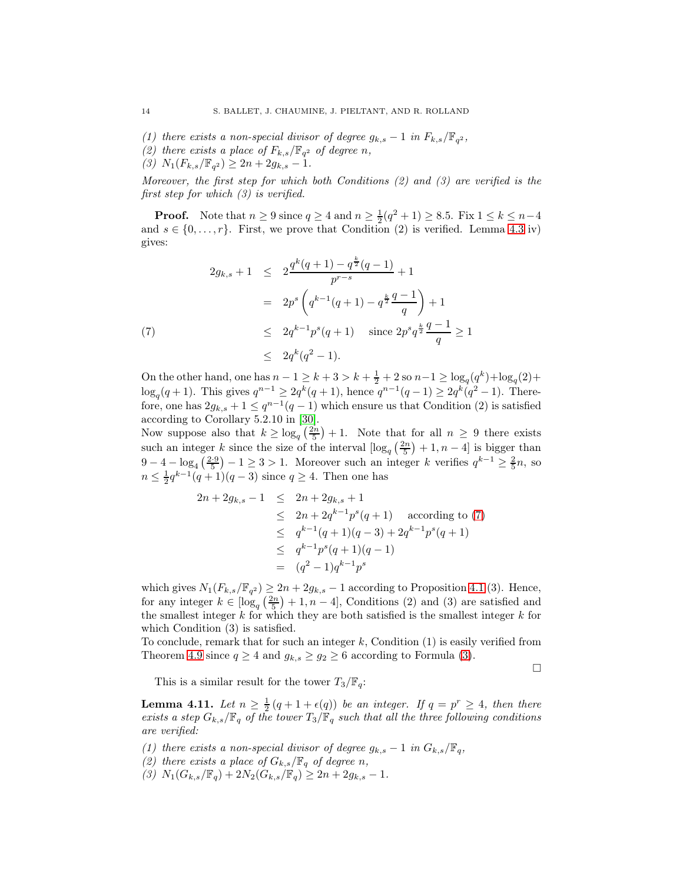- (1) there exists a non-special divisor of degree  $g_{k,s} 1$  in  $F_{k,s}/\mathbb{F}_{q^2}$ ,
- (2) there exists a place of  $F_{k,s}/\mathbb{F}_{q^2}$  of degree n,
- (3)  $N_1(F_{k,s}/\mathbb{F}_{q^2}) \ge 2n + 2g_{k,s} 1.$

Moreover, the first step for which both Conditions  $(2)$  and  $(3)$  are verified is the first step for which (3) is verified.

**Proof.** Note that  $n \ge 9$  since  $q \ge 4$  and  $n \ge \frac{1}{2}(q^2 + 1) \ge 8.5$ . Fix  $1 \le k \le n-4$ and  $s \in \{0, \ldots, r\}$ . First, we prove that Condition (2) is verified. Lemma [4.3](#page-42-0) iv) gives:

$$
2g_{k,s} + 1 \le 2\frac{q^k(q+1) - q^{\frac{k}{2}}(q-1)}{p^{r-s}} + 1
$$
  
=  $2p^s \left(q^{k-1}(q+1) - q^{\frac{k}{2}}\frac{q-1}{q}\right) + 1$   
 $\le 2q^{k-1}p^s(q+1) \text{ since } 2p^s q^{\frac{k}{2}}\frac{q-1}{q} \ge 1$   
 $\le 2q^k(q^2-1).$ 

On the other hand, one has  $n-1 \geq k+3 > k+\frac{1}{2}+2$  so  $n-1 \geq \log_q(q^k) + \log_q(2) +$  $\log_q(q+1)$ . This gives  $q^{n-1} \geq 2q^k(q+1)$ , hence  $q^{n-1}(q-1) \geq 2q^k(q^2-1)$ . Therefore, one has  $2g_{k,s} + 1 \le q^{n-1}(q-1)$  which ensure us that Condition (2) is satisfied according to Corollary 5.2.10 in [\[30\]](#page-60-21).

Now suppose also that  $k \geq \log_q \left( \frac{2n}{5} \right) + 1$ . Note that for all  $n \geq 9$  there exists such an integer k since the size of the interval  $\left[\log_q\left(\frac{2n}{5}\right)+1, n-4\right]$  is bigger than  $9-4-\log_4(\frac{2\cdot 9}{5})-1\geq 3>1$ . Moreover such an integer k verifies  $q^{k-1}\geq \frac{2}{5}n$ , so  $n \leq \frac{1}{2}q^{k-1}(q+1)(q-3)$  since  $q \geq 4$ . Then one has

$$
2n + 2g_{k,s} - 1 \le 2n + 2g_{k,s} + 1
$$
  
\n
$$
\le 2n + 2q^{k-1}p^s(q+1) \quad \text{according to (7)}
$$
  
\n
$$
\le q^{k-1}(q+1)(q-3) + 2q^{k-1}p^s(q+1)
$$
  
\n
$$
\le q^{k-1}p^s(q+1)(q-1)
$$
  
\n
$$
= (q^2 - 1)q^{k-1}p^s
$$

which gives  $N_1(F_{k,s}/\mathbb{F}_{q^2}) \geq 2n + 2g_{k,s} - 1$  according to Proposition [4.1](#page-41-0) (3). Hence, for any integer  $k \in \left[\log_q\left(\frac{2n}{5}\right)+1, n-4\right]$ , Conditions (2) and (3) are satisfied and the smallest integer  $k$  for which they are both satisfied is the smallest integer  $k$  for which Condition  $(3)$  is satisfied.

To conclude, remark that for such an integer  $k$ , Condition  $(1)$  is easily verified from Theorem [4.9](#page-44-1) since  $q \ge 4$  and  $g_{k,s} \ge g_2 \ge 6$  according to Formula [\(3\)](#page-40-1).

 $\Box$ 

This is a similar result for the tower  $T_3/\mathbb{F}_q$ :

**Lemma 4.11.** Let  $n \geq \frac{1}{2}(q+1+\epsilon(q))$  be an integer. If  $q = p^r \geq 4$ , then there exists a step  $G_{k,s}/\mathbb{F}_q$  of the tower  $T_3/\mathbb{F}_q$  such that all the three following conditions are verified:

- (1) there exists a non-special divisor of degree  $g_{k,s} 1$  in  $G_{k,s}/\mathbb{F}_q$ ,
- (2) there exists a place of  $G_{k,s}/\mathbb{F}_q$  of degree n,
- (3)  $N_1(G_{k,s}/\mathbb{F}_q) + 2N_2(G_{k,s}/\mathbb{F}_q) \geq 2n + 2g_{k,s} 1.$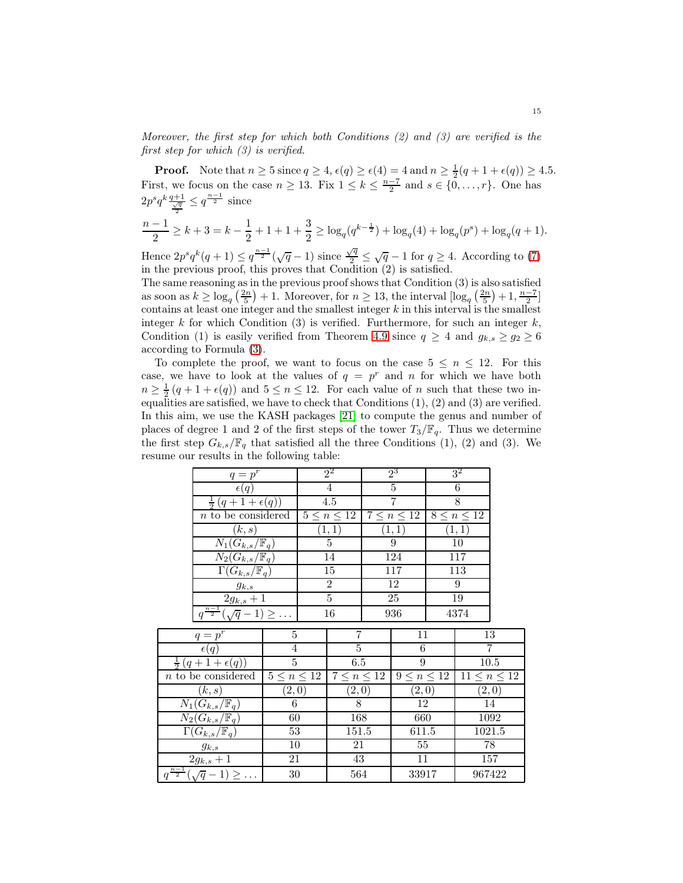Moreover, the first step for which both Conditions  $(2)$  and  $(3)$  are verified is the first step for which  $(3)$  is verified.

**Proof.** Note that  $n \geq 5$  since  $q \geq 4$ ,  $\epsilon(q) \geq \epsilon(4) = 4$  and  $n \geq \frac{1}{2}(q+1+\epsilon(q)) \geq 4.5$ . First, we focus on the case  $n \geq 13$ . Fix  $1 \leq k \leq \frac{n-7}{2}$  and  $s \in \{0, \ldots, r\}$ . One has  $2p^sq^k\frac{q+1}{\frac{\sqrt{q}}{2}} \leq q^{\frac{n-1}{2}}$  since

$$
\frac{n-1}{2} \geq k+3 = k - \frac{1}{2} + 1 + 1 + \frac{3}{2} \geq \log_q(q^{k-\frac{1}{2}}) + \log_q(4) + \log_q(p^s) + \log_q(q+1).
$$

Hence  $2p^s q^k (q+1) \leq q^{\frac{n-1}{2}} (\sqrt{q}-1)$  since  $\frac{\sqrt{q}}{2}$  $\sqrt{\frac{q}{2}} \leq \sqrt{q} - 1$  for  $q \geq 4$ . According to [\(7\)](#page-44-0) in the previous proof, this proves that Condition (2) is satisfied.

The same reasoning as in the previous proof shows that Condition (3) is also satisfied as soon as  $k \geq \log_q(\frac{2n}{5}) + 1$ . Moreover, for  $n \geq 13$ , the interval  $\lfloor \log_q(\frac{2n}{5}) + 1, \frac{n-7}{2} \rfloor$ contains at least one integer and the smallest integer  $k$  in this interval is the smallest integer  $k$  for which Condition (3) is verified. Furthermore, for such an integer  $k$ , Condition (1) is easily verified from Theorem [4.9](#page-44-1) since  $q \geq 4$  and  $g_{k,s} \geq g_2 \geq 6$ according to Formula [\(3\)](#page-40-1).

To complete the proof, we want to focus on the case  $5 \leq n \leq 12$ . For this case, we have to look at the values of  $q = p^r$  and n for which we have both  $n \geq \frac{1}{2}(q+1+\epsilon(q))$  and  $5 \leq n \leq 12$ . For each value of n such that these two inequalities are satisfied, we have to check that Conditions  $(1)$ ,  $(2)$  and  $(3)$  are verified. In this aim, we use the KASH packages [\[21\]](#page-60-22) to compute the genus and number of places of degree 1 and 2 of the first steps of the tower  $T_3/\mathbb{F}_q$ . Thus we determine the first step  $G_{k,s}/\mathbb{F}_q$  that satisfied all the three Conditions (1), (2) and (3). We resume our results in the following table:

|                                                | $q=p^r$                                     |                    | $2^2$            |                    | $2^3$          |                    | $3^2$           |                     |                |
|------------------------------------------------|---------------------------------------------|--------------------|------------------|--------------------|----------------|--------------------|-----------------|---------------------|----------------|
|                                                | $\epsilon(q)$                               |                    |                  | $\overline{4}$     |                | $\overline{5}$     |                 | $\overline{6}$      |                |
|                                                | $\frac{1}{2}(q+1+\epsilon(q))$              |                    | $\overline{4.5}$ |                    | $\overline{7}$ |                    | $\overline{8}$  |                     |                |
|                                                | $n$ to be considered                        |                    |                  | $5 \leq n \leq 12$ |                | $7\leq n\leq 12$   |                 | $8\leq n\leq 12$    |                |
| (k,s)                                          |                                             | (1,1)              |                  | (1,1)              |                | (1,1)              |                 |                     |                |
|                                                | $N_1(G_{k,s}/\mathbb{F}_q)$                 |                    | $\overline{5}$   |                    | $\overline{9}$ |                    | $\overline{10}$ |                     |                |
| $N_2(G_{k,s}/\mathbb{F}_q)$                    |                                             | 14                 |                  | 124                |                | 117                |                 |                     |                |
|                                                | $\overline{\Gamma(G_{k,s}/\mathbb{F}_q)}$   |                    | $\overline{15}$  |                    | 117            |                    | 113             |                     |                |
|                                                | $g_{k,s}$                                   |                    |                  | $\overline{2}$     |                | 12                 |                 | 9                   |                |
| $2g_{k,s} + 1$                                 |                                             | $\overline{5}$     |                  | 25                 |                | 19                 |                 |                     |                |
|                                                | $q^{\frac{n-1}{2}}(\sqrt{q}-1) \geq \ldots$ |                    |                  | 16                 |                | 936                |                 | 4374                |                |
|                                                | $q=p^r$                                     | 5                  |                  | 7                  |                | 11                 |                 | 13                  |                |
|                                                | $\epsilon(q)$                               | 4                  |                  | $\overline{5}$     |                | 6                  |                 |                     | $\overline{7}$ |
|                                                | $\frac{1}{2}(q+1+\epsilon(q))$              | $\overline{5}$     |                  | 6.5                |                | $\overline{9}$     |                 | $\overline{10.5}$   |                |
|                                                | $n$ to be considered                        | $5 \leq n \leq 12$ |                  | $7 \leq n \leq 12$ |                | $9 \leq n \leq 12$ |                 | $11 \leq n \leq 12$ |                |
| (2,0)<br>(k,s)                                 |                                             |                    | (2,0)            |                    | (2,0)          |                    | (2,0)           |                     |                |
| $6\overline{6}$<br>$N_1(G_{k,s}/\mathbb{F}_q)$ |                                             |                    | $\overline{8}$   |                    | 12             |                    | 14              |                     |                |
|                                                | $\overline{N_2}(G_{k,s}/\mathbb{F}_q)$      | 60                 |                  | 168                |                | 660                |                 | 1092                |                |
|                                                | $\Gamma(G_{k,s}/\mathbb{F}_q)$              | 53                 |                  | 151.5              |                | 611.5              |                 | 1021.5              |                |
|                                                | $g_{k,s}$                                   | $10\,$             |                  | $21\,$             |                | 55                 |                 |                     | 78             |
|                                                | $2\overline{g_{k,s}+1}$                     | 21                 |                  | 43                 |                | 11                 |                 |                     | 157            |
|                                                | $q^{\frac{n-1}{2}}(\sqrt{q}-1) \geq \ldots$ | $30\,$             |                  | 564                |                | 33917              |                 | 967422              |                |
|                                                |                                             |                    |                  |                    |                |                    |                 |                     |                |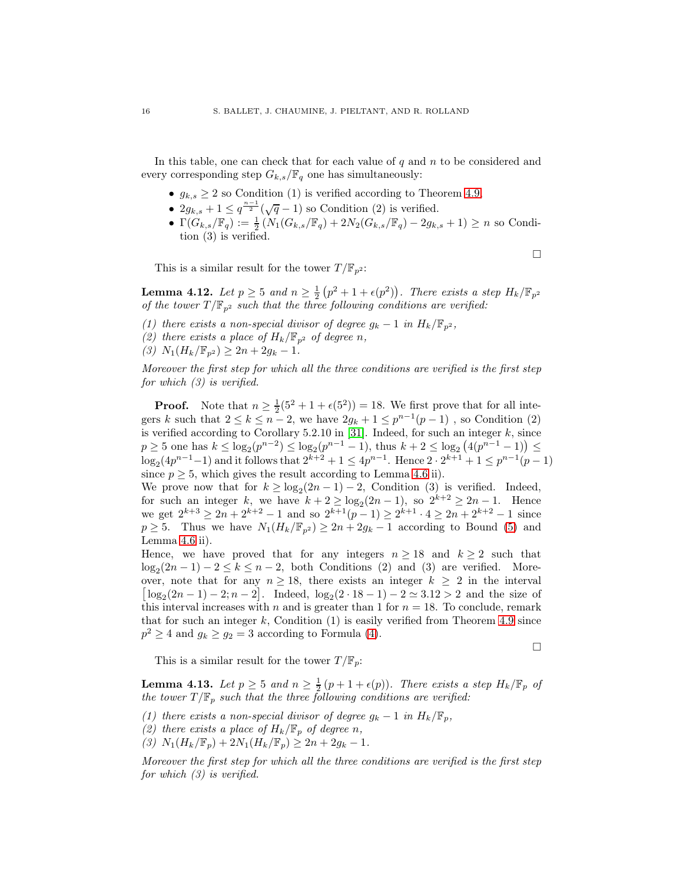In this table, one can check that for each value of q and  $n$  to be considered and every corresponding step  $G_{k,s}/\mathbb{F}_q$  one has simultaneously:

- $q_{k,s} \geq 2$  so Condition (1) is verified according to Theorem [4.9,](#page-44-1)
- $2g_{k,s} + 1 \leq q^{\frac{n-1}{2}}(\sqrt{q}-1)$  so Condition (2) is verified.
- $\Gamma(G_{k,s}/\mathbb{F}_{q}) := \frac{1}{2} \left( N_1(G_{k,s}/\mathbb{F}_{q}) + 2N_2(G_{k,s}/\mathbb{F}_{q}) 2g_{k,s} + 1 \right) \geq n$  so Condition (3) is verified.

This is a similar result for the tower  $T/\mathbb{F}_{p^2}$ :

**Lemma 4.12.** Let  $p \ge 5$  and  $n \ge \frac{1}{2}(p^2 + 1 + \epsilon(p^2))$ . There exists a step  $H_k / \mathbb{F}_{p^2}$ of the tower  $T/\mathbb{F}_{p^2}$  such that the three following conditions are verified:

- (1) there exists a non-special divisor of degree  $g_k 1$  in  $H_k/\mathbb{F}_{p^2}$ ,
- (2) there exists a place of  $H_k/\mathbb{F}_{p^2}$  of degree n,
- (3)  $N_1(H_k/\mathbb{F}_{p^2}) \geq 2n + 2g_k 1.$

Moreover the first step for which all the three conditions are verified is the first step for which (3) is verified.

**Proof.** Note that  $n \geq \frac{1}{2}(5^2 + 1 + \epsilon(5^2)) = 18$ . We first prove that for all integers k such that  $2 \le k \le n-2$ , we have  $2g_k + 1 \le p^{n-1}(p-1)$ , so Condition (2) is verified according to Corollary 5.2.10 in [\[31\]](#page-60-23). Indeed, for such an integer  $k$ , since  $p \ge 5$  one has  $k \le \log_2(p^{n-2}) \le \log_2(p^{n-1}-1)$ , thus  $k+2 \le \log_2(4(p^{n-1}-1)) \le$  $\log_2(4p^{n-1}-1)$  and it follows that  $2^{k+2}+1 \le 4p^{n-1}$ . Hence  $2 \cdot 2^{k+1}+1 \le p^{n-1}(p-1)$ since  $p \geq 5$ , which gives the result according to Lemma [4.6](#page-43-0) ii).

We prove now that for  $k \geq \log_2(2n-1) - 2$ , Condition (3) is verified. Indeed, for such an integer k, we have  $k + 2 \ge \log_2(2n-1)$ , so  $2^{k+2} \ge 2n-1$ . Hence we get  $2^{k+3} \ge 2n + 2^{k+2} - 1$  and so  $2^{k+1}(p-1) \ge 2^{k+1} \cdot 4 \ge 2n + 2^{k+2} - 1$  since  $p \geq 5$ . Thus we have  $N_1(H_k/\mathbb{F}_{n^2}) \geq 2n + 2g_k - 1$  according to Bound [\(5\)](#page-41-3) and Lemma [4.6](#page-43-0) ii).

Hence, we have proved that for any integers  $n \geq 18$  and  $k \geq 2$  such that  $log_2(2n-1) - 2 \le k \le n-2$ , both Conditions (2) and (3) are verified. Moreover, note that for any  $n \geq 18$ , there exists an integer  $k \geq 2$  in the interval  $\lfloor \log_2(2n-1) - 2; n-2 \rfloor$ . Indeed,  $\log_2(2 \cdot 18 - 1) - 2 \simeq 3.12 > 2$  and the size of this interval increases with n and is greater than 1 for  $n = 18$ . To conclude, remark that for such an integer k, Condition  $(1)$  is easily verified from Theorem [4.9](#page-44-1) since  $p^2 \ge 4$  and  $g_k \ge g_2 = 3$  according to Formula [\(4\)](#page-41-1).

This is a similar result for the tower  $T/\mathbb{F}_p$ :

**Lemma 4.13.** Let  $p \ge 5$  and  $n \ge \frac{1}{2}(p+1+\epsilon(p))$ . There exists a step  $H_k/\mathbb{F}_p$  of the tower  $T/\mathbb{F}_p$  such that the three following conditions are verified:

- (1) there exists a non-special divisor of degree  $g_k 1$  in  $H_k/\mathbb{F}_p$ ,
- (2) there exists a place of  $H_k/\mathbb{F}_p$  of degree n,
- (3)  $N_1(H_k/\mathbb{F}_p) + 2N_1(H_k/\mathbb{F}_p) \geq 2n + 2g_k 1.$

Moreover the first step for which all the three conditions are verified is the first step for which  $(3)$  is verified.

$$
\Box
$$

 $\Box$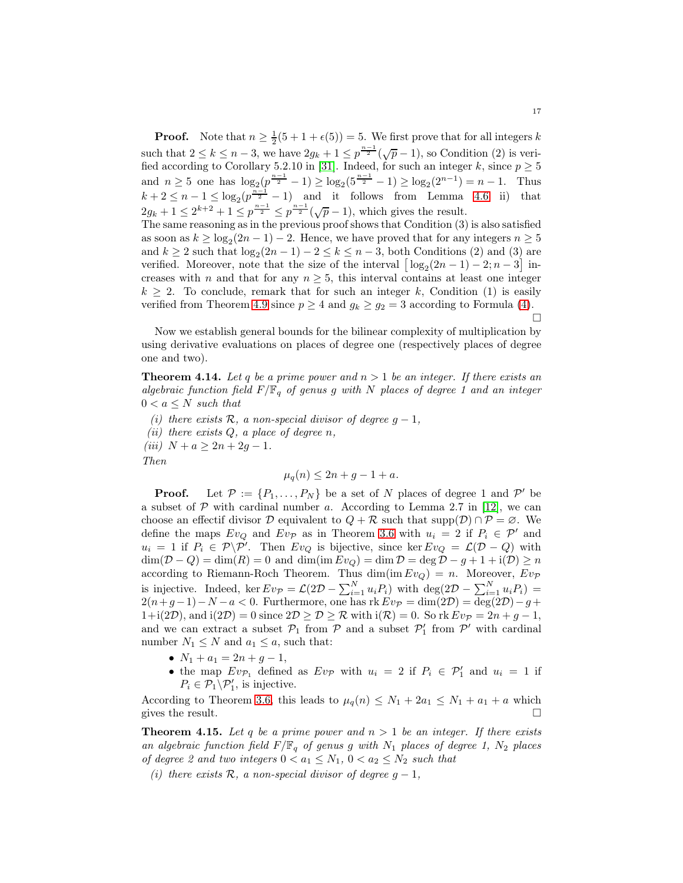**Proof.** Note that  $n \geq \frac{1}{2}(5 + 1 + \epsilon(5)) = 5$ . We first prove that for all integers k such that  $2 \le k \le n-3$ , we have  $2g_k + 1 \le p^{\frac{n-1}{2}}(\sqrt{p}-1)$ , so Condition (2) is veri-fied according to Corollary 5.2.10 in [\[31\]](#page-60-23). Indeed, for such an integer k, since  $p \geq 5$ and  $n \geq 5$  one has  $\log_2(\frac{p^{n-1}}{2} - 1) \geq \log_2(5^{\frac{n-1}{2}} - 1) \geq \log_2(2^{n-1}) = n - 1$ . Thus  $k+2 \leq n-1 \leq \log_2(p^{\frac{n-1}{2}}-1)$  and it follows from Lemma [4.6](#page-43-0) ii) that  $2g_k + 1 \leq 2^{k+2} + 1 \leq p^{\frac{n-1}{2}} \leq p^{\frac{n-1}{2}}(\sqrt{p}-1)$ , which gives the result.

The same reasoning as in the previous proof shows that Condition (3) is also satisfied as soon as  $k \geq \log_2(2n-1) - 2$ . Hence, we have proved that for any integers  $n \geq 5$ and  $k \ge 2$  such that  $\log_2(2n-1) - 2 \le k \le n-3$ , both Conditions (2) and (3) are verified. Moreover, note that the size of the interval  $\left[\log_2(2n-1)-2; n-3\right]$  increases with n and that for any  $n \geq 5$ , this interval contains at least one integer  $k \geq 2$ . To conclude, remark that for such an integer k, Condition (1) is easily verified from Theorem [4.9](#page-44-1) since  $p \ge 4$  and  $g_k \ge g_2 = 3$  according to Formula [\(4\)](#page-41-1).  $\Box$ 

Now we establish general bounds for the bilinear complexity of multiplication by using derivative evaluations on places of degree one (respectively places of degree one and two).

**Theorem 4.14.** Let q be a prime power and  $n > 1$  be an integer. If there exists an algebraic function field  $F/\mathbb{F}_q$  of genus g with N places of degree 1 and an integer  $0 < a \leq N$  such that

(i) there exists  $\mathcal{R}$ , a non-special divisor of degree  $g - 1$ , (*ii*) there exists  $Q$ , a place of degree  $n$ , (iii)  $N + a \geq 2n + 2g - 1$ . Then

$$
\mu_q(n) \le 2n + g - 1 + a.
$$

**Proof.** Let  $\mathcal{P} := \{P_1, \ldots, P_N\}$  be a set of N places of degree 1 and  $\mathcal{P}'$  be a subset of  $P$  with cardinal number a. According to Lemma 2.7 in [\[12\]](#page-60-14), we can choose an effectif divisor D equivalent to  $Q + \mathcal{R}$  such that supp $(\mathcal{D}) \cap \mathcal{P} = \emptyset$ . We define the maps  $Ev_Q$  and  $Ev_{\mathcal{P}}$  as in Theorem [3.6](#page-37-0) with  $u_i = 2$  if  $P_i \in \mathcal{P}'$  and  $u_i = 1$  if  $P_i \in \mathcal{P} \backslash \mathcal{P}'$ . Then  $Ev_Q$  is bijective, since ker  $Ev_Q = \mathcal{L}(\mathcal{D} - Q)$  with  $\dim(\mathcal{D} - Q) = \dim(R) = 0$  and  $\dim(\text{im} E v_Q) = \dim \mathcal{D} = \deg \mathcal{D} - g + 1 + i(\mathcal{D}) \ge n$ according to Riemann-Roch Theorem. Thus  $\dim(\mathrm{im} E v_Q) = n$ . Moreover,  $E v_{\mathcal{P}}$ is injective. Indeed, ker  $E v_{\mathcal{P}} = \mathcal{L}(2\mathcal{D} - \sum_{i=1}^{N} u_i P_i)$  with  $\deg(2\mathcal{D} - \sum_{i=1}^{N} u_i P_i) =$  $2(n+g-1)-N-a < 0$ . Furthermore, one has rk  $Ev_{\mathcal{P}} = \dim(2\mathcal{D}) = \deg(2\mathcal{D})-g+$  $1+i(2\mathcal{D})$ , and  $i(2\mathcal{D})=0$  since  $2\mathcal{D}\geq \mathcal{D}\geq \mathcal{R}$  with  $i(\mathcal{R})=0$ . So rk  $Ev_{\mathcal{P}}=2n+g-1$ , and we can extract a subset  $\mathcal{P}_1$  from  $\mathcal{P}$  and a subset  $\mathcal{P}'_1$  from  $\mathcal{P}'$  with cardinal number  $N_1 \leq N$  and  $a_1 \leq a$ , such that:

- $N_1 + a_1 = 2n + g 1$ ,
- the map  $Ev_{\mathcal{P}_1}$  defined as  $Ev_{\mathcal{P}}$  with  $u_i = 2$  if  $P_i \in \mathcal{P}'_1$  and  $u_i = 1$  if  $P_i \in \mathcal{P}_1 \backslash \mathcal{P}'_1$ , is injective.

According to Theorem [3.6,](#page-37-0) this leads to  $\mu_q(n) \leq N_1 + 2a_1 \leq N_1 + a_1 + a$  which gives the result gives the result.

**Theorem 4.15.** Let q be a prime power and  $n > 1$  be an integer. If there exists an algebraic function field  $F/\mathbb{F}_q$  of genus g with  $N_1$  places of degree 1,  $N_2$  places of degree 2 and two integers  $0 < a_1 \leq N_1$ ,  $0 < a_2 \leq N_2$  such that

(i) there exists  $\mathcal{R}$ , a non-special divisor of degree  $g-1$ ,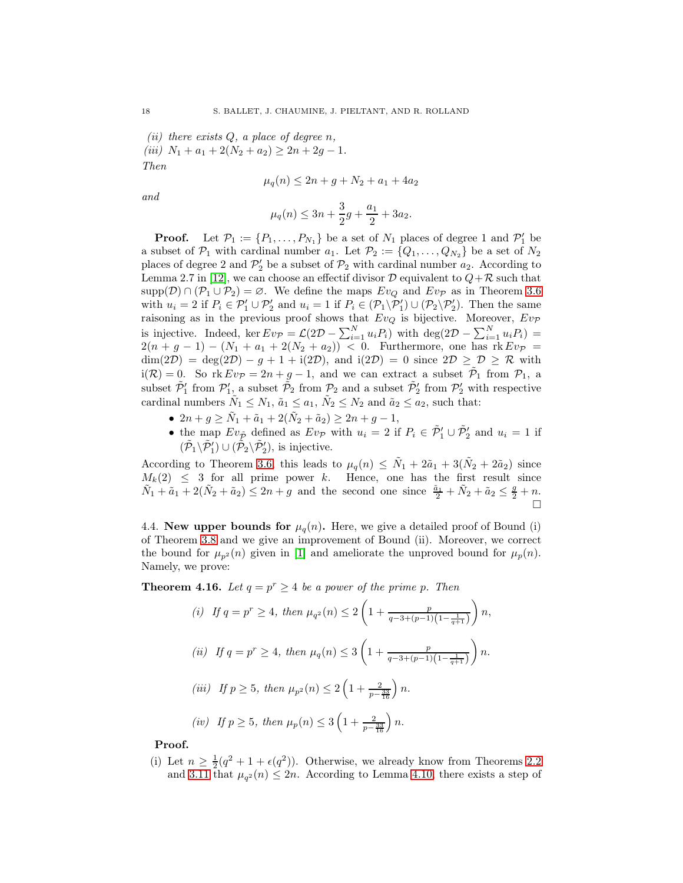(*ii*) there exists  $Q$ , a place of degree n, (iii)  $N_1 + a_1 + 2(N_2 + a_2) \geq 2n + 2g - 1.$ Then

$$
\mu_q(n) \le 2n + g + N_2 + a_1 + 4a_2
$$

and

$$
\mu_q(n) \le 3n + \frac{3}{2}g + \frac{a_1}{2} + 3a_2.
$$

**Proof.** Let  $\mathcal{P}_1 := \{P_1, \ldots, P_{N_1}\}$  be a set of  $N_1$  places of degree 1 and  $\mathcal{P}'_1$  be a subset of  $\mathcal{P}_1$  with cardinal number  $a_1$ . Let  $\mathcal{P}_2 := \{Q_1, \ldots, Q_{N_2}\}\$ be a set of  $N_2$ places of degree 2 and  $\mathcal{P}'_2$  be a subset of  $\mathcal{P}_2$  with cardinal number  $a_2$ . According to Lemma 2.7 in [\[12\]](#page-60-14), we can choose an effect if divisor  $D$  equivalent to  $Q+\mathcal{R}$  such that  $supp(D) \cap (\mathcal{P}_1 \cup \mathcal{P}_2) = \emptyset$ . We define the maps  $Ev_Q$  and  $Ev_{\mathcal{P}}$  as in Theorem [3.6](#page-37-0) with  $u_i = 2$  if  $P_i \in \mathcal{P}_1' \cup \mathcal{P}_2'$  and  $u_i = 1$  if  $P_i \in (\mathcal{P}_1 \backslash \mathcal{P}_1') \cup (\mathcal{P}_2 \backslash \mathcal{P}_2')$ . Then the same raisoning as in the previous proof shows that  $Ev_Q$  is bijective. Moreover,  $Ev_{\mathcal{P}}$ is injective. Indeed, ker  $Ev_{\mathcal{P}} = \mathcal{L}(2\mathcal{D} - \sum_{i=1}^{N} u_i P_i)$  with  $\deg(2\mathcal{D} - \sum_{i=1}^{N} u_i P_i) =$  $2(n + g - 1) - (N_1 + a_1 + 2(N_2 + a_2)) < 0$ . Furthermore, one has rk  $Ev_p =$  $\dim(2\mathcal{D}) = \deg(2\mathcal{D}) - g + 1 + i(2\mathcal{D}), \text{ and } i(2\mathcal{D}) = 0 \text{ since } 2\mathcal{D} \geq \mathcal{D} \geq \mathcal{R} \text{ with }$  $i(\mathcal{R}) = 0$ . So  $rk Ev_{\mathcal{P}} = 2n + g - 1$ , and we can extract a subset  $\tilde{\mathcal{P}}_1$  from  $\mathcal{P}_1$ , a subset  $\tilde{P}_1'$  from  $P_1'$ , a subset  $\tilde{P}_2$  from  $P_2$  and a subset  $\tilde{P}_2'$  from  $P_2'$  with respective cardinal numbers  $\tilde{N}_1 \leq N_1$ ,  $\tilde{a}_1 \leq a_1$ ,  $\tilde{N}_2 \leq N_2$  and  $\tilde{a}_2 \leq a_2$ , such that:

- $2n + g \geq \tilde{N}_1 + \tilde{a}_1 + 2(\tilde{N}_2 + \tilde{a}_2) \geq 2n + g 1$ ,
- the map  $Ev_{\tilde{P}}$  defined as  $Ev_{\tilde{P}}$  with  $u_i = 2$  if  $P_i \in \tilde{P}'_1 \cup \tilde{P}'_2$  and  $u_i = 1$  if  $(\tilde{\mathcal{P}}_1 \backslash \tilde{\mathcal{P}}'_1) \cup (\tilde{\mathcal{P}}_2 \backslash \tilde{\mathcal{P}}'_2)$ , is injective.

According to Theorem [3.6,](#page-37-0) this leads to  $\mu_q(n) \leq \tilde{N}_1 + 2\tilde{a}_1 + 3(\tilde{N}_2 + 2\tilde{a}_2)$  since  $M_k(2) \leq 3$  for all prime power k. Hence, one has the first result since  $\tilde{N}_1 + \tilde{a}_1 + 2(\tilde{N}_2 + \tilde{a}_2) \leq 2n + g$  and the second one since  $\frac{\tilde{a}_1}{2} + \tilde{N}_2 + \tilde{a}_2 \leq \frac{g}{2} + n$ .

4.4. New upper bounds for  $\mu_q(n)$ . Here, we give a detailed proof of Bound (i) of Theorem [3.8](#page-38-1) and we give an improvement of Bound (ii). Moreover, we correct the bound for  $\mu_{p^2}(n)$  given in [\[1\]](#page-59-2) and ameliorate the unproved bound for  $\mu_p(n)$ . Namely, we prove:

**Theorem 4.16.** Let  $q = p^r \ge 4$  be a power of the prime p. Then

(i) If 
$$
q = p^r \ge 4
$$
, then  $\mu_{q^2}(n) \le 2\left(1 + \frac{p}{q-3+(p-1)\left(1-\frac{1}{q+1}\right)}\right)n$ ,  
\n(ii) If  $q = p^r \ge 4$ , then  $\mu_q(n) \le 3\left(1 + \frac{p}{q-3+(p-1)\left(1-\frac{1}{q+1}\right)}\right)n$ .  
\n(iii) If  $p \ge 5$ , then  $\mu_{p^2}(n) \le 2\left(1 + \frac{2}{p-\frac{33}{16}}\right)n$ .  
\n(iv) If  $p \ge 5$ , then  $\mu_p(n) \le 3\left(1 + \frac{2}{p-\frac{33}{16}}\right)n$ .

Proof.

(i) Let  $n \geq \frac{1}{2}(q^2 + 1 + \epsilon(q^2))$ . Otherwise, we already know from Theorems [2.2](#page-32-1) and [3.11](#page-39-1) that  $\mu_{q^2}(n) \leq 2n$ . According to Lemma [4.10,](#page-44-2) there exists a step of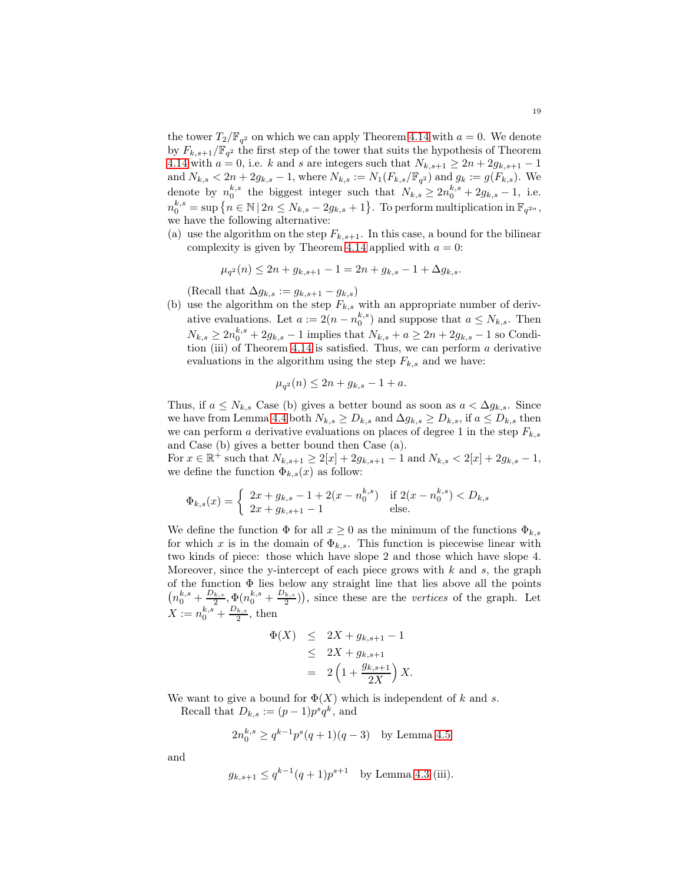the tower  $T_2/\mathbb{F}_{q^2}$  on which we can apply Theorem [4.14](#page-47-0) with  $a = 0$ . We denote by  $F_{k,s+1}/\mathbb{F}_{q^2}$  the first step of the tower that suits the hypothesis of Theorem [4.14](#page-47-0) with  $a = 0$ , i.e. k and s are integers such that  $N_{k,s+1} \geq 2n + 2g_{k,s+1} - 1$ and  $N_{k,s} < 2n + 2g_{k,s} - 1$ , where  $N_{k,s} := N_1(F_{k,s}/\mathbb{F}_{q^2})$  and  $g_k := g(F_{k,s})$ . We denote by  $n_0^{k,s}$  the biggest integer such that  $N_{k,s} \geq 2n_0^{k,s} + 2g_{k,s} - 1$ , i.e.  $n_0^{k,s} = \sup \left\{ n \in \mathbb{N} \, | \, 2n \le N_{k,s} - 2g_{k,s} + 1 \right\}.$  To perform multiplication in  $\mathbb{F}_{q^{2n}}$ , we have the following alternative:

(a) use the algorithm on the step  $F_{k,s+1}$ . In this case, a bound for the bilinear complexity is given by Theorem [4.14](#page-47-0) applied with  $a = 0$ :

$$
\mu_{q^2}(n) \le 2n + g_{k,s+1} - 1 = 2n + g_{k,s} - 1 + \Delta g_{k,s}.
$$

(Recall that  $\Delta g_{k,s} := g_{k,s+1} - g_{k,s}$ )

(b) use the algorithm on the step  $F_{k,s}$  with an appropriate number of derivative evaluations. Let  $a := 2(n - n_0^{k,s})$  and suppose that  $a \leq N_{k,s}$ . Then  $N_{k,s} \ge 2n_0^{k,s} + 2g_{k,s} - 1$  implies that  $N_{k,s} + a \ge 2n + 2g_{k,s} - 1$  so Condi-tion (iii) of Theorem [4.14](#page-47-0) is satisfied. Thus, we can perform  $a$  derivative evaluations in the algorithm using the step  $F_{k,s}$  and we have:

$$
\mu_{q^2}(n) \le 2n + g_{k,s} - 1 + a.
$$

Thus, if  $a \leq N_{k,s}$  Case (b) gives a better bound as soon as  $a < \Delta g_{k,s}$ . Since we have from Lemma [4.4](#page-42-1) both  $N_{k,s} \geq D_{k,s}$  and  $\Delta g_{k,s} \geq D_{k,s}$ , if  $a \leq D_{k,s}$  then we can perform a derivative evaluations on places of degree 1 in the step  $F_{k,s}$ and Case (b) gives a better bound then Case (a).

For  $x \in \mathbb{R}^+$  such that  $N_{k,s+1} \geq 2[x] + 2g_{k,s+1} - 1$  and  $N_{k,s} < 2[x] + 2g_{k,s} - 1$ , we define the function  $\Phi_{k,s}(x)$  as follow:

$$
\Phi_{k,s}(x) = \begin{cases} 2x + g_{k,s} - 1 + 2(x - n_0^{k,s}) & \text{if } 2(x - n_0^{k,s}) < D_{k,s} \\ 2x + g_{k,s+1} - 1 & \text{else.} \end{cases}
$$

We define the function  $\Phi$  for all  $x \geq 0$  as the minimum of the functions  $\Phi_{k,s}$ for which x is in the domain of  $\Phi_{k,s}$ . This function is piecewise linear with two kinds of piece: those which have slope 2 and those which have slope 4. Moreover, since the y-intercept of each piece grows with  $k$  and  $s$ , the graph of the function  $\Phi$  lies below any straight line that lies above all the points  $\left(n_0^{k,s} + \frac{D_{k,s}}{2}\right)$  $\frac{Q_{k,s}}{2},\Phi(n_0^{k,s}+\frac{D_{k,s}}{2})$  $\left(\frac{k,s}{2}\right)$ , since these are the *vertices* of the graph. Let  $X := n_0^{k,s} + \frac{D_{k,s}}{2}$  $\frac{k,s}{2}$ , then

$$
\Phi(X) \le 2X + g_{k,s+1} - 1
$$
  
\n
$$
\le 2X + g_{k,s+1}
$$
  
\n
$$
= 2\left(1 + \frac{g_{k,s+1}}{2X}\right)X.
$$

We want to give a bound for  $\Phi(X)$  which is independent of k and s.

Recall that  $D_{k,s} := (p-1)p^s q^k$ , and

$$
2n_0^{k,s} \ge q^{k-1}p^s(q+1)(q-3)
$$
 by Lemma 4.5

and

$$
g_{k,s+1} \le q^{k-1}(q+1)p^{s+1}
$$
 by Lemma 4.3 (iii).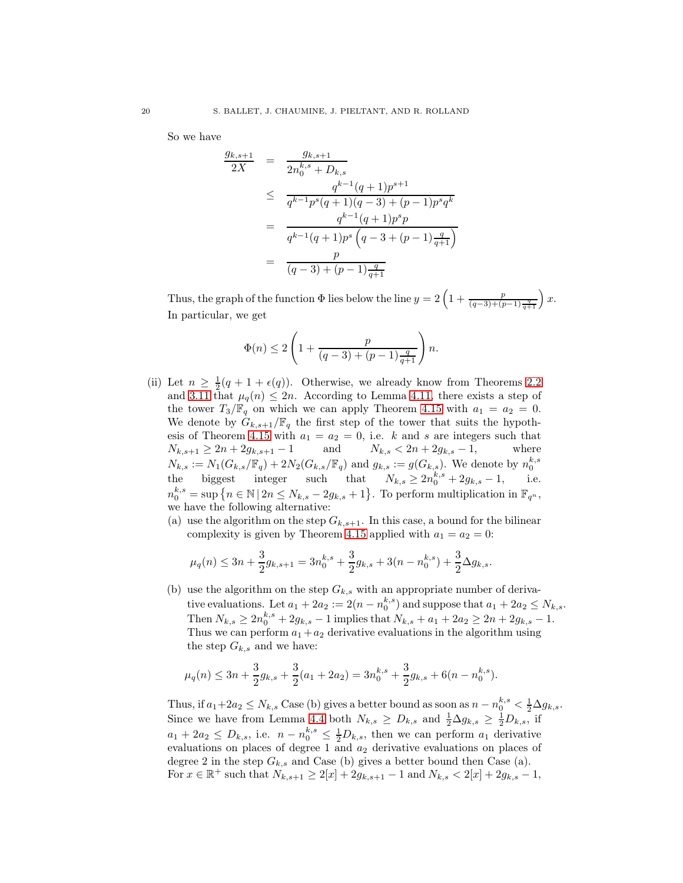So we have

$$
\frac{g_{k,s+1}}{2X} = \frac{g_{k,s+1}}{2n_0^{k,s} + D_{k,s}}
$$
\n
$$
\leq \frac{q^{k-1}(q+1)p^{s+1}}{q^{k-1}p^s(q+1)(q-3) + (p-1)p^s q^k}
$$
\n
$$
= \frac{q^{k-1}(q+1)p^s p}{q^{k-1}(q+1)p^s (q-3+(p-1)\frac{q}{q+1})}
$$
\n
$$
= \frac{p}{(q-3)+(p-1)\frac{q}{q+1}}
$$

Thus, the graph of the function  $\Phi$  lies below the line  $y = 2\left(1 + \frac{p}{(q-3)+(p-1)\frac{q}{q+1}}\right)x$ . In particular, we get

$$
\Phi(n)\leq 2\left(1+\frac{p}{(q-3)+(p-1)\frac{q}{q+1}}\right)n.
$$

- (ii) Let  $n \geq \frac{1}{2}(q+1+\epsilon(q))$ . Otherwise, we already know from Theorems [2.2](#page-32-1) and [3.11](#page-39-1) that  $\mu_q(n) \leq 2n$ . According to Lemma [4.11,](#page-45-0) there exists a step of the tower  $T_3/\mathbb{F}_q$  on which we can apply Theorem [4.15](#page-48-1) with  $a_1 = a_2 = 0$ . We denote by  $G_{k,s+1}/\mathbb{F}_q$  the first step of the tower that suits the hypoth-esis of Theorem [4.15](#page-48-1) with  $a_1 = a_2 = 0$ , i.e. k and s are integers such that  $N_{k,s+1} \geq 2n + 2g_{k,s+1} - 1$  and  $N_{k,s} < 2n + 2g_{k,s} - 1$ , where  $N_{k,s} := N_1(G_{k,s}/\mathbb{F}_q) + 2N_2(G_{k,s}/\mathbb{F}_q)$  and  $g_{k,s} := g(G_{k,s})$ . We denote by  $n_0^{k,s}$ the biggest integer such that  $N_{k,s} \geq 2n_0^{k,s} + 2g_{k,s} - 1$ , i.e.  $n_0^{k,s} = \sup \{ n \in \mathbb{N} \mid 2n \le N_{k,s} - 2g_{k,s} + 1 \}.$  To perform multiplication in  $\mathbb{F}_{q^n}$ , we have the following alternative:
	- (a) use the algorithm on the step  $G_{k,s+1}$ . In this case, a bound for the bilinear complexity is given by Theorem [4.15](#page-48-1) applied with  $a_1 = a_2 = 0$ :

$$
\mu_q(n) \le 3n + \frac{3}{2}g_{k,s+1} = 3n_0^{k,s} + \frac{3}{2}g_{k,s} + 3(n - n_0^{k,s}) + \frac{3}{2}\Delta g_{k,s}.
$$

(b) use the algorithm on the step  $G_{k,s}$  with an appropriate number of derivative evaluations. Let  $a_1 + 2a_2 := 2(n - n_0^{k,s})$  and suppose that  $a_1 + 2a_2 \le N_{k,s}$ . Then  $N_{k,s} \ge 2n_0^{k,s} + 2g_{k,s} - 1$  implies that  $N_{k,s} + a_1 + 2a_2 \ge 2n + 2g_{k,s} - 1$ . Thus we can perform  $a_1 + a_2$  derivative evaluations in the algorithm using the step  $G_{k,s}$  and we have:

$$
\mu_q(n) \le 3n + \frac{3}{2}g_{k,s} + \frac{3}{2}(a_1 + 2a_2) = 3n_0^{k,s} + \frac{3}{2}g_{k,s} + 6(n - n_0^{k,s}).
$$

Thus, if  $a_1+2a_2 \leq N_{k,s}$  Case (b) gives a better bound as soon as  $n - n_0^{k,s} < \frac{1}{2} \Delta g_{k,s}$ . Since we have from Lemma [4.4](#page-42-1) both  $N_{k,s} \geq D_{k,s}$  and  $\frac{1}{2} \Delta g_{k,s} \geq \frac{1}{2} D_{k,s}$ , if  $a_1 + 2a_2 \leq D_{k,s}$ , i.e.  $n - n_0^{k,s} \leq \frac{1}{2}D_{k,s}$ , then we can perform  $a_1$  derivative evaluations on places of degree 1 and  $a_2$  derivative evaluations on places of degree 2 in the step  $G_{k,s}$  and Case (b) gives a better bound then Case (a). For  $x \in \mathbb{R}^+$  such that  $N_{k,s+1} \ge 2[x] + 2g_{k,s+1} - 1$  and  $N_{k,s} < 2[x] + 2g_{k,s} - 1$ ,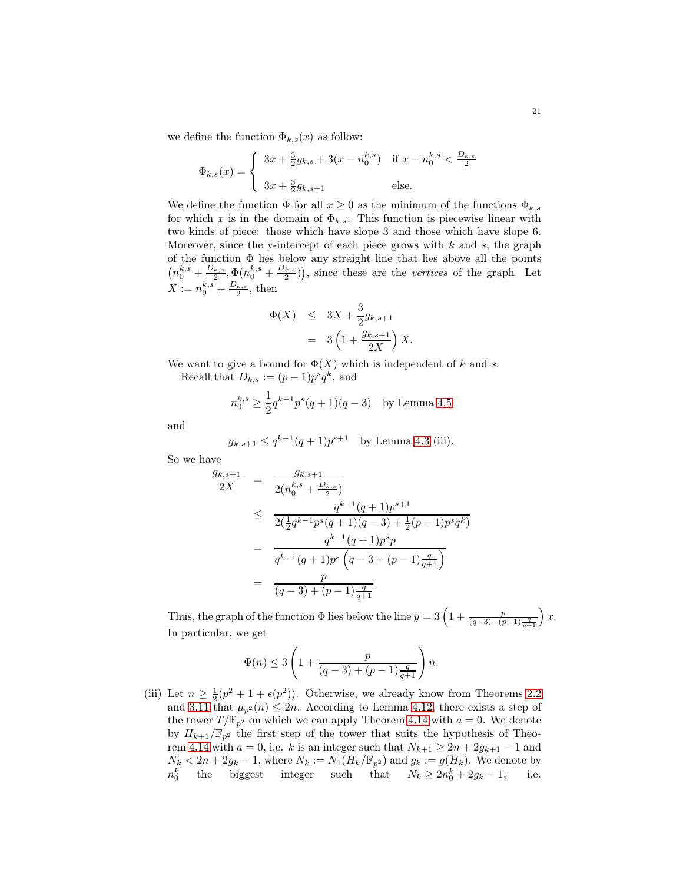we define the function  $\Phi_{k,s}(x)$  as follow:

$$
\Phi_{k,s}(x) = \begin{cases} 3x + \frac{3}{2}g_{k,s} + 3(x - n_0^{k,s}) & \text{if } x - n_0^{k,s} < \frac{D_{k,s}}{2} \\ 3x + \frac{3}{2}g_{k,s+1} & \text{else.} \end{cases}
$$

We define the function  $\Phi$  for all  $x \geq 0$  as the minimum of the functions  $\Phi_{k,s}$ for which x is in the domain of  $\Phi_{k,s}$ . This function is piecewise linear with two kinds of piece: those which have slope 3 and those which have slope 6. Moreover, since the y-intercept of each piece grows with  $k$  and  $s$ , the graph of the function Φ lies below any straight line that lies above all the points  $\left(n_0^{k,s} + \frac{D_{k,s}}{2}\right)$  $\frac{Q_{k,s}}{2},\Phi(n_0^{k,s}+\frac{D_{k,s}}{2})$  $\left(\frac{k,s}{2}\right)$ , since these are the *vertices* of the graph. Let  $X := n_0^{k,s} + \frac{D_{k,s}}{2}$  $\frac{k,s}{2}$ , then

$$
\begin{array}{rcl} \Phi(X) & \leq & 3X + \frac{3}{2}g_{k,s+1} \\ & = & 3\left(1 + \frac{g_{k,s+1}}{2X}\right)X. \end{array}
$$

We want to give a bound for  $\Phi(X)$  which is independent of k and s.

Recall that  $D_{k,s} := (p-1)p^s q^k$ , and

$$
n_0^{k,s} \ge \frac{1}{2} q^{k-1} p^s (q+1)(q-3)
$$
 by Lemma 4.5

and

$$
g_{k,s+1} \le q^{k-1}(q+1)p^{s+1}
$$
 by Lemma 4.3 (iii).

So we have

$$
\frac{g_{k,s+1}}{2X} = \frac{g_{k,s+1}}{2(n_0^{k,s} + \frac{D_{k,s}}{2})}
$$
\n
$$
\leq \frac{q^{k-1}(q+1)p^{s+1}}{2(\frac{1}{2}q^{k-1}p^s(q+1)(q-3) + \frac{1}{2}(p-1)p^s q^k)}
$$
\n
$$
= \frac{q^{k-1}(q+1)p^s p}{q^{k-1}(q+1)p^s (q-3+(p-1)\frac{q}{q+1})}
$$
\n
$$
= \frac{p}{(q-3)+(p-1)\frac{q}{q+1}}
$$

Thus, the graph of the function  $\Phi$  lies below the line  $y = 3\left(1 + \frac{p}{(q-3)+(p-1)\frac{q}{q+1}}\right)x$ . In particular, we get

$$
\Phi(n) \le 3\left(1 + \frac{p}{(q-3) + (p-1)\frac{q}{q+1}}\right)n.
$$

(iii) Let  $n \geq \frac{1}{2}(p^2 + 1 + \epsilon(p^2))$ . Otherwise, we already know from Theorems [2.2](#page-32-1) and [3.11](#page-39-1) that  $\mu_{p^2}(n) \leq 2n$ . According to Lemma [4.12,](#page-46-0) there exists a step of the tower  $T/\mathbb{F}_{p^2}$  on which we can apply Theorem [4.14](#page-47-0) with  $a = 0$ . We denote by  $H_{k+1}/\mathbb{F}_{p^2}$  the first step of the tower that suits the hypothesis of Theo-rem [4.14](#page-47-0) with  $a = 0$ , i.e. k is an integer such that  $N_{k+1} \geq 2n + 2g_{k+1} - 1$  and  $N_k < 2n + 2g_k - 1$ , where  $N_k := N_1(H_k/\mathbb{F}_{p^2})$  and  $g_k := g(H_k)$ . We denote by  $n_0^k$  the biggest integer such that  $N_k \ge 2n_0^k + 2g_k - 1$ , i.e.  $n_0^k$  the biggest integer such that  $N_k \ge 2n_0^k + 2g_k - 1$ , i.e.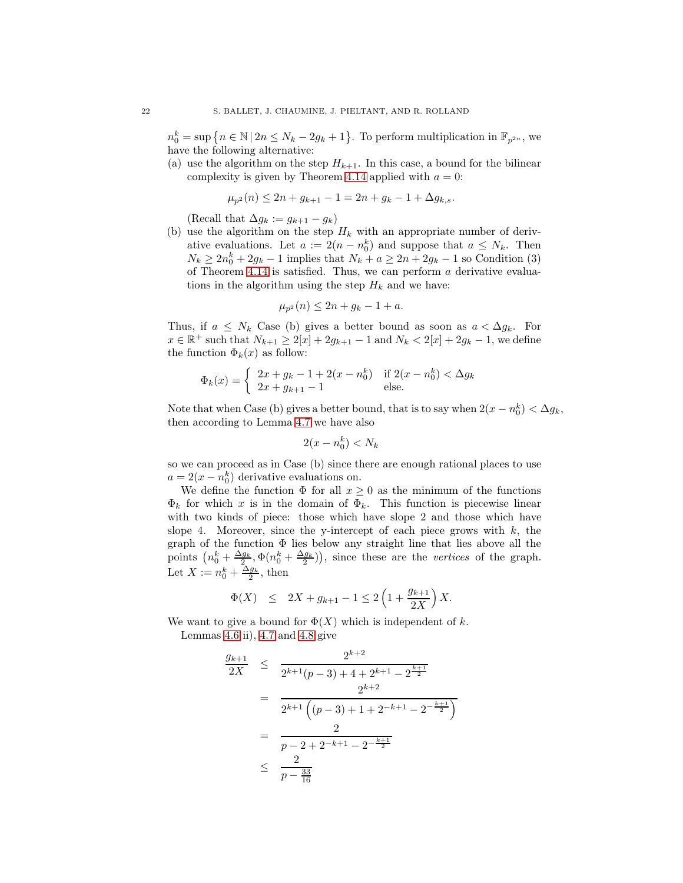$n_0^k = \sup \{ n \in \mathbb{N} \mid 2n \le N_k - 2g_k + 1 \}.$  To perform multiplication in  $\mathbb{F}_{p^{2n}}$ , we have the following alternative:

(a) use the algorithm on the step  $H_{k+1}$ . In this case, a bound for the bilinear complexity is given by Theorem [4.14](#page-47-0) applied with  $a = 0$ :

$$
\mu_{p^2}(n) \le 2n + g_{k+1} - 1 = 2n + g_k - 1 + \Delta g_{k,s}.
$$

(Recall that  $\Delta g_k := g_{k+1} - g_k$ )

(b) use the algorithm on the step  $H_k$  with an appropriate number of derivative evaluations. Let  $a := 2(n - n_0^k)$  and suppose that  $a \leq N_k$ . Then  $N_k \ge 2n_0^k + 2g_k - 1$  implies that  $N_k + a \ge 2n + 2g_k - 1$  so Condition (3) of Theorem [4.14](#page-47-0) is satisfied. Thus, we can perform  $a$  derivative evaluations in the algorithm using the step  $H_k$  and we have:

$$
\mu_{p^2}(n) \le 2n + g_k - 1 + a.
$$

Thus, if  $a \leq N_k$  Case (b) gives a better bound as soon as  $a < \Delta g_k$ . For  $x \in \mathbb{R}^+$  such that  $N_{k+1} \ge 2[x] + 2g_{k+1} - 1$  and  $N_k < 2[x] + 2g_k - 1$ , we define the function  $\Phi_k(x)$  as follow:

$$
\Phi_k(x) = \begin{cases} 2x + g_k - 1 + 2(x - n_0^k) & \text{if } 2(x - n_0^k) < \Delta g_k \\ 2x + g_{k+1} - 1 & \text{else.} \end{cases}
$$

Note that when Case (b) gives a better bound, that is to say when  $2(x - n_0^k) < \Delta g_k$ , then according to Lemma [4.7](#page-43-2) we have also

$$
2(x - n_0^k) < N_k
$$

so we can proceed as in Case (b) since there are enough rational places to use  $a = 2(x - n_0^k)$  derivative evaluations on.

We define the function  $\Phi$  for all  $x \geq 0$  as the minimum of the functions  $\Phi_k$  for which x is in the domain of  $\Phi_k$ . This function is piecewise linear with two kinds of piece: those which have slope 2 and those which have slope 4. Moreover, since the y-intercept of each piece grows with  $k$ , the graph of the function  $\Phi$  lies below any straight line that lies above all the points  $\left(n_0^k + \frac{\Delta g_k}{2}, \Phi(n_0^k + \frac{\Delta g_k}{2})\right)$ , since these are the vertices of the graph. Let  $X := n_0^k + \frac{\Delta g_k}{2}$ , then

$$
\Phi(X) \le 2X + g_{k+1} - 1 \le 2\left(1 + \frac{g_{k+1}}{2X}\right)X.
$$

We want to give a bound for  $\Phi(X)$  which is independent of k. Lemmas  $4.6$  ii),  $4.7$  and  $4.8$  give

$$
\frac{g_{k+1}}{2X} \leq \frac{2^{k+2}}{2^{k+1}(p-3) + 4 + 2^{k+1} - 2^{\frac{k+1}{2}}}
$$
\n
$$
= \frac{2^{k+2}}{2^{k+1}((p-3) + 1 + 2^{-k+1} - 2^{-\frac{k+1}{2}})}
$$
\n
$$
= \frac{2}{p-2 + 2^{-k+1} - 2^{-\frac{k+1}{2}}}
$$
\n
$$
\leq \frac{2}{p-\frac{33}{16}}
$$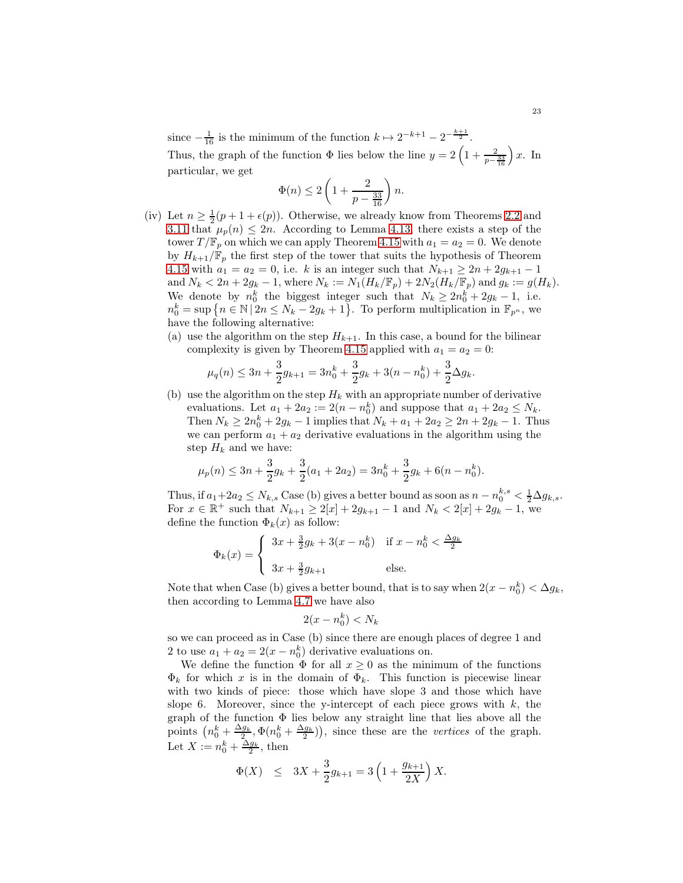since  $-\frac{1}{16}$  is the minimum of the function  $k \mapsto 2^{-k+1} - 2^{-\frac{k+1}{2}}$ . Thus, the graph of the function  $\Phi$  lies below the line  $y = 2\left(1 + \frac{2}{p - \frac{33}{16}}\right)x$ . In particular, we get

$$
\Phi(n)\leq 2\left(1+\frac{2}{p-\frac{33}{16}}\right)n.
$$

- (iv) Let  $n \geq \frac{1}{2}(p+1+\epsilon(p))$ . Otherwise, we already know from Theorems [2.2](#page-32-1) and [3.11](#page-39-1) that  $\mu_p(n) \leq 2n$ . According to Lemma [4.13,](#page-47-1) there exists a step of the tower  $T/\mathbb{F}_p$  on which we can apply Theorem [4.15](#page-48-1) with  $a_1 = a_2 = 0$ . We denote by  $H_{k+1}/\mathbb{F}_p$  the first step of the tower that suits the hypothesis of Theorem [4.15](#page-48-1) with  $a_1 = a_2 = 0$ , i.e. k is an integer such that  $N_{k+1} \ge 2n + 2g_{k+1} - 1$ and  $N_k < 2n + 2g_k - 1$ , where  $N_k := N_1(H_k/\mathbb{F}_p) + 2N_2(H_k/\mathbb{F}_p)$  and  $g_k := g(H_k)$ . We denote by  $n_0^k$  the biggest integer such that  $N_k \geq 2n_0^k + 2g_k - 1$ , i.e.  $n_0^k = \sup \left\{ n \in \mathbb{N} \, | \, 2n \le N_k - 2g_k + 1 \right\}.$  To perform multiplication in  $\mathbb{F}_{p^n}$ , we have the following alternative:
	- (a) use the algorithm on the step  $H_{k+1}$ . In this case, a bound for the bilinear complexity is given by Theorem [4.15](#page-48-1) applied with  $a_1 = a_2 = 0$ :

$$
\mu_q(n) \le 3n + \frac{3}{2}g_{k+1} = 3n_0^k + \frac{3}{2}g_k + 3(n - n_0^k) + \frac{3}{2}\Delta g_k.
$$

(b) use the algorithm on the step  $H_k$  with an appropriate number of derivative evaluations. Let  $a_1 + 2a_2 := 2(n - n_0^k)$  and suppose that  $a_1 + 2a_2 \leq N_k$ . Then  $N_k \ge 2n_0^k + 2g_k - 1$  implies that  $N_k + a_1 + 2a_2 \ge 2n + 2g_k - 1$ . Thus we can perform  $a_1 + a_2$  derivative evaluations in the algorithm using the step  $H_k$  and we have:

$$
\mu_p(n) \le 3n + \frac{3}{2}g_k + \frac{3}{2}(a_1 + 2a_2) = 3n_0^k + \frac{3}{2}g_k + 6(n - n_0^k).
$$

Thus, if  $a_1+2a_2 \leq N_{k,s}$  Case (b) gives a better bound as soon as  $n - n_0^{k,s} < \frac{1}{2} \Delta g_{k,s}$ . For  $x \in \mathbb{R}^+$  such that  $N_{k+1} \ge 2[x] + 2g_{k+1} - 1$  and  $N_k < 2[x] + 2g_k - 1$ , we define the function  $\Phi_k(x)$  as follow:

$$
\Phi_k(x) = \begin{cases} 3x + \frac{3}{2}g_k + 3(x - n_0^k) & \text{if } x - n_0^k < \frac{\Delta g_k}{2} \\ 3x + \frac{3}{2}g_{k+1} & \text{else.} \end{cases}
$$

Note that when Case (b) gives a better bound, that is to say when  $2(x - n_0^k) < \Delta g_k$ , then according to Lemma [4.7](#page-43-2) we have also

$$
2(x - n_0^k) < N_k
$$

so we can proceed as in Case (b) since there are enough places of degree 1 and 2 to use  $a_1 + a_2 = 2(x - n_0^k)$  derivative evaluations on.

We define the function  $\Phi$  for all  $x \geq 0$  as the minimum of the functions  $\Phi_k$  for which x is in the domain of  $\Phi_k$ . This function is piecewise linear with two kinds of piece: those which have slope 3 and those which have slope 6. Moreover, since the y-intercept of each piece grows with  $k$ , the graph of the function  $\Phi$  lies below any straight line that lies above all the points  $\left(n_0^k + \frac{\Delta g_k}{2}, \Phi(n_0^k + \frac{\Delta g_k}{2})\right)$ , since these are the vertices of the graph. Let  $X := n_0^k + \frac{\Delta g_k}{2}$ , then

$$
\Phi(X) \ \leq \ 3X + \frac{3}{2} g_{k+1} = 3 \left( 1 + \frac{g_{k+1}}{2X} \right) X.
$$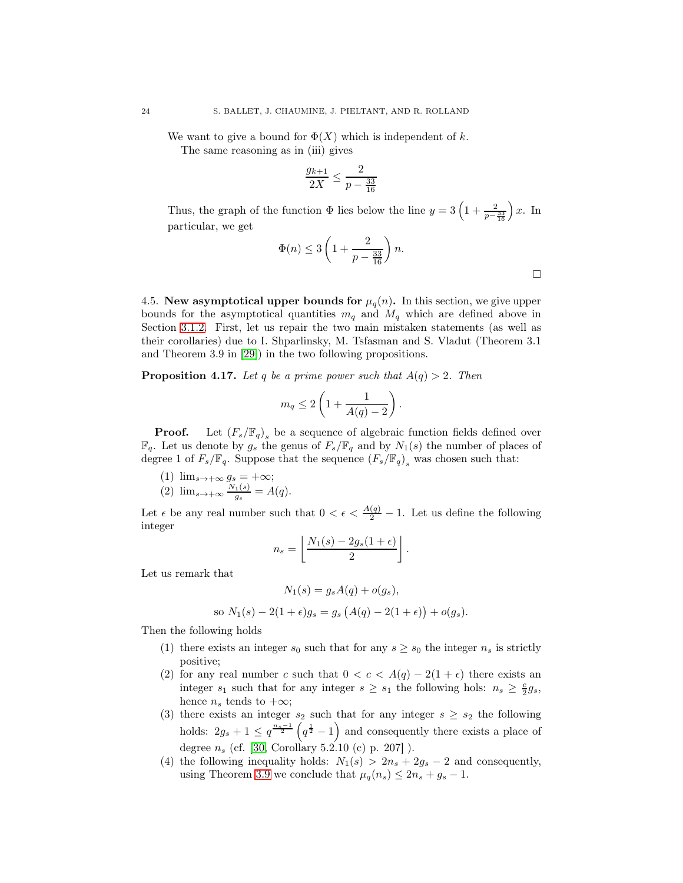We want to give a bound for  $\Phi(X)$  which is independent of k.

The same reasoning as in (iii) gives

$$
\frac{g_{k+1}}{2X} \le \frac{2}{p - \frac{33}{16}}
$$

Thus, the graph of the function  $\Phi$  lies below the line  $y = 3\left(1 + \frac{2}{p - \frac{33}{16}}\right)$  $\int x$ . In particular, we get

$$
\Phi(n) \le 3\left(1 + \frac{2}{p - \frac{33}{16}}\right)n.
$$

.

4.5. New asymptotical upper bounds for  $\mu_q(n)$ . In this section, we give upper bounds for the asymptotical quantities  $m_q$  and  $M_q$  which are defined above in Section [3.1.2.](#page-34-0) First, let us repair the two main mistaken statements (as well as their corollaries) due to I. Shparlinsky, M. Tsfasman and S. Vladut (Theorem 3.1 and Theorem 3.9 in [\[29\]](#page-60-1)) in the two following propositions.

**Proposition 4.17.** Let q be a prime power such that  $A(q) > 2$ . Then

$$
m_q \leq 2\left(1 + \frac{1}{A(q) - 2}\right).
$$

**Proof.** Let  $(F_s/\mathbb{F}_q)$ <sub>s</sub> be a sequence of algebraic function fields defined over  $\mathbb{F}_q$ . Let us denote by  $g_s$  the genus of  $F_s/\mathbb{F}_q$  and by  $N_1(s)$  the number of places of degree 1 of  $F_s/\mathbb{F}_q$ . Suppose that the sequence  $(F_s/\mathbb{F}_q)_s$  was chosen such that:

(1)  $\lim_{s\to+\infty} g_s = +\infty;$ 

$$
(2) \ \lim_{s \to +\infty} \frac{N_1(s)}{g_s} = A(q).
$$

Let  $\epsilon$  be any real number such that  $0 < \epsilon < \frac{A(q)}{2} - 1$ . Let us define the following integer

$$
n_s = \left\lfloor \frac{N_1(s) - 2g_s(1 + \epsilon)}{2} \right\rfloor
$$

Let us remark that

$$
N_1(s) = g_s A(q) + o(g_s),
$$
  
so  $N_1(s) - 2(1 + \epsilon)g_s = g_s (A(q) - 2(1 + \epsilon)) + o(g_s).$ 

Then the following holds

- (1) there exists an integer  $s_0$  such that for any  $s \geq s_0$  the integer  $n_s$  is strictly positive;
- (2) for any real number c such that  $0 < c < A(q) 2(1 + \epsilon)$  there exists an integer  $s_1$  such that for any integer  $s \geq s_1$  the following hols:  $n_s \geq \frac{c}{2}g_s$ , hence  $n_s$  tends to  $+\infty$ ;
- (3) there exists an integer  $s_2$  such that for any integer  $s \geq s_2$  the following holds:  $2g_s + 1 \leq q^{\frac{n_s-1}{2}} \left( q^{\frac{1}{2}} - 1 \right)$  and consequently there exists a place of degree  $n_s$  (cf. [\[30,](#page-60-21) Corollary 5.2.10 (c) p. 207]).
- (4) the following inequality holds:  $N_1(s) > 2n_s + 2g_s 2$  and consequently, using Theorem [3.9](#page-38-0) we conclude that  $\mu_q(n_s) \leq 2n_s + g_s - 1$ .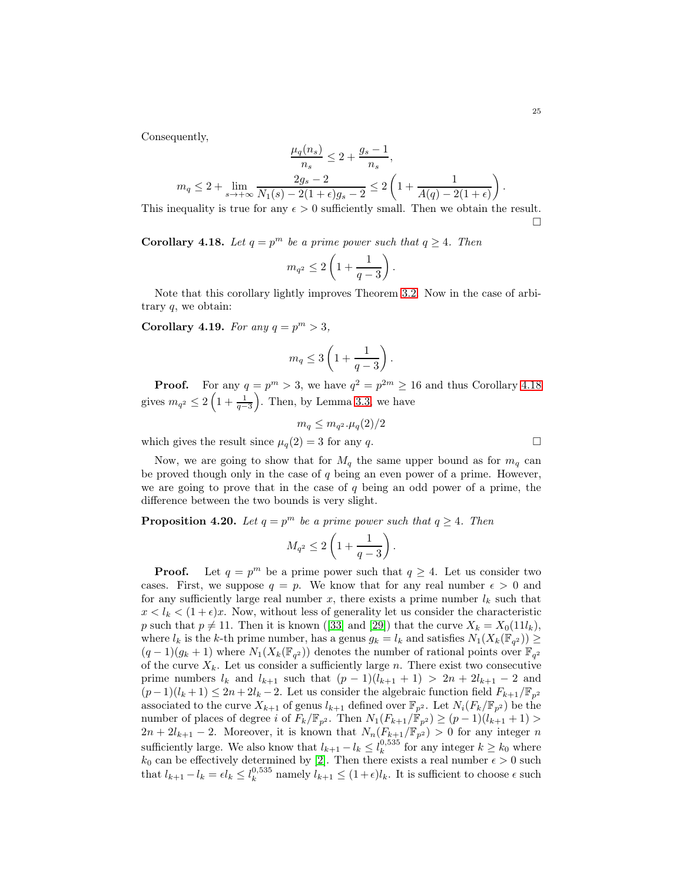Consequently,

$$
\frac{\mu_q(n_s)}{n_s} \le 2 + \frac{g_s - 1}{n_s},
$$
\n
$$
m_q \le 2 + \lim_{s \to +\infty} \frac{2g_s - 2}{N_1(s) - 2(1 + \epsilon)g_s - 2} \le 2\left(1 + \frac{1}{A(q) - 2(1 + \epsilon)}\right).
$$
\nis a true for any  $\epsilon > 0$  sufficiently small. Then we obtain the

This inequality is true for any  $\epsilon > 0$  sufficiently small. Then we obtain the result.  $\Box$ 

**Corollary 4.18.** Let  $q = p^m$  be a prime power such that  $q \ge 4$ . Then

$$
m_{q^2}\leq 2\left(1+\frac{1}{q-3}\right).
$$

Note that this corollary lightly improves Theorem [3.2.](#page-34-1) Now in the case of arbitrary  $q$ , we obtain:

Corollary 4.19. For any  $q = p^m > 3$ ,

$$
m_q \leq 3\left(1 + \frac{1}{q-3}\right).
$$

**Proof.** For any  $q = p^m > 3$ , we have  $q^2 = p^{2m} \ge 16$  and thus Corollary [4.18](#page-55-0) gives  $m_{q^2} \leq 2\left(1 + \frac{1}{q-3}\right)$ ). Then, by Lemma [3.3,](#page-35-1) we have

$$
m_q \leq m_{q^2} \cdot \mu_q(2)/2
$$

which gives the result since  $\mu_q(2) = 3$  for any q.

Now, we are going to show that for  $M_a$  the same upper bound as for  $m_a$  can be proved though only in the case of  $q$  being an even power of a prime. However, we are going to prove that in the case of  $q$  being an odd power of a prime, the difference between the two bounds is very slight.

**Proposition 4.20.** Let  $q = p^m$  be a prime power such that  $q \ge 4$ . Then

$$
M_{q^2}\leq 2\left(1+\frac{1}{q-3}\right).
$$

**Proof.** Let  $q = p^m$  be a prime power such that  $q \ge 4$ . Let us consider two cases. First, we suppose  $q = p$ . We know that for any real number  $\epsilon > 0$  and for any sufficiently large real number  $x$ , there exists a prime number  $l_k$  such that  $x < l_k < (1 + \epsilon)x$ . Now, without less of generality let us consider the characteristic p such that  $p \neq 11$ . Then it is known ([\[33\]](#page-61-3) and [\[29\]](#page-60-1)) that the curve  $X_k = X_0(11l_k)$ , where  $l_k$  is the k-th prime number, has a genus  $g_k = l_k$  and satisfies  $N_1(X_k(\mathbb{F}_{q^2})) \geq$  $(q-1)(g_k+1)$  where  $N_1(X_k(\mathbb{F}_{q^2}))$  denotes the number of rational points over  $\mathbb{F}_{q^2}$ of the curve  $X_k$ . Let us consider a sufficiently large n. There exist two consecutive prime numbers  $l_k$  and  $l_{k+1}$  such that  $(p-1)(l_{k+1}+1) > 2n + 2l_{k+1} - 2$  and  $(p-1)(l_k+1) \leq 2n+2l_k-2$ . Let us consider the algebraic function field  $F_{k+1}/\mathbb{F}_{p^2}$ associated to the curve  $X_{k+1}$  of genus  $l_{k+1}$  defined over  $\mathbb{F}_{p^2}$ . Let  $N_i(F_k/\mathbb{F}_{p^2})$  be the number of places of degree i of  $F_k/\mathbb{F}_{p^2}$ . Then  $N_1(F_{k+1}/\mathbb{F}_{p^2}) \ge (p-1)(l_{k+1}+1)$  $2n + 2l_{k+1} - 2$ . Moreover, it is known that  $N_n(F_{k+1}/\mathbb{F}_{p^2}) > 0$  for any integer n sufficiently large. We also know that  $l_{k+1} - l_k \leq l_k^{0.535}$  for any integer  $k \geq k_0$  where  $k_0$  can be effectively determined by [\[2\]](#page-59-5). Then there exists a real number  $\epsilon > 0$  such that  $l_{k+1} - l_k = \epsilon l_k \leq l_k^{0.535}$  namely  $l_{k+1} \leq (1+\epsilon)l_k$ . It is sufficient to choose  $\epsilon$  such

$$
\Box
$$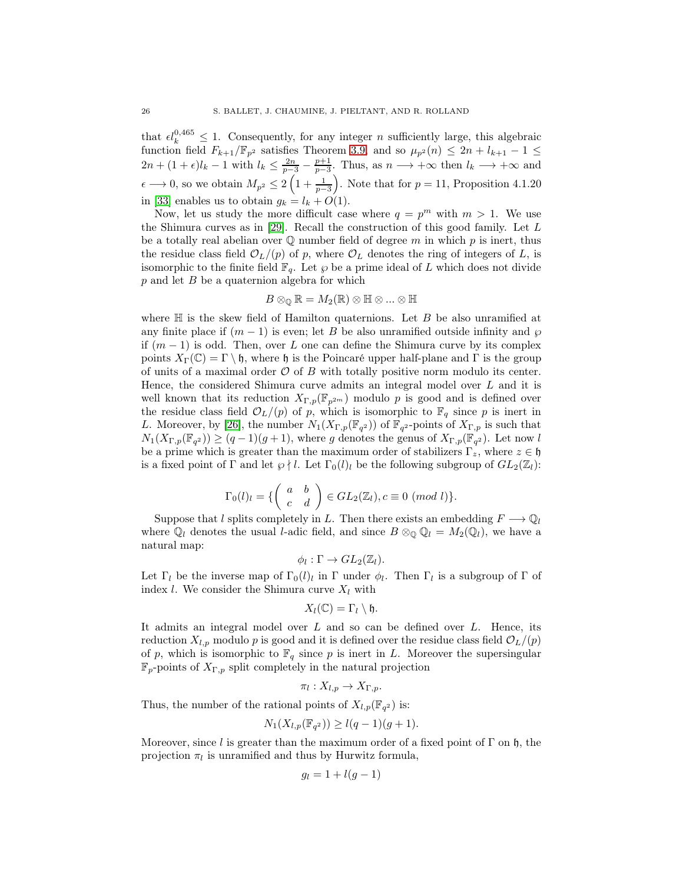that  $\epsilon l_k^{0,465} \leq 1$ . Consequently, for any integer *n* sufficiently large, this algebraic function field  $F_{k+1}/\mathbb{F}_{p^2}$  satisfies Theorem [3.9,](#page-38-0) and so  $\mu_{p^2}(n) \leq 2n + l_{k+1} - 1 \leq$  $2n + (1 + \epsilon)l_k - 1$  with  $l_k \leq \frac{2n}{p-3} - \frac{p+1}{p-3}$ . Thus, as  $n \longrightarrow +\infty$  then  $l_k \longrightarrow +\infty$  and  $\epsilon \longrightarrow 0$ , so we obtain  $M_{p^2} \leq 2\left(1 + \frac{1}{p-3}\right)$ ). Note that for  $p = 11$ , Proposition 4.1.20 in [\[33\]](#page-61-3) enables us to obtain  $g_k = l_k + O(1)$ .

Now, let us study the more difficult case where  $q = p^m$  with  $m > 1$ . We use the Shimura curves as in [\[29\]](#page-60-1). Recall the construction of this good family. Let L be a totally real abelian over  $\mathbb Q$  number field of degree m in which p is inert, thus the residue class field  $\mathcal{O}_L/(p)$  of p, where  $\mathcal{O}_L$  denotes the ring of integers of L, is isomorphic to the finite field  $\mathbb{F}_q$ . Let  $\wp$  be a prime ideal of L which does not divide  $p$  and let  $B$  be a quaternion algebra for which

$$
B\otimes_{\mathbb{Q}}\mathbb{R}=M_2(\mathbb{R})\otimes\mathbb{H}\otimes...\otimes\mathbb{H}
$$

where  $\mathbb H$  is the skew field of Hamilton quaternions. Let B be also unramified at any finite place if  $(m-1)$  is even; let B be also unramified outside infinity and  $\wp$ if  $(m-1)$  is odd. Then, over L one can define the Shimura curve by its complex points  $X_{\Gamma}(\mathbb{C}) = \Gamma \setminus \mathfrak{h}$ , where  $\mathfrak{h}$  is the Poincaré upper half-plane and  $\Gamma$  is the group of units of a maximal order  $\mathcal O$  of  $B$  with totally positive norm modulo its center. Hence, the considered Shimura curve admits an integral model over L and it is well known that its reduction  $X_{\Gamma,p}(\mathbb{F}_{p^{2m}})$  modulo p is good and is defined over the residue class field  $\mathcal{O}_L/(p)$  of p, which is isomorphic to  $\mathbb{F}_q$  since p is inert in L. Moreover, by [\[26\]](#page-60-24), the number  $N_1(X_{\Gamma,p}(\mathbb{F}_{q^2}))$  of  $\mathbb{F}_{q^2}$ -points of  $X_{\Gamma,p}$  is such that  $N_1(X_{\Gamma,p}(\mathbb{F}_{q^2})) \ge (q-1)(g+1)$ , where g denotes the genus of  $X_{\Gamma,p}(\mathbb{F}_{q^2})$ . Let now l be a prime which is greater than the maximum order of stabilizers  $\Gamma_z$ , where  $z \in \mathfrak{h}$ is a fixed point of  $\Gamma$  and let  $\wp \nmid l$ . Let  $\Gamma_0(l)_l$  be the following subgroup of  $GL_2(\mathbb{Z}_l)$ :

$$
\Gamma_0(l)_l = \{ \begin{pmatrix} a & b \\ c & d \end{pmatrix} \in GL_2(\mathbb{Z}_l), c \equiv 0 \ (mod \ l) \}.
$$

Suppose that l splits completely in L. Then there exists an embedding  $F \longrightarrow \mathbb{Q}_l$ where  $\mathbb{Q}_l$  denotes the usual *l*-adic field, and since  $B \otimes_{\mathbb{Q}} \mathbb{Q}_l = M_2(\mathbb{Q}_l)$ , we have a natural map:

$$
\phi_l: \Gamma \to GL_2(\mathbb{Z}_l).
$$

Let  $\Gamma_l$  be the inverse map of  $\Gamma_0(l)_l$  in  $\Gamma$  under  $\phi_l$ . Then  $\Gamma_l$  is a subgroup of  $\Gamma$  of index l. We consider the Shimura curve  $X_l$  with

$$
X_l(\mathbb{C})=\Gamma_l\setminus\mathfrak{h}.
$$

It admits an integral model over  $L$  and so can be defined over  $L$ . Hence, its reduction  $X_{l,p}$  modulo p is good and it is defined over the residue class field  $\mathcal{O}_L/(p)$ of p, which is isomorphic to  $\mathbb{F}_q$  since p is inert in L. Moreover the supersingular  $\mathbb{F}_p$ -points of  $X_{\Gamma,p}$  split completely in the natural projection

$$
\pi_l: X_{l,p} \to X_{\Gamma,p}.
$$

Thus, the number of the rational points of  $X_{l,p}(\mathbb{F}_{q^2})$  is:

$$
N_1(X_{l,p}(\mathbb{F}_{q^2})) \ge l(q-1)(g+1).
$$

Moreover, since l is greater than the maximum order of a fixed point of  $\Gamma$  on  $\mathfrak{h}$ , the projection  $\pi_l$  is unramified and thus by Hurwitz formula,

$$
g_l = 1 + l(g - 1)
$$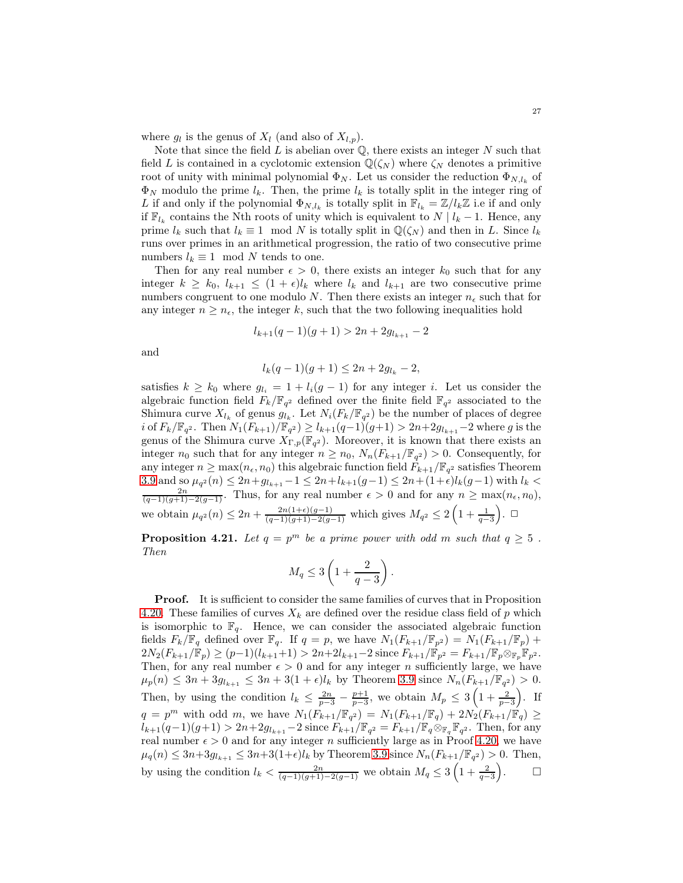where  $g_l$  is the genus of  $X_l$  (and also of  $X_{l,p}$ ).

Note that since the field  $L$  is abelian over  $\mathbb Q$ , there exists an integer  $N$  such that field L is contained in a cyclotomic extension  $\mathbb{Q}(\zeta_N)$  where  $\zeta_N$  denotes a primitive root of unity with minimal polynomial  $\Phi_N$ . Let us consider the reduction  $\Phi_{N,l_k}$  of  $\Phi_N$  modulo the prime  $l_k$ . Then, the prime  $l_k$  is totally split in the integer ring of L if and only if the polynomial  $\Phi_{N,l_k}$  is totally split in  $\mathbb{F}_{l_k} = \mathbb{Z}/l_k\mathbb{Z}$  i.e if and only if  $\mathbb{F}_{l_k}$  contains the Nth roots of unity which is equivalent to  $N \mid l_k - 1$ . Hence, any prime  $l_k$  such that  $l_k \equiv 1 \mod N$  is totally split in  $\mathbb{Q}(\zeta_N)$  and then in L. Since  $l_k$ runs over primes in an arithmetical progression, the ratio of two consecutive prime numbers  $l_k \equiv 1 \mod N$  tends to one.

Then for any real number  $\epsilon > 0$ , there exists an integer  $k_0$  such that for any integer  $k \geq k_0, l_{k+1} \leq (1+\epsilon)l_k$  where  $l_k$  and  $l_{k+1}$  are two consecutive prime numbers congruent to one modulo N. Then there exists an integer  $n_{\epsilon}$  such that for any integer  $n \geq n_{\epsilon}$ , the integer k, such that the two following inequalities hold

$$
l_{k+1}(q-1)(g+1) > 2n + 2g_{l_{k+1}} - 2
$$

and

$$
l_k(q-1)(g+1) \le 2n + 2g_{l_k} - 2,
$$

satisfies  $k \geq k_0$  where  $g_{l_i} = 1 + l_i(q-1)$  for any integer i. Let us consider the algebraic function field  $F_k/\mathbb{F}_{q^2}$  defined over the finite field  $\mathbb{F}_{q^2}$  associated to the Shimura curve  $X_{l_k}$  of genus  $g_{l_k}$ . Let  $N_i(F_k/\mathbb{F}_{q^2})$  be the number of places of degree *i* of  $F_k/\mathbb{F}_{q^2}$ . Then  $N_1(F_{k+1})/\mathbb{F}_{q^2}$   $\geq l_{k+1}(q-1)(g+1) > 2n+2g_{l_{k+1}}-2$  where g is the genus of the Shimura curve  $X_{\Gamma,p}(\mathbb{F}_{q^2})$ . Moreover, it is known that there exists an integer  $n_0$  such that for any integer  $n \ge n_0$ ,  $N_n(F_{k+1}/\mathbb{F}_{q^2}) > 0$ . Consequently, for any integer  $n \ge \max(n_\epsilon, n_0)$  this algebraic function field  $F_{k+1}/\mathbb{F}_{q^2}$  satisfies Theorem [3.9](#page-38-0) and so  $\mu_{q^2}(n) \leq 2n + g_{l_{k+1}} - 1 \leq 2n + l_{k+1}(g-1) \leq 2n + (1+\epsilon)l_k(g-1)$  with  $l_k < \frac{2n}{(q-1)(g+1)-2(g-1)}$ . Thus, for any real number  $\epsilon > 0$  and for any  $n \geq \max(n_{\epsilon}, n_0)$ , we obtain  $\mu_{q^2}(n) \leq 2n + \frac{2n(1+\epsilon)(g-1)}{(q-1)(g+1)-2(g-1)}$  which gives  $M_{q^2} \leq 2\left(1+\frac{1}{q-3}\right)$  $\overline{)}.$   $\Box$ 

**Proposition 4.21.** Let  $q = p^m$  be a prime power with odd m such that  $q \ge 5$ . Then

$$
M_q \leq 3\left(1 + \frac{2}{q-3}\right).
$$

Proof. It is sufficient to consider the same families of curves that in Proposition [4.20.](#page-55-1) These families of curves  $X_k$  are defined over the residue class field of p which is isomorphic to  $\mathbb{F}_q$ . Hence, we can consider the associated algebraic function fields  $F_k/\mathbb{F}_q$  defined over  $\mathbb{F}_q$ . If  $q = p$ , we have  $N_1(F_{k+1}/\mathbb{F}_p) = N_1(F_{k+1}/\mathbb{F}_p)$  +  $2N_2(F_{k+1}/\mathbb{F}_p) \ge (p-1)(l_{k+1}+1) > 2n+2l_{k+1}-2$  since  $F_{k+1}/\mathbb{F}_{p^2} = F_{k+1}/\mathbb{F}_p \otimes_{\mathbb{F}_p} \mathbb{F}_p^2$ . Then, for any real number  $\epsilon > 0$  and for any integer n sufficiently large, we have  $\mu_p(n) \leq 3n + 3g_{l_{k+1}} \leq 3n + 3(1+\epsilon)l_k$  by Theorem [3.9](#page-38-0) since  $N_n(F_{k+1}/\mathbb{F}_{q^2}) > 0$ . Then, by using the condition  $l_k \leq \frac{2n}{p-3} - \frac{p+1}{p-3}$ , we obtain  $M_p \leq 3\left(1 + \frac{2}{p-3}\right)$  $\big)$ . If  $q = p^m$  with odd m, we have  $N_1(F_{k+1}/\mathbb{F}_{q^2}) = N_1(F_{k+1}/\mathbb{F}_{q}) + 2N_2(F_{k+1}/\mathbb{F}_{q}) \ge$  $l_{k+1}(q-1)(g+1) > 2n+2g_{l_{k+1}}-2$  since  $F_{k+1}/\mathbb{F}_{q^2} = F_{k+1}/\mathbb{F}_{q} \otimes_{\mathbb{F}_{q}} \mathbb{F}_{q^2}$ . Then, for any real number  $\epsilon > 0$  and for any integer n sufficiently large as in Proof [4.20,](#page-55-1) we have  $\mu_q(n) \leq 3n + 3g_{l_{k+1}} \leq 3n + 3(1+\epsilon)l_k$  by Theorem [3.9](#page-38-0) since  $N_n(F_{k+1}/\mathbb{F}_{q^2}) > 0$ . Then, by using the condition  $l_k < \frac{2n}{(q-1)(g+1)-2(g-1)}$  we obtain  $M_q \leq 3\left(1+\frac{2}{q-3}\right)$  $\setminus$  $\Box$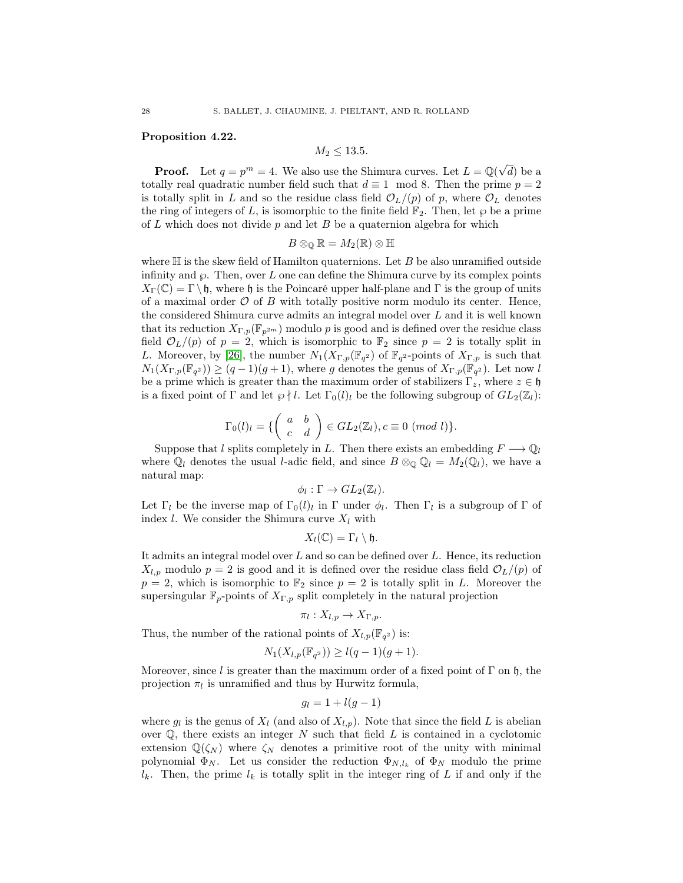#### Proposition 4.22.

$$
M_2 \le 13.5.
$$

**Proof.** Let  $q = p^m = 4$ . We also use the Shimura curves. Let  $L = \mathbb{Q}(\sqrt{d})$  be a totally real quadratic number field such that  $d \equiv 1 \mod 8$ . Then the prime  $p = 2$ is totally split in L and so the residue class field  $\mathcal{O}_L/(p)$  of p, where  $\mathcal{O}_L$  denotes the ring of integers of L, is isomorphic to the finite field  $\mathbb{F}_2$ . Then, let  $\varphi$  be a prime of  $L$  which does not divide  $p$  and let  $B$  be a quaternion algebra for which

$$
B\otimes_{\mathbb{Q}}\mathbb{R}=M_2(\mathbb{R})\otimes \mathbb{H}
$$

where  $\mathbb H$  is the skew field of Hamilton quaternions. Let B be also unramified outside infinity and  $\wp$ . Then, over L one can define the Shimura curve by its complex points  $X_{\Gamma}(\mathbb{C}) = \Gamma \backslash \mathfrak{h}$ , where  $\mathfrak{h}$  is the Poincaré upper half-plane and  $\Gamma$  is the group of units of a maximal order  $\mathcal O$  of B with totally positive norm modulo its center. Hence, the considered Shimura curve admits an integral model over L and it is well known that its reduction  $X_{\Gamma,p}(\mathbb{F}_{p^{2m}})$  modulo p is good and is defined over the residue class field  $\mathcal{O}_L/(p)$  of  $p = 2$ , which is isomorphic to  $\mathbb{F}_2$  since  $p = 2$  is totally split in L. Moreover, by [\[26\]](#page-60-24), the number  $N_1(X_{\Gamma,p}(\mathbb{F}_{q^2})$  of  $\mathbb{F}_{q^2}$ -points of  $X_{\Gamma,p}$  is such that  $N_1(X_{\Gamma,p}(\mathbb{F}_{q^2})) \ge (q-1)(g+1)$ , where g denotes the genus of  $X_{\Gamma,p}(\mathbb{F}_{q^2})$ . Let now l be a prime which is greater than the maximum order of stabilizers  $\Gamma_z$ , where  $z \in \mathfrak{h}$ is a fixed point of  $\Gamma$  and let  $\wp \nmid l$ . Let  $\Gamma_0(l)_l$  be the following subgroup of  $GL_2(\mathbb{Z}_l)$ :

$$
\Gamma_0(l)_l = \{ \begin{pmatrix} a & b \\ c & d \end{pmatrix} \in GL_2(\mathbb{Z}_l), c \equiv 0 \ (mod \ l) \}.
$$

Suppose that l splits completely in L. Then there exists an embedding  $F \longrightarrow \mathbb{Q}_l$ where  $\mathbb{Q}_l$  denotes the usual *l*-adic field, and since  $B \otimes_{\mathbb{Q}} \mathbb{Q}_l = M_2(\mathbb{Q}_l)$ , we have a natural map:

$$
\phi_l : \Gamma \to GL_2(\mathbb{Z}_l).
$$

Let  $\Gamma_l$  be the inverse map of  $\Gamma_0(l)_l$  in  $\Gamma$  under  $\phi_l$ . Then  $\Gamma_l$  is a subgroup of  $\Gamma$  of index *l*. We consider the Shimura curve  $X_l$  with

$$
X_l(\mathbb{C})=\Gamma_l\setminus\mathfrak{h}.
$$

It admits an integral model over L and so can be defined over L. Hence, its reduction  $X_{l,p}$  modulo  $p = 2$  is good and it is defined over the residue class field  $\mathcal{O}_L/(p)$  of  $p = 2$ , which is isomorphic to  $\mathbb{F}_2$  since  $p = 2$  is totally split in L. Moreover the supersingular  $\mathbb{F}_p$ -points of  $X_{\Gamma,p}$  split completely in the natural projection

$$
\pi_l: X_{l,p} \to X_{\Gamma,p}.
$$

Thus, the number of the rational points of  $X_{l,p}(\mathbb{F}_{q^2})$  is:

$$
N_1(X_{l,p}(\mathbb{F}_{q^2})) \ge l(q-1)(g+1).
$$

Moreover, since l is greater than the maximum order of a fixed point of  $\Gamma$  on h, the projection  $\pi_l$  is unramified and thus by Hurwitz formula,

$$
g_l = 1 + l(g - 1)
$$

where  $g_l$  is the genus of  $X_l$  (and also of  $X_{l,p}$ ). Note that since the field L is abelian over  $\mathbb{Q}$ , there exists an integer N such that field L is contained in a cyclotomic extension  $\mathbb{Q}(\zeta_N)$  where  $\zeta_N$  denotes a primitive root of the unity with minimal polynomial  $\Phi_N$ . Let us consider the reduction  $\Phi_{N,l_k}$  of  $\Phi_N$  modulo the prime  $l_k$ . Then, the prime  $l_k$  is totally split in the integer ring of L if and only if the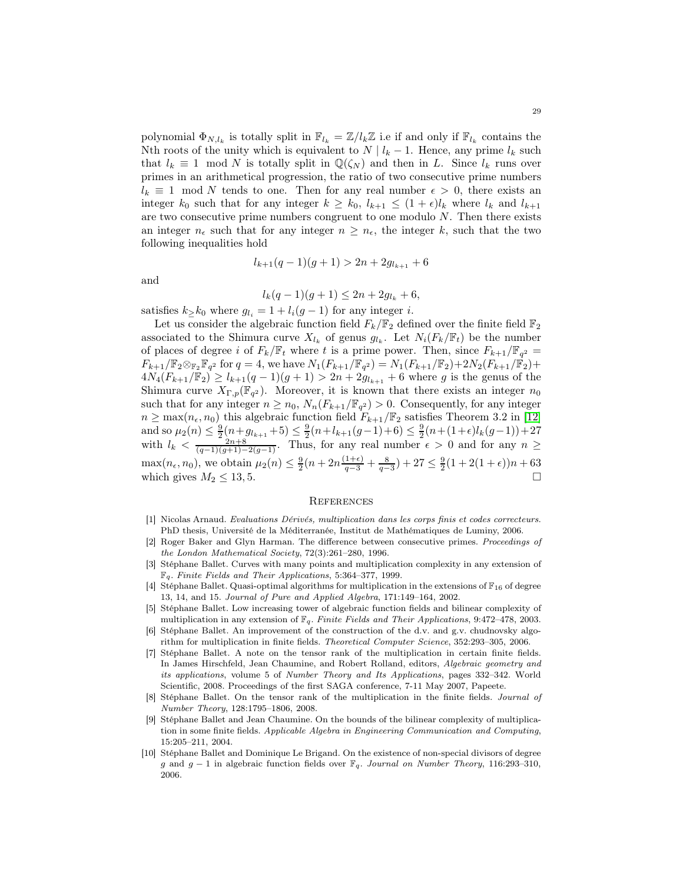polynomial  $\Phi_{N,l_k}$  is totally split in  $\mathbb{F}_{l_k} = \mathbb{Z}/l_k\mathbb{Z}$  i.e if and only if  $\mathbb{F}_{l_k}$  contains the Nth roots of the unity which is equivalent to  $N | l_k - 1$ . Hence, any prime  $l_k$  such that  $l_k \equiv 1 \mod N$  is totally split in  $\mathbb{Q}(\zeta_N)$  and then in L. Since  $l_k$  runs over primes in an arithmetical progression, the ratio of two consecutive prime numbers  $l_k \equiv 1 \mod N$  tends to one. Then for any real number  $\epsilon > 0$ , there exists an integer  $k_0$  such that for any integer  $k \geq k_0$ ,  $l_{k+1} \leq (1+\epsilon)l_k$  where  $l_k$  and  $l_{k+1}$ are two consecutive prime numbers congruent to one modulo  $N$ . Then there exists an integer  $n_{\epsilon}$  such that for any integer  $n \geq n_{\epsilon}$ , the integer k, such that the two following inequalities hold

$$
l_{k+1}(q-1)(g+1) > 2n + 2g_{l_{k+1}} + 6
$$

and

$$
l_k(q-1)(g+1) \le 2n + 2g_{l_k} + 6,
$$

satisfies  $k_{\geq} k_0$  where  $g_{l_i} = 1 + l_i(g-1)$  for any integer *i*.

Let us consider the algebraic function field  $F_k/\mathbb{F}_2$  defined over the finite field  $\mathbb{F}_2$ associated to the Shimura curve  $X_{l_k}$  of genus  $g_{l_k}$ . Let  $N_i(F_k/\mathbb{F}_t)$  be the number of places of degree i of  $F_k/\mathbb{F}_t$  where t is a prime power. Then, since  $F_{k+1}/\mathbb{F}_{q^2} =$  $F_{k+1}/\mathbb{F}_2 \otimes_{\mathbb{F}_2} \mathbb{F}_{q^2}$  for  $q = 4$ , we have  $N_1(F_{k+1}/\mathbb{F}_{q^2}) = N_1(F_{k+1}/\mathbb{F}_2) + 2N_2(F_{k+1}/\mathbb{F}_2) +$  $4N_4(F_{k+1}/\mathbb{F}_2) \geq l_{k+1}(q-1)(g+1) > 2n + 2g_{l_{k+1}} + 6$  where g is the genus of the Shimura curve  $X_{\Gamma,p}(\mathbb{F}_{q^2})$ . Moreover, it is known that there exists an integer  $n_0$ such that for any integer  $n \geq n_0$ ,  $N_n(F_{k+1}/\mathbb{F}_{q^2}) > 0$ . Consequently, for any integer  $n \geq \max(n_{\epsilon}, n_0)$  this algebraic function field  $F_{k+1}/\mathbb{F}_2$  satisfies Theorem 3.2 in [\[12\]](#page-60-14) and so  $\mu_2(n) \leq \frac{9}{2}(n+g_{l_{k+1}}+5) \leq \frac{9}{2}(n+l_{k+1}(g-1)+6) \leq \frac{9}{2}(n+(1+\epsilon)l_k(g-1))+27$ with  $l_k < \frac{2n+8}{(q-1)(g+1)-2(g-1)}$ . Thus, for any real number  $\epsilon > 0$  and for any  $n \geq$  $\max(n_{\epsilon}, n_0)$ , we obtain  $\mu_2(n) \leq \frac{9}{2}(n + 2n\frac{(1+\epsilon)}{q-3} + \frac{8}{q-3}) + 27 \leq \frac{9}{2}(1+2(1+\epsilon))n + 63$ which gives  $M_2 \le 13, 5$ .

#### **REFERENCES**

- [1] Nicolas Arnaud. Evaluations Dérivés, multiplication dans les corps finis et codes correcteurs. PhD thesis, Université de la Méditerranée, Institut de Mathématiques de Luminy, 2006.
- [2] Roger Baker and Glyn Harman. The difference between consecutive primes. Proceedings of the London Mathematical Society, 72(3):261–280, 1996.
- [3] Stéphane Ballet. Curves with many points and multiplication complexity in any extension of  $\mathbb{F}_q$ . Finite Fields and Their Applications, 5:364-377, 1999.
- [4] Stéphane Ballet. Quasi-optimal algorithms for multiplication in the extensions of  $\mathbb{F}_{16}$  of degree 13, 14, and 15. Journal of Pure and Applied Algebra, 171:149–164, 2002.
- [5] Stéphane Ballet. Low increasing tower of algebraic function fields and bilinear complexity of multiplication in any extension of  $\mathbb{F}_q$ . Finite Fields and Their Applications, 9:472-478, 2003.
- [6] Stéphane Ballet. An improvement of the construction of the d.v. and g.v. chudnovsky algorithm for multiplication in finite fields. Theoretical Computer Science, 352:293–305, 2006.
- [7] Stéphane Ballet. A note on the tensor rank of the multiplication in certain finite fields. In James Hirschfeld, Jean Chaumine, and Robert Rolland, editors, Algebraic geometry and its applications, volume 5 of Number Theory and Its Applications, pages 332–342. World Scientific, 2008. Proceedings of the first SAGA conference, 7-11 May 2007, Papeete.
- [8] Stéphane Ballet. On the tensor rank of the multiplication in the finite fields. Journal of Number Theory, 128:1795–1806, 2008.
- [9] Stéphane Ballet and Jean Chaumine. On the bounds of the bilinear complexity of multiplication in some finite fields. Applicable Algebra in Engineering Communication and Computing, 15:205–211, 2004.
- [10] Stéphane Ballet and Dominique Le Brigand. On the existence of non-special divisors of degree g and g − 1 in algebraic function fields over  $\mathbb{F}_q$ . Journal on Number Theory, 116:293–310, 2006.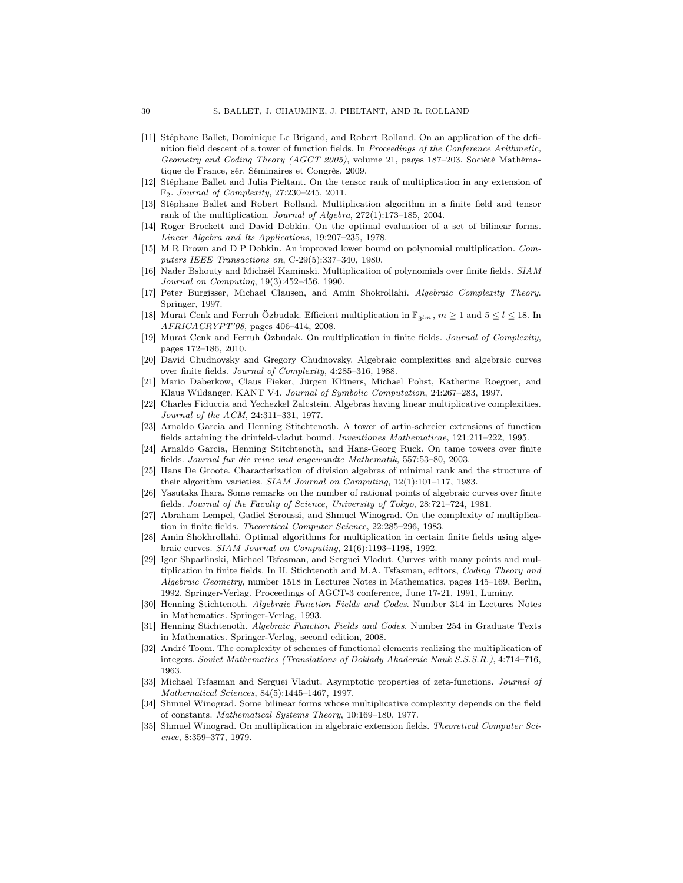- [11] Stéphane Ballet, Dominique Le Brigand, and Robert Rolland. On an application of the definition field descent of a tower of function fields. In Proceedings of the Conference Arithmetic, Geometry and Coding Theory (AGCT 2005), volume 21, pages 187–203. Société Mathématique de France, sér. Séminaires et Congrès, 2009.
- [12] Stéphane Ballet and Julia Pieltant. On the tensor rank of multiplication in any extension of  $\mathbb{F}_2$ . Journal of Complexity, 27:230-245, 2011.
- [13] Stéphane Ballet and Robert Rolland. Multiplication algorithm in a finite field and tensor rank of the multiplication. Journal of Algebra, 272(1):173–185, 2004.
- [14] Roger Brockett and David Dobkin. On the optimal evaluation of a set of bilinear forms. Linear Algebra and Its Applications, 19:207–235, 1978.
- [15] M R Brown and D P Dobkin. An improved lower bound on polynomial multiplication. Computers IEEE Transactions on, C-29(5):337–340, 1980.
- [16] Nader Bshouty and Michaël Kaminski. Multiplication of polynomials over finite fields. SIAM Journal on Computing, 19(3):452–456, 1990.
- [17] Peter Burgisser, Michael Clausen, and Amin Shokrollahi. Algebraic Complexity Theory. Springer, 1997.
- [18] Murat Cenk and Ferruh Özbudak. Efficient multiplication in  $\mathbb{F}_{3^l}$ ,  $m \geq 1$  and  $5 \leq l \leq 18$ . In AFRICACRYPT'08, pages 406–414, 2008.
- [19] Murat Cenk and Ferruh Özbudak. On multiplication in finite fields. Journal of Complexity, pages 172–186, 2010.
- [20] David Chudnovsky and Gregory Chudnovsky. Algebraic complexities and algebraic curves over finite fields. Journal of Complexity, 4:285–316, 1988.
- [21] Mario Daberkow, Claus Fieker, Jürgen Klüners, Michael Pohst, Katherine Roegner, and Klaus Wildanger. KANT V4. Journal of Symbolic Computation, 24:267–283, 1997.
- [22] Charles Fiduccia and Yechezkel Zalcstein. Algebras having linear multiplicative complexities. Journal of the ACM, 24:311–331, 1977.
- [23] Arnaldo Garcia and Henning Stitchtenoth. A tower of artin-schreier extensions of function fields attaining the drinfeld-vladut bound. Inventiones Mathematicae, 121:211–222, 1995.
- [24] Arnaldo Garcia, Henning Stitchtenoth, and Hans-Georg Ruck. On tame towers over finite fields. Journal fur die reine und angewandte Mathematik, 557:53–80, 2003.
- [25] Hans De Groote. Characterization of division algebras of minimal rank and the structure of their algorithm varieties. SIAM Journal on Computing, 12(1):101–117, 1983.
- [26] Yasutaka Ihara. Some remarks on the number of rational points of algebraic curves over finite fields. Journal of the Faculty of Science, University of Tokyo, 28:721–724, 1981.
- [27] Abraham Lempel, Gadiel Seroussi, and Shmuel Winograd. On the complexity of multiplication in finite fields. Theoretical Computer Science, 22:285–296, 1983.
- [28] Amin Shokhrollahi. Optimal algorithms for multiplication in certain finite fields using algebraic curves. SIAM Journal on Computing, 21(6):1193–1198, 1992.
- [29] Igor Shparlinski, Michael Tsfasman, and Serguei Vladut. Curves with many points and multiplication in finite fields. In H. Stichtenoth and M.A. Tsfasman, editors, *Coding Theory and* Algebraic Geometry, number 1518 in Lectures Notes in Mathematics, pages 145–169, Berlin, 1992. Springer-Verlag. Proceedings of AGCT-3 conference, June 17-21, 1991, Luminy.
- [30] Henning Stichtenoth. Algebraic Function Fields and Codes. Number 314 in Lectures Notes in Mathematics. Springer-Verlag, 1993.
- [31] Henning Stichtenoth. Algebraic Function Fields and Codes. Number 254 in Graduate Texts in Mathematics. Springer-Verlag, second edition, 2008.
- [32] André Toom. The complexity of schemes of functional elements realizing the multiplication of integers. Soviet Mathematics (Translations of Doklady Akademie Nauk S.S.S.R.), 4:714–716, 1963.
- [33] Michael Tsfasman and Serguei Vladut. Asymptotic properties of zeta-functions. Journal of Mathematical Sciences, 84(5):1445–1467, 1997.
- [34] Shmuel Winograd. Some bilinear forms whose multiplicative complexity depends on the field of constants. Mathematical Systems Theory, 10:169–180, 1977.
- [35] Shmuel Winograd. On multiplication in algebraic extension fields. Theoretical Computer Science, 8:359–377, 1979.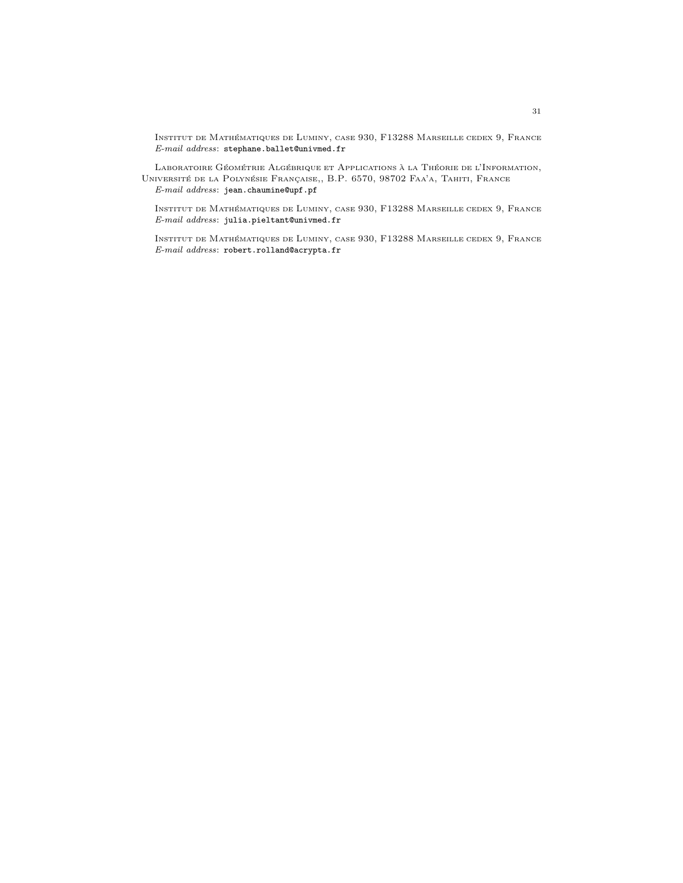Institut de Mathématiques de Luminy, case 930, F13288 Marseille cedex 9, France E-mail address: stephane.ballet@univmed.fr

Laboratoire Géométrie Algébrique et Applications à la Théorie de l'Information, Université de la Polynésie Française,, B.P. 6570, 98702 Faa'a, Tahiti, France E-mail address: jean.chaumine@upf.pf

Institut de Mathématiques de Luminy, case 930, F13288 Marseille cedex 9, France  $\it E\mbox{-}mail\;address:$  julia.pieltant@univmed.fr

Institut de Mathématiques de Luminy, case 930, F13288 Marseille cedex 9, France E-mail address: robert.rolland@acrypta.fr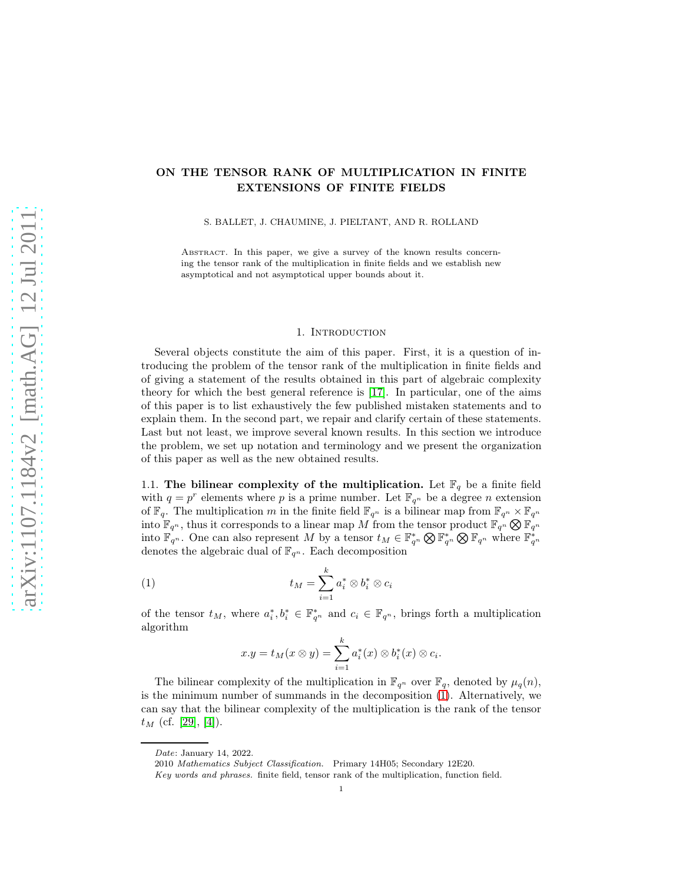# ON THE TENSOR RANK OF MULTIPLICATION IN FINITE EXTENSIONS OF FINITE FIELDS

S. BALLET, J. CHAUMINE, J. PIELTANT, AND R. ROLLAND

ABSTRACT. In this paper, we give a survey of the known results concerning the tensor rank of the multiplication in finite fields and we establish new asymptotical and not asymptotical upper bounds about it.

## 1. INTRODUCTION

Several objects constitute the aim of this paper. First, it is a question of introducing the problem of the tensor rank of the multiplication in finite fields and of giving a statement of the results obtained in this part of algebraic complexity theory for which the best general reference is [\[17\]](#page-60-0). In particular, one of the aims of this paper is to list exhaustively the few published mistaken statements and to explain them. In the second part, we repair and clarify certain of these statements. Last but not least, we improve several known results. In this section we introduce the problem, we set up notation and terminology and we present the organization of this paper as well as the new obtained results.

1.1. The bilinear complexity of the multiplication. Let  $\mathbb{F}_q$  be a finite field with  $q = p^r$  elements where p is a prime number. Let  $\mathbb{F}_{q^n}$  be a degree n extension of  $\mathbb{F}_q$ . The multiplication m in the finite field  $\mathbb{F}_{q^n}$  is a bilinear map from  $\mathbb{F}_{q^n} \times \mathbb{F}_{q^n}$ into  $\mathbb{F}_{q^n}$ , thus it corresponds to a linear map M from the tensor product  $\mathbb{F}_{q^n} \otimes \mathbb{F}_{q^n}$ into  $\mathbb{F}_{q^n}$ . One can also represent M by a tensor  $t_M \in \mathbb{F}_{q^n}^* \otimes \mathbb{F}_{q^n} \otimes \mathbb{F}_{q^n}$  where  $\mathbb{F}_{q^n}^*$ denotes the algebraic dual of  $\mathbb{F}_{q^n}.$  Each decomposition

(1) 
$$
t_M = \sum_{i=1}^k a_i^* \otimes b_i^* \otimes c_i
$$

of the tensor  $t_M$ , where  $a_i^*, b_i^* \in \mathbb{F}_{q^n}^*$  and  $c_i \in \mathbb{F}_{q^n}$ , brings forth a multiplication algorithm

<span id="page-31-0"></span>
$$
x.y = t_M(x \otimes y) = \sum_{i=1}^k a_i^*(x) \otimes b_i^*(x) \otimes c_i.
$$

The bilinear complexity of the multiplication in  $\mathbb{F}_{q^n}$  over  $\mathbb{F}_q$ , denoted by  $\mu_q(n)$ , is the minimum number of summands in the decomposition [\(1\)](#page-31-0). Alternatively, we can say that the bilinear complexity of the multiplication is the rank of the tensor  $t_M$  (cf. [\[29\]](#page-60-1), [\[4\]](#page-59-0)).

Date: January 14, 2022.

<sup>2010</sup> Mathematics Subject Classification. Primary 14H05; Secondary 12E20.

Key words and phrases. finite field, tensor rank of the multiplication, function field.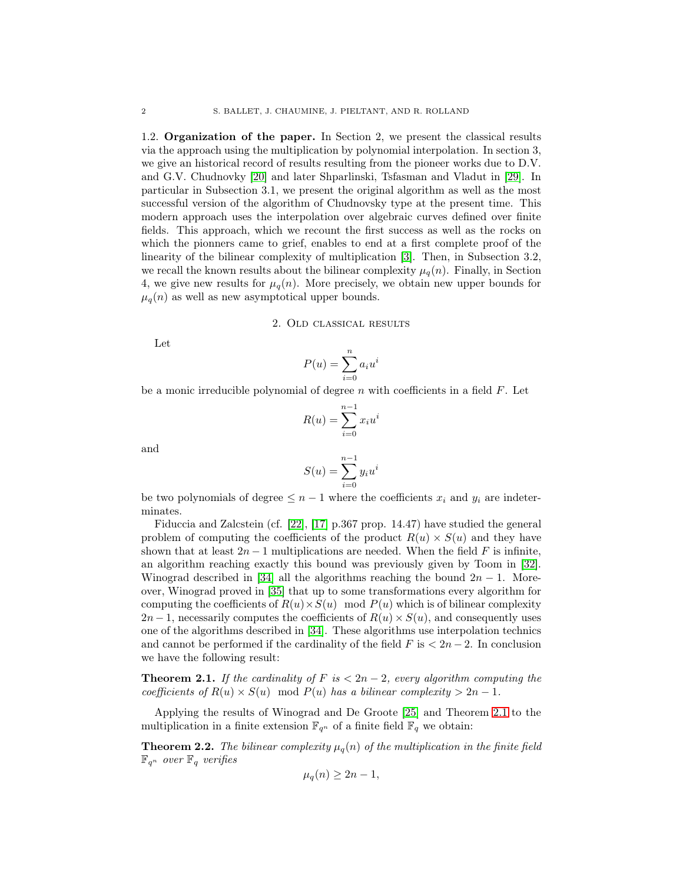1.2. Organization of the paper. In Section 2, we present the classical results via the approach using the multiplication by polynomial interpolation. In section 3, we give an historical record of results resulting from the pioneer works due to D.V. and G.V. Chudnovky [\[20\]](#page-60-2) and later Shparlinski, Tsfasman and Vladut in [\[29\]](#page-60-1). In particular in Subsection 3.1, we present the original algorithm as well as the most successful version of the algorithm of Chudnovsky type at the present time. This modern approach uses the interpolation over algebraic curves defined over finite fields. This approach, which we recount the first success as well as the rocks on which the pionners came to grief, enables to end at a first complete proof of the linearity of the bilinear complexity of multiplication [\[3\]](#page-59-1). Then, in Subsection 3.2, we recall the known results about the bilinear complexity  $\mu_q(n)$ . Finally, in Section 4, we give new results for  $\mu_q(n)$ . More precisely, we obtain new upper bounds for  $\mu_q(n)$  as well as new asymptotical upper bounds.

### 2. Old classical results

Let

$$
P(u) = \sum_{i=0}^{n} a_i u^i
$$

be a monic irreducible polynomial of degree  $n$  with coefficients in a field  $F$ . Let

$$
R(u) = \sum_{i=0}^{n-1} x_i u^i
$$

and

$$
S(u) = \sum_{i=0}^{n-1} y_i u^i
$$

be two polynomials of degree  $\leq n-1$  where the coefficients  $x_i$  and  $y_i$  are indeterminates.

Fiduccia and Zalcstein (cf. [\[22\]](#page-60-3), [\[17\]](#page-60-0) p.367 prop. 14.47) have studied the general problem of computing the coefficients of the product  $R(u) \times S(u)$  and they have shown that at least  $2n-1$  multiplications are needed. When the field F is infinite, an algorithm reaching exactly this bound was previously given by Toom in [\[32\]](#page-61-0). Winograd described in [\[34\]](#page-61-1) all the algorithms reaching the bound  $2n - 1$ . Moreover, Winograd proved in [\[35\]](#page-61-2) that up to some transformations every algorithm for computing the coefficients of  $R(u) \times S(u) \mod P(u)$  which is of bilinear complexity  $2n-1$ , necessarily computes the coefficients of  $R(u) \times S(u)$ , and consequently uses one of the algorithms described in [\[34\]](#page-61-1). These algorithms use interpolation technics and cannot be performed if the cardinality of the field  $F$  is  $\lt 2n-2$ . In conclusion we have the following result:

<span id="page-32-0"></span>**Theorem 2.1.** If the cardinality of F is  $\lt 2n-2$ , every algorithm computing the coefficients of  $R(u) \times S(u) \mod P(u)$  has a bilinear complexity  $> 2n - 1$ .

Applying the results of Winograd and De Groote [\[25\]](#page-60-4) and Theorem [2.1](#page-32-0) to the multiplication in a finite extension  $\mathbb{F}_{q^n}$  of a finite field  $\mathbb{F}_q$  we obtain:

<span id="page-32-1"></span>**Theorem 2.2.** The bilinear complexity  $\mu_q(n)$  of the multiplication in the finite field  $\mathbb{F}_{q^n}$  over  $\mathbb{F}_q$  verifies

$$
\mu_q(n) \ge 2n - 1,
$$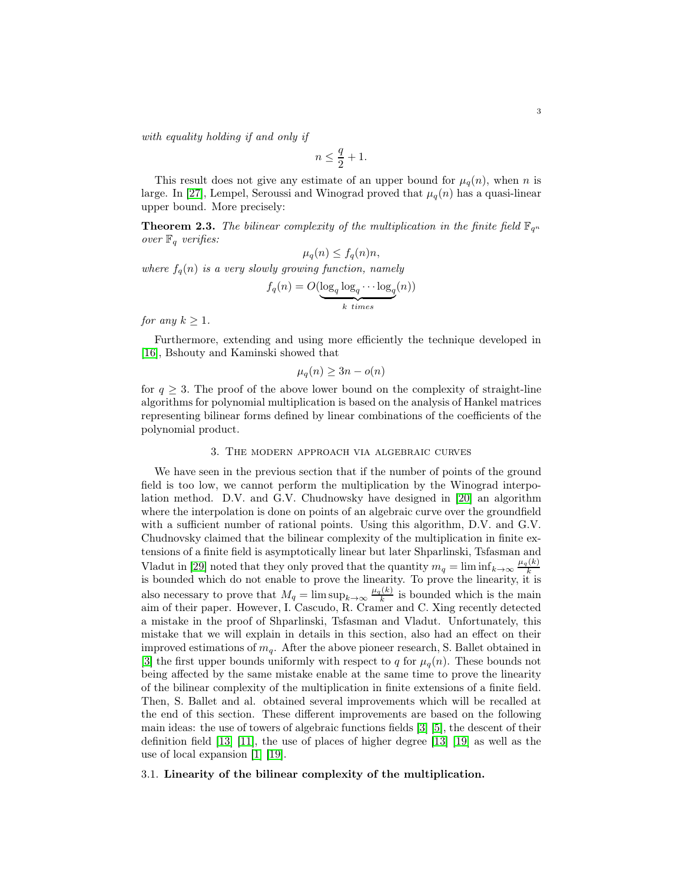with equality holding if and only if

$$
n\leq \frac{q}{2}+1.
$$

This result does not give any estimate of an upper bound for  $\mu_q(n)$ , when n is large. In [\[27\]](#page-60-5), Lempel, Seroussi and Winograd proved that  $\mu_q(n)$  has a quasi-linear upper bound. More precisely:

**Theorem 2.3.** The bilinear complexity of the multiplication in the finite field  $\mathbb{F}_{q^n}$ over  $\mathbb{F}_q$  verifies:

$$
\mu_q(n) \le f_q(n)n,
$$

where  $f_q(n)$  is a very slowly growing function, namely

$$
f_q(n) = O(\underbrace{\log_q \log_q \cdots \log_q}_{k \ times}(n))
$$

for any  $k \geq 1$ .

Furthermore, extending and using more efficiently the technique developed in [\[16\]](#page-60-6), Bshouty and Kaminski showed that

$$
\mu_q(n) \ge 3n - o(n)
$$

for  $q \geq 3$ . The proof of the above lower bound on the complexity of straight-line algorithms for polynomial multiplication is based on the analysis of Hankel matrices representing bilinear forms defined by linear combinations of the coefficients of the polynomial product.

#### 3. The modern approach via algebraic curves

We have seen in the previous section that if the number of points of the ground field is too low, we cannot perform the multiplication by the Winograd interpolation method. D.V. and G.V. Chudnowsky have designed in [\[20\]](#page-60-2) an algorithm where the interpolation is done on points of an algebraic curve over the groundfield with a sufficient number of rational points. Using this algorithm, D.V. and G.V. Chudnovsky claimed that the bilinear complexity of the multiplication in finite extensions of a finite field is asymptotically linear but later Shparlinski, Tsfasman and Vladut in [\[29\]](#page-60-1) noted that they only proved that the quantity  $m_q = \liminf_{k \to \infty} \frac{\mu_q(k)}{k}$  is bounded which do not enable to prove the linearity. To prove the linearity, it is also necessary to prove that  $M_q = \limsup_{k \to \infty} \frac{\mu_q(k)}{k}$  $\frac{f(k)}{k}$  is bounded which is the main aim of their paper. However, I. Cascudo, R. Cramer and C. Xing recently detected a mistake in the proof of Shparlinski, Tsfasman and Vladut. Unfortunately, this mistake that we will explain in details in this section, also had an effect on their improved estimations of  $m_q$ . After the above pioneer research, S. Ballet obtained in [\[3\]](#page-59-1) the first upper bounds uniformly with respect to q for  $\mu_q(n)$ . These bounds not being affected by the same mistake enable at the same time to prove the linearity of the bilinear complexity of the multiplication in finite extensions of a finite field. Then, S. Ballet and al. obtained several improvements which will be recalled at the end of this section. These different improvements are based on the following main ideas: the use of towers of algebraic functions fields [\[3\]](#page-59-1) [\[5\]](#page-59-3), the descent of their definition field [\[13\]](#page-60-9) [\[11\]](#page-60-12), the use of places of higher degree [\[13\]](#page-60-9) [\[19\]](#page-60-10) as well as the use of local expansion [\[1\]](#page-59-2) [\[19\]](#page-60-10).

## 3.1. Linearity of the bilinear complexity of the multiplication.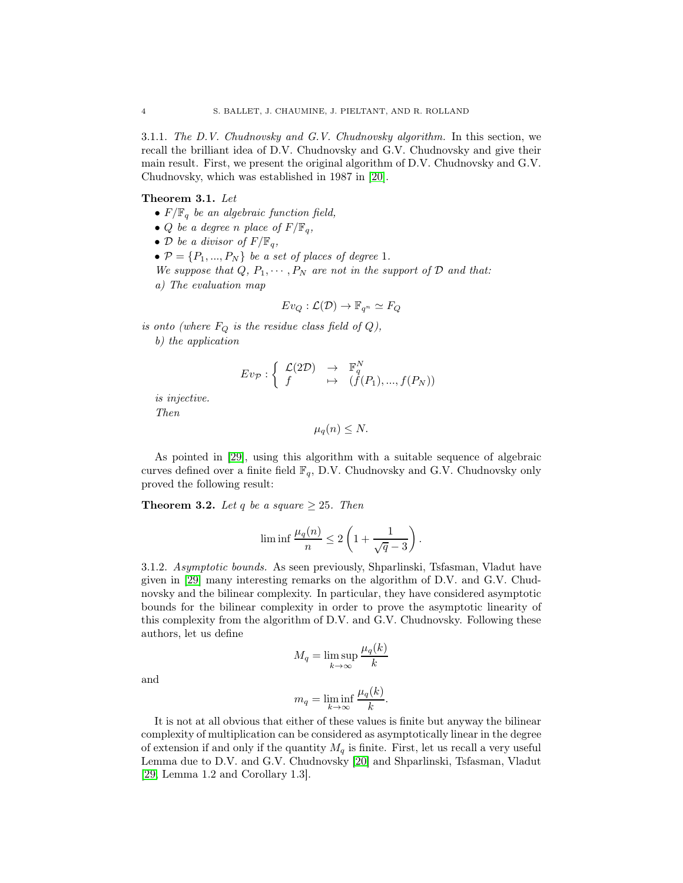3.1.1. The D.V. Chudnovsky and G.V. Chudnovsky algorithm. In this section, we recall the brilliant idea of D.V. Chudnovsky and G.V. Chudnovsky and give their main result. First, we present the original algorithm of D.V. Chudnovsky and G.V. Chudnovsky, which was established in 1987 in [\[20\]](#page-60-2).

### Theorem 3.1. Let

- $F/\mathbb{F}_q$  be an algebraic function field,
- *Q* be a degree n place of  $F/\mathbb{F}_q$ ,
- D be a divisor of  $F/\mathbb{F}_q$ ,
- $\bullet \mathcal{P} = \{P_1, ..., P_N\}$  be a set of places of degree 1.
- We suppose that Q,  $P_1, \cdots, P_N$  are not in the support of  $D$  and that:
- a) The evaluation map

$$
Ev_Q: \mathcal{L}(\mathcal{D}) \to \mathbb{F}_{q^n} \simeq F_Q
$$

is onto (where  $F_Q$  is the residue class field of  $Q$ ),

b) the application

$$
Ev_{\mathcal{P}}: \left\{ \begin{array}{ccc} \mathcal{L}(2\mathcal{D}) & \to & \mathbb{F}_q^N \\ f & \mapsto & (f(P_1), ..., f(P_N)) \end{array} \right.
$$

is injective.

Then

 $\mu_q(n) \leq N$ .

As pointed in [\[29\]](#page-60-1), using this algorithm with a suitable sequence of algebraic curves defined over a finite field  $\mathbb{F}_q$ , D.V. Chudnovsky and G.V. Chudnovsky only proved the following result:

<span id="page-34-1"></span>**Theorem 3.2.** Let q be a square  $\geq 25$ . Then

$$
\liminf \frac{\mu_q(n)}{n} \le 2\left(1 + \frac{1}{\sqrt{q} - 3}\right)
$$

.

<span id="page-34-0"></span>3.1.2. Asymptotic bounds. As seen previously, Shparlinski, Tsfasman, Vladut have given in [\[29\]](#page-60-1) many interesting remarks on the algorithm of D.V. and G.V. Chudnovsky and the bilinear complexity. In particular, they have considered asymptotic bounds for the bilinear complexity in order to prove the asymptotic linearity of this complexity from the algorithm of D.V. and G.V. Chudnovsky. Following these authors, let us define

$$
M_q = \limsup_{k \to \infty} \frac{\mu_q(k)}{k}
$$

and

$$
m_q = \liminf_{k \to \infty} \frac{\mu_q(k)}{k}.
$$

It is not at all obvious that either of these values is finite but anyway the bilinear complexity of multiplication can be considered as asymptotically linear in the degree of extension if and only if the quantity  $M_q$  is finite. First, let us recall a very useful Lemma due to D.V. and G.V. Chudnovsky [\[20\]](#page-60-2) and Shparlinski, Tsfasman, Vladut [\[29,](#page-60-1) Lemma 1.2 and Corollary 1.3].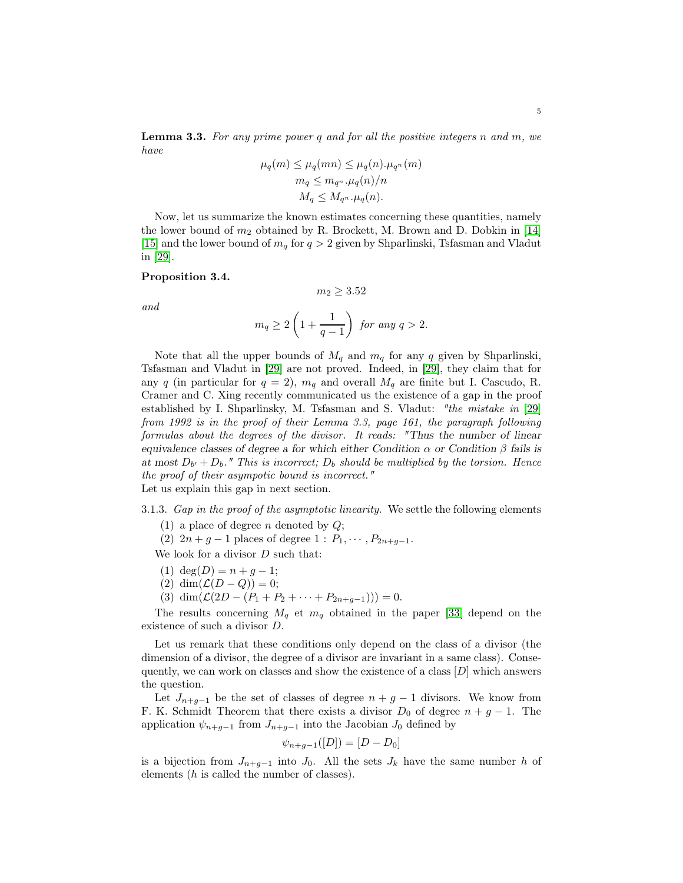<span id="page-35-1"></span>**Lemma 3.3.** For any prime power q and for all the positive integers n and  $m$ , we have  $y \rightarrow z$   $(y \rightarrow z)$ 

$$
\mu_q(m) \le \mu_q(mn) \le \mu_q(n) \cdot \mu_{q^n}(m)
$$
  
\n
$$
m_q \le m_{q^n} \cdot \mu_q(n)/n
$$
  
\n
$$
M_q \le M_{q^n} \cdot \mu_q(n).
$$

Now, let us summarize the known estimates concerning these quantities, namely the lower bound of  $m_2$  obtained by R. Brockett, M. Brown and D. Dobkin in [\[14\]](#page-60-7) [\[15\]](#page-60-8) and the lower bound of  $m_q$  for  $q > 2$  given by Shparlinski, Tsfasman and Vladut in [\[29\]](#page-60-1).

## Proposition 3.4.

and

$$
m_q \ge 2\left(1 + \frac{1}{q-1}\right) \text{ for any } q > 2.
$$

 $m_2 > 3.52$ 

Note that all the upper bounds of  $M_q$  and  $m_q$  for any q given by Shparlinski, Tsfasman and Vladut in [\[29\]](#page-60-1) are not proved. Indeed, in [\[29\]](#page-60-1), they claim that for any q (in particular for  $q = 2$ ),  $m_q$  and overall  $M_q$  are finite but I. Cascudo, R. Cramer and C. Xing recently communicated us the existence of a gap in the proof established by I. Shparlinsky, M. Tsfasman and S. Vladut: "the mistake in [\[29\]](#page-60-1) from 1992 is in the proof of their Lemma 3.3, page 161, the paragraph following formulas about the degrees of the divisor. It reads: "Thus the number of linear equivalence classes of degree a for which either Condition  $\alpha$  or Condition  $\beta$  fails is at most  $D_{b'} + D_b$ ." This is incorrect;  $D_b$  should be multiplied by the torsion. Hence the proof of their asympotic bound is incorrect." Let us explain this gap in next section.

<span id="page-35-0"></span>3.1.3. Gap in the proof of the asymptotic linearity. We settle the following elements

(1) a place of degree *n* denoted by  $Q$ ;

(2)  $2n + g - 1$  places of degree  $1 : P_1, \cdots, P_{2n+q-1}$ .

We look for a divisor  $D$  such that:

- (1)  $deg(D) = n + q 1;$
- (2) dim $(\mathcal{L}(D-Q))=0;$
- (3) dim $(\mathcal{L}(2D (P_1 + P_2 + \cdots + P_{2n+q-1}))) = 0.$

The results concerning  $M_q$  et  $m_q$  obtained in the paper [\[33\]](#page-61-3) depend on the existence of such a divisor D.

Let us remark that these conditions only depend on the class of a divisor (the dimension of a divisor, the degree of a divisor are invariant in a same class). Consequently, we can work on classes and show the existence of a class  $[D]$  which answers the question.

Let  $J_{n+g-1}$  be the set of classes of degree  $n+g-1$  divisors. We know from F. K. Schmidt Theorem that there exists a divisor  $D_0$  of degree  $n + g - 1$ . The application  $\psi_{n+g-1}$  from  $J_{n+g-1}$  into the Jacobian  $J_0$  defined by

$$
\psi_{n+g-1}([D]) = [D - D_0]
$$

is a bijection from  $J_{n+g-1}$  into  $J_0$ . All the sets  $J_k$  have the same number h of elements (h is called the number of classes).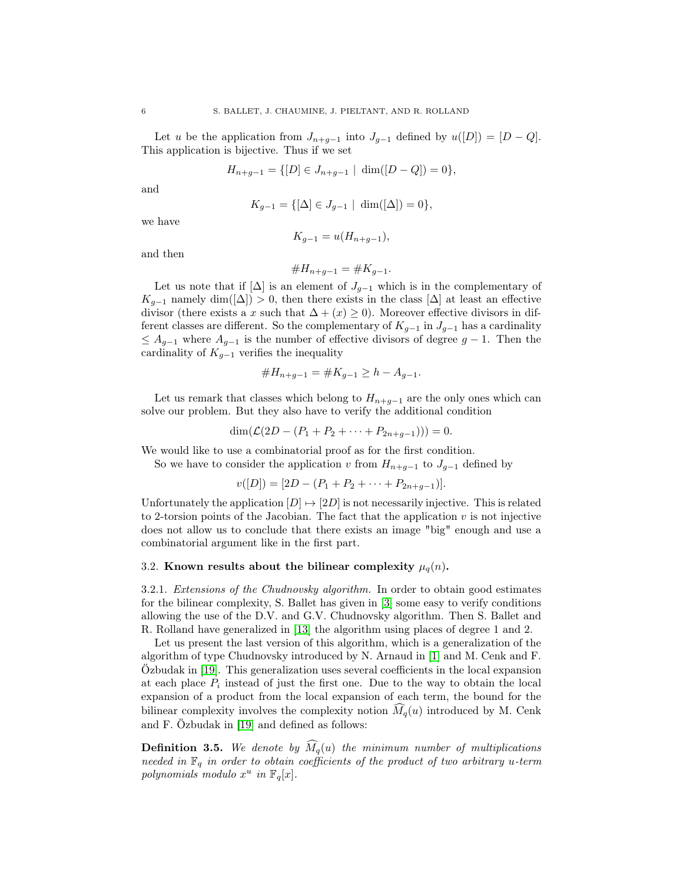Let u be the application from  $J_{n+g-1}$  into  $J_{g-1}$  defined by  $u([D]) = [D - Q]$ . This application is bijective. Thus if we set

$$
H_{n+g-1} = \{ [D] \in J_{n+g-1} \mid \dim([D-Q]) = 0 \},\
$$

and

$$
K_{g-1} = \{ [\Delta] \in J_{g-1} \mid \dim([\Delta]) = 0 \}
$$

we have

$$
K_{g-1} = u(H_{n+g-1}),
$$

and then

#H<sup>n</sup>+g−<sup>1</sup> = #K<sup>g</sup>−<sup>1</sup>.

Let us note that if  $[\Delta]$  is an element of  $J_{q-1}$  which is in the complementary of  $K_{g-1}$  namely dim([ $\Delta$ ]) > 0, then there exists in the class [ $\Delta$ ] at least an effective divisor (there exists a x such that  $\Delta + (x) \ge 0$ ). Moreover effective divisors in different classes are different. So the complementary of  $K_{g-1}$  in  $J_{g-1}$  has a cardinality  $\leq A_{g-1}$  where  $A_{g-1}$  is the number of effective divisors of degree  $g-1$ . Then the cardinality of  $K_{g-1}$  verifies the inequality

#H<sup>n</sup>+g−<sup>1</sup> = #K<sup>g</sup>−<sup>1</sup> ≥ h − A<sup>g</sup>−<sup>1</sup>.

Let us remark that classes which belong to  $H_{n+g-1}$  are the only ones which can solve our problem. But they also have to verify the additional condition

$$
\dim(\mathcal{L}(2D - (P_1 + P_2 + \cdots + P_{2n+g-1}))) = 0.
$$

We would like to use a combinatorial proof as for the first condition.

So we have to consider the application v from  $H_{n+g-1}$  to  $J_{g-1}$  defined by

$$
v([D]) = [2D - (P_1 + P_2 + \cdots + P_{2n+g-1})].
$$

Unfortunately the application  $[D] \mapsto [2D]$  is not necessarily injective. This is related to 2-torsion points of the Jacobian. The fact that the application  $v$  is not injective does not allow us to conclude that there exists an image "big" enough and use a combinatorial argument like in the first part.

### 3.2. Known results about the bilinear complexity  $\mu_q(n)$ .

3.2.1. Extensions of the Chudnovsky algorithm. In order to obtain good estimates for the bilinear complexity, S. Ballet has given in [\[3\]](#page-59-1) some easy to verify conditions allowing the use of the D.V. and G.V. Chudnovsky algorithm. Then S. Ballet and R. Rolland have generalized in [\[13\]](#page-60-9) the algorithm using places of degree 1 and 2.

Let us present the last version of this algorithm, which is a generalization of the algorithm of type Chudnovsky introduced by N. Arnaud in [\[1\]](#page-59-2) and M. Cenk and F. Özbudak in [\[19\]](#page-60-10). This generalization uses several coefficients in the local expansion at each place  $P_i$  instead of just the first one. Due to the way to obtain the local expansion of a product from the local expansion of each term, the bound for the bilinear complexity involves the complexity notion  $\widehat{M}_q(u)$  introduced by M. Cenk and F. Özbudak in [\[19\]](#page-60-10) and defined as follows:

**Definition 3.5.** We denote by  $\widehat{M_q}(u)$  the minimum number of multiplications needed in  $\mathbb{F}_q$  in order to obtain coefficients of the product of two arbitrary u-term polynomials modulo  $x^u$  in  $\mathbb{F}_q[x]$ .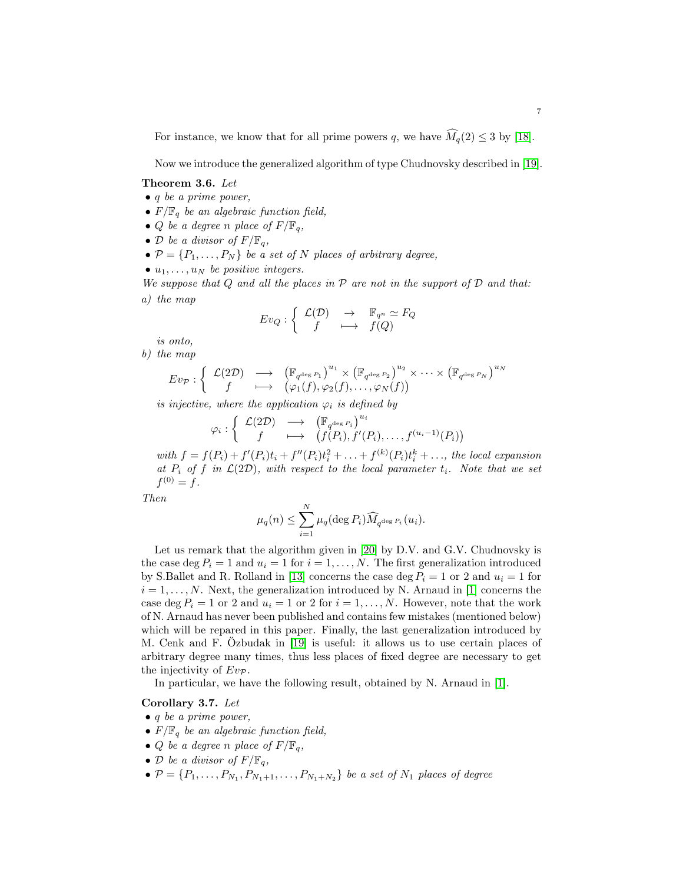For instance, we know that for all prime powers q, we have  $\widehat{M}_q(2) \leq 3$  by [\[18\]](#page-60-11).

Now we introduce the generalized algorithm of type Chudnovsky described in [\[19\]](#page-60-10).

<span id="page-37-0"></span>Theorem 3.6. Let

- $\bullet$  q be a prime power,
- $F/\mathbb{F}_q$  be an algebraic function field,
- Q be a degree n place of  $F/\mathbb{F}_q$ ,
- D be a divisor of  $F/\mathbb{F}_q$ ,
- $\bullet \mathcal{P} = \{P_1, \ldots, P_N\}$  be a set of N places of arbitrary degree,
- $u_1, \ldots, u_N$  be positive integers.

We suppose that  $Q$  and all the places in  $P$  are not in the support of  $D$  and that: a) the map

$$
Ev_Q: \left\{ \begin{array}{ccc} \mathcal{L}(\mathcal{D}) & \to & \mathbb{F}_{q^n} \simeq F_Q \\ f & \longmapsto & f(Q) \end{array} \right.
$$

is onto,

b) the map  
\n
$$
Ev_{\mathcal{P}}: \left\{ \begin{array}{ccc} \mathcal{L}(2\mathcal{D}) & \longrightarrow & \left(\mathbb{F}_{q^{\deg P_1}}\right)^{u_1} \times \left(\mathbb{F}_{q^{\deg P_2}}\right)^{u_2} \times \cdots \times \left(\mathbb{F}_{q^{\deg P_N}}\right)^{u_N} \\ f & \longmapsto & \left(\varphi_1(f), \varphi_2(f), \dots, \varphi_N(f)\right) \end{array} \right\}
$$

is injective, where the application  $\varphi_i$  is defined by

$$
\varphi_i : \left\{ \begin{array}{ccc} \mathcal{L}(2\mathcal{D}) & \longrightarrow & \left( \mathbb{F}_{q^{\deg P_i}} \right)^{u_i} \\ f & \longmapsto & \left( f(P_i), f'(P_i), \dots, f^{(u_i-1)}(P_i) \right) \end{array} \right.
$$

with  $f = f(P_i) + f'(P_i)t_i + f''(P_i)t_i^2 + ... + f^{(k)}(P_i)t_i^k + ...$ , the local expansion at  $P_i$  of f in  $\mathcal{L}(2\mathcal{D})$ , with respect to the local parameter  $t_i$ . Note that we set  $f^{(0)} = f.$ 

Then

$$
\mu_q(n) \leq \sum_{i=1}^N \mu_q(\deg P_i) \widehat{M}_{q^{\deg P_i}}(u_i).
$$

Let us remark that the algorithm given in [\[20\]](#page-60-2) by D.V. and G.V. Chudnovsky is the case deg  $P_i = 1$  and  $u_i = 1$  for  $i = 1, ..., N$ . The first generalization introduced by S.Ballet and R. Rolland in [\[13\]](#page-60-9) concerns the case deg  $P_i = 1$  or 2 and  $u_i = 1$  for  $i = 1, \ldots, N$ . Next, the generalization introduced by N. Arnaud in [\[1\]](#page-59-2) concerns the case deg  $P_i = 1$  or 2 and  $u_i = 1$  or 2 for  $i = 1, \ldots, N$ . However, note that the work of N. Arnaud has never been published and contains few mistakes (mentioned below) which will be repared in this paper. Finally, the last generalization introduced by M. Cenk and F. Özbudak in [\[19\]](#page-60-10) is useful: it allows us to use certain places of arbitrary degree many times, thus less places of fixed degree are necessary to get the injectivity of  $Ev_{\mathcal{P}}$ .

In particular, we have the following result, obtained by N. Arnaud in [\[1\]](#page-59-2).

#### Corollary 3.7. Let

- $\bullet$  q be a prime power,
- $F/\mathbb{F}_q$  be an algebraic function field,
- Q be a degree n place of  $F/\mathbb{F}_q$ ,
- D be a divisor of  $F/\mathbb{F}_q$ ,
- $\bullet \ \mathcal{P} = \{P_1, \ldots, P_{N_1}, P_{N_1+1}, \ldots, P_{N_1+N_2}\}$  be a set of  $N_1$  places of degree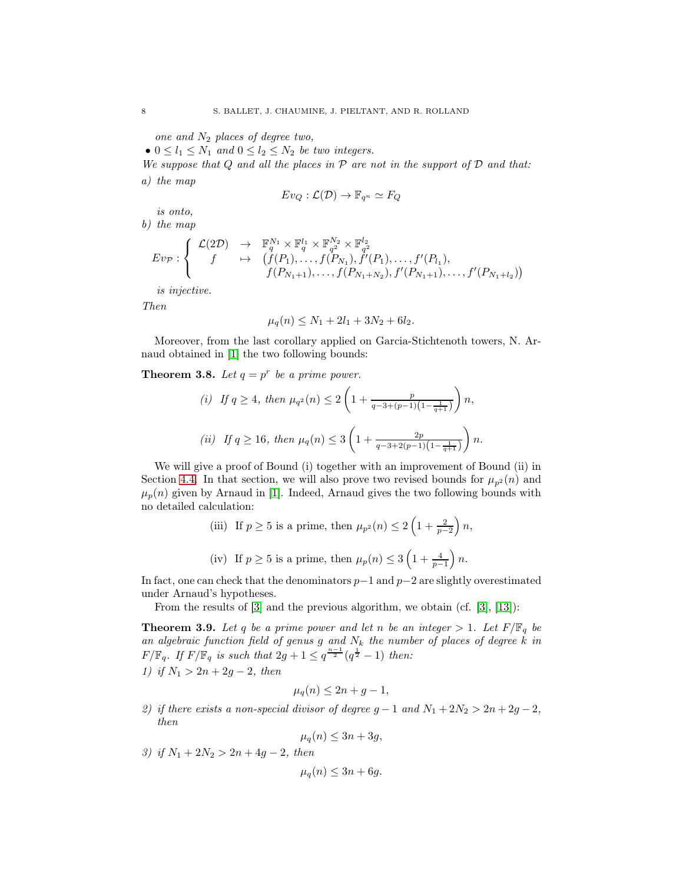one and  $N_2$  places of degree two,

•  $0 \leq l_1 \leq N_1$  and  $0 \leq l_2 \leq N_2$  be two integers.

We suppose that  $Q$  and all the places in  $P$  are not in the support of  $D$  and that: a) the map

$$
Ev_Q : \mathcal{L}(\mathcal{D}) \to \mathbb{F}_{q^n} \simeq F_Q
$$

is onto,

$$
b)\ \ the\ map
$$

$$
Ev_{\mathcal{P}}: \left\{ \begin{array}{ccc} \mathcal{L}(2\mathcal{D}) & \to & \mathbb{F}_q^{N_1} \times \mathbb{F}_q^{l_1} \times \mathbb{F}_{q^2}^{N_2} \times \mathbb{F}_{q^2}^{l_2} \\ f & \mapsto & \left(f(P_1), \dots, f(P_{N_1}), f'(P_1), \dots, f'(P_{l_1}), \dots, f'(P_{N_1+l_2}), f'(P_{N_1+l_2}), \dots, f'(P_{N_l+l_2})\right) \end{array} \right.
$$

is injective.

Then

$$
\mu_q(n) \le N_1 + 2l_1 + 3N_2 + 6l_2.
$$

Moreover, from the last corollary applied on Garcia-Stichtenoth towers, N. Arnaud obtained in [\[1\]](#page-59-2) the two following bounds:

## <span id="page-38-1"></span>**Theorem 3.8.** Let  $q = p^r$  be a prime power.

(i) If 
$$
q \ge 4
$$
, then  $\mu_{q^2}(n) \le 2\left(1 + \frac{p}{q-3+(p-1)\left(1-\frac{1}{q+1}\right)}\right)n$ ,  
\n(ii) If  $q \ge 16$ , then  $\mu_q(n) \le 3\left(1 + \frac{2p}{q-3+2(p-1)\left(1-\frac{1}{q+1}\right)}\right)n$ .

We will give a proof of Bound (i) together with an improvement of Bound (ii) in Section [4.4.](#page-48-0) In that section, we will also prove two revised bounds for  $\mu_{n^2}(n)$  and  $\mu_p(n)$  given by Arnaud in [\[1\]](#page-59-2). Indeed, Arnaud gives the two following bounds with no detailed calculation:

(iii) If 
$$
p \ge 5
$$
 is a prime, then  $\mu_{p^2}(n) \le 2\left(1 + \frac{2}{p-2}\right)n$ ,

(iv) If 
$$
p \ge 5
$$
 is a prime, then  $\mu_p(n) \le 3\left(1 + \frac{4}{p-1}\right)n$ .

In fact, one can check that the denominators  $p-1$  and  $p-2$  are slightly overestimated under Arnaud's hypotheses.

From the results of [\[3\]](#page-59-1) and the previous algorithm, we obtain (cf. [\[3\]](#page-59-1), [\[13\]](#page-60-9)):

<span id="page-38-0"></span>**Theorem 3.9.** Let q be a prime power and let n be an integer  $> 1$ . Let  $F/\mathbb{F}_q$  be an algebraic function field of genus g and  $N_k$  the number of places of degree k in  $F/\mathbb{F}_q$ . If  $F/\mathbb{F}_q$  is such that  $2g+1 \leq q^{\frac{n-1}{2}}(q^{\frac{1}{2}}-1)$  then:

1) if  $N_1 > 2n + 2g - 2$ , then

$$
\mu_q(n) \le 2n + g - 1,
$$

2) if there exists a non-special divisor of degree  $g - 1$  and  $N_1 + 2N_2 > 2n + 2g - 2$ , then

$$
\mu_q(n) \le 3n + 3g,
$$

3) if  $N_1 + 2N_2 > 2n + 4g - 2$ , then

 $\mu_q(n) \leq 3n + 6g.$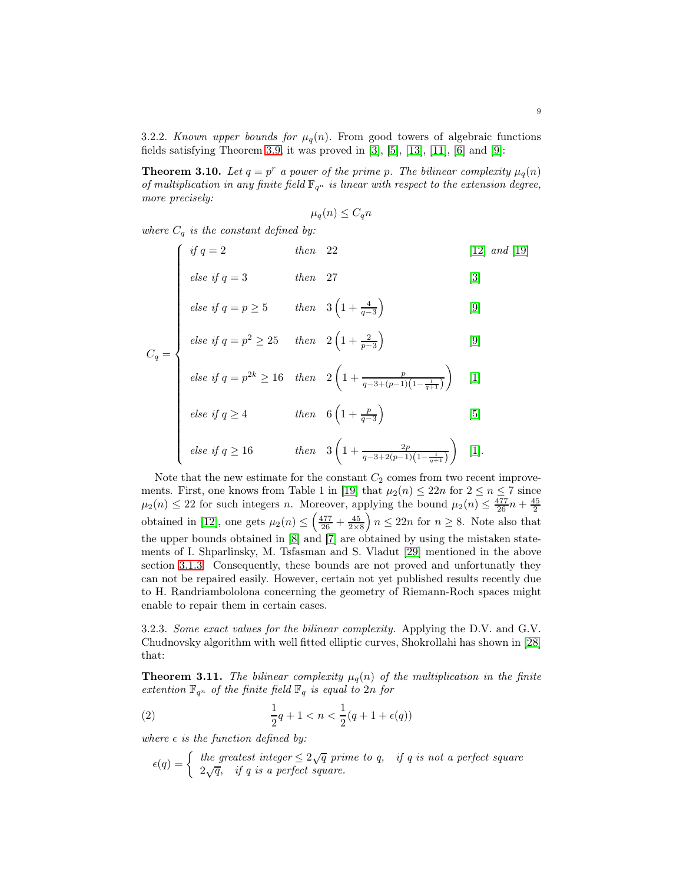3.2.2. Known upper bounds for  $\mu_q(n)$ . From good towers of algebraic functions fields satisfying Theorem [3.9,](#page-38-0) it was proved in  $[3]$ ,  $[5]$ ,  $[13]$ ,  $[11]$ ,  $[6]$  and  $[9]$ :

**Theorem 3.10.** Let  $q = p^r$  a power of the prime p. The bilinear complexity  $\mu_q(n)$ of multiplication in any finite field  $\mathbb{F}_{q^n}$  is linear with respect to the extension degree, more precisely:

$$
\mu_q(n) \le C_q n
$$

where  $C_q$  is the constant defined by:

$$
\begin{cases}\n \text{if } q = 2 & \text{then } 22 & [12] \text{ and } [19] \\
\text{else if } q = 3 & \text{then } 27 & [3] \\
\text{else if } q = p \ge 5 & \text{then } 3\left(1 + \frac{4}{q - 3}\right) & [9] \\
\text{else if } q = p^2 \ge 25 & \text{then } 2\left(1 + \frac{2}{p - 3}\right) & [9]\n \end{cases}
$$

$$
else if q = p \ge 5 \qquad then \quad 3\left(1 + \frac{4}{q - 3}\right) \tag{9}
$$

$$
C_q = \begin{cases} \text{else if } q = p^2 \ge 25 & \text{then} \quad 2\left(1 + \frac{2}{p-3}\right) \end{cases} \tag{9}
$$

else if 
$$
q = p^{2k} \ge 16
$$
 then  $2\left(1 + \frac{p}{q-3+(p-1)\left(1-\frac{1}{q+1}\right)}\right)$  [1]

$$
else if q \ge 4 \qquad \qquad then \quad 6\left(1 + \frac{p}{q-3}\right) \tag{5}
$$

else if 
$$
q \ge 16
$$
 then  $3\left(1 + \frac{2p}{q-3+2(p-1)\left(1 - \frac{1}{q+1}\right)}\right)$  [1].

Note that the new estimate for the constant  $C_2$  comes from two recent improve-ments. First, one knows from Table 1 in [\[19\]](#page-60-10) that  $\mu_2(n) \leq 22n$  for  $2 \leq n \leq 7$  since  $\mu_2(n) \leq 22$  for such integers *n*. Moreover, applying the bound  $\mu_2(n) \leq \frac{477}{26}n + \frac{45}{2}$ obtained in [\[12\]](#page-60-14), one gets  $\mu_2(n) \leq \left(\frac{477}{26} + \frac{45}{2 \times 8}\right)$  $n \leq 22n$  for  $n \geq 8$ . Note also that the upper bounds obtained in [\[8\]](#page-60-15) and [\[7\]](#page-60-16) are obtained by using the mistaken statements of I. Shparlinsky, M. Tsfasman and S. Vladut [\[29\]](#page-60-1) mentioned in the above section [3.1.3.](#page-35-0) Consequently, these bounds are not proved and unfortunatly they can not be repaired easily. However, certain not yet published results recently due to H. Randriambololona concerning the geometry of Riemann-Roch spaces might enable to repair them in certain cases.

3.2.3. Some exact values for the bilinear complexity. Applying the D.V. and G.V. Chudnovsky algorithm with well fitted elliptic curves, Shokrollahi has shown in [\[28\]](#page-60-17) that:

<span id="page-39-1"></span>**Theorem 3.11.** The bilinear complexity  $\mu_q(n)$  of the multiplication in the finite extention  $\mathbb{F}_{q^n}$  of the finite field  $\mathbb{F}_q$  is equal to  $2n$  for

(2) 
$$
\frac{1}{2}q + 1 < n < \frac{1}{2}(q + 1 + \epsilon(q))
$$

where  $\epsilon$  is the function defined by:

<span id="page-39-0"></span>
$$
\epsilon(q) = \begin{cases} \text{ the greatest integer} \leq 2\sqrt{q} \text{ prime to } q, & \text{if } q \text{ is not a perfect square} \\ 2\sqrt{q}, & \text{if } q \text{ is a perfect square.} \end{cases}
$$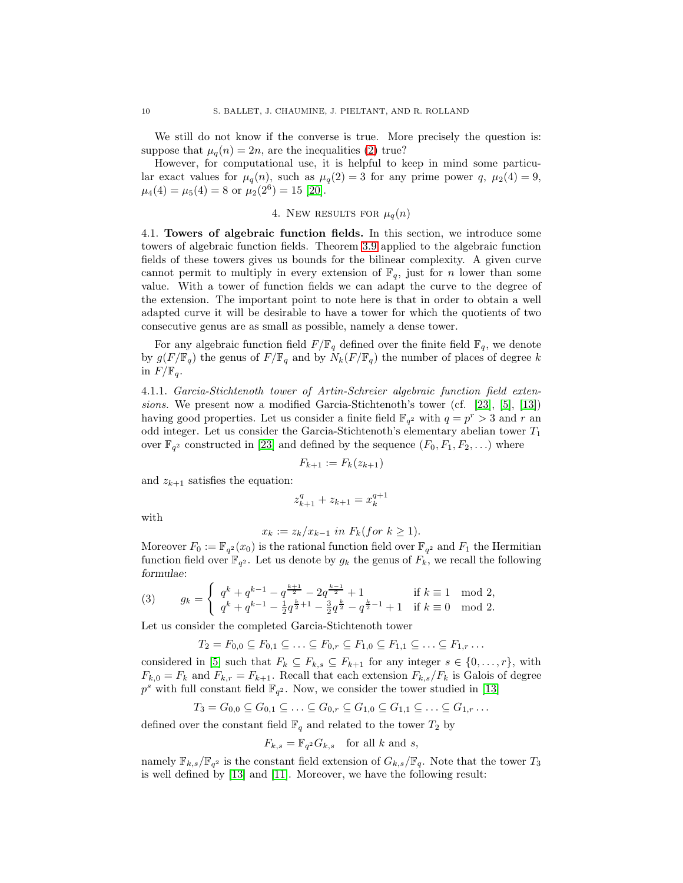We still do not know if the converse is true. More precisely the question is: suppose that  $\mu_q(n) = 2n$ , are the inequalities [\(2\)](#page-39-0) true?

However, for computational use, it is helpful to keep in mind some particular exact values for  $\mu_q(n)$ , such as  $\mu_q(2) = 3$  for any prime power q,  $\mu_2(4) = 9$ ,  $\mu_4(4) = \mu_5(4) = 8$  or  $\mu_2(2^6) = 15$  [\[20\]](#page-60-2).

4. NEW RESULTS FOR 
$$
\mu_q(n)
$$

<span id="page-40-0"></span>4.1. Towers of algebraic function fields. In this section, we introduce some towers of algebraic function fields. Theorem [3.9](#page-38-0) applied to the algebraic function fields of these towers gives us bounds for the bilinear complexity. A given curve cannot permit to multiply in every extension of  $\mathbb{F}_q$ , just for n lower than some value. With a tower of function fields we can adapt the curve to the degree of the extension. The important point to note here is that in order to obtain a well adapted curve it will be desirable to have a tower for which the quotients of two consecutive genus are as small as possible, namely a dense tower.

For any algebraic function field  $F/\mathbb{F}_q$  defined over the finite field  $\mathbb{F}_q$ , we denote by  $g(F/\mathbb{F}_q)$  the genus of  $F/\mathbb{F}_q$  and by  $N_k(F/\mathbb{F}_q)$  the number of places of degree k in  $F/\mathbb{F}_q$ .

4.1.1. Garcia-Stichtenoth tower of Artin-Schreier algebraic function field extensions. We present now a modified Garcia-Stichtenoth's tower (cf. [\[23\]](#page-60-18), [\[5\]](#page-59-3), [\[13\]](#page-60-9)) having good properties. Let us consider a finite field  $\mathbb{F}_{q^2}$  with  $q = p^r > 3$  and r an odd integer. Let us consider the Garcia-Stichtenoth's elementary abelian tower  $T_1$ over  $\mathbb{F}_{q^2}$  constructed in [\[23\]](#page-60-18) and defined by the sequence  $(F_0, F_1, F_2, \ldots)$  where

$$
F_{k+1} := F_k(z_{k+1})
$$

and  $z_{k+1}$  satisfies the equation:

$$
z_{k+1}^q + z_{k+1} = x_k^{q+1}
$$

with

$$
x_k := z_k/x_{k-1} \text{ in } F_k (for \ k \ge 1).
$$

Moreover  $F_0 := \mathbb{F}_{q^2}(x_0)$  is the rational function field over  $\mathbb{F}_{q^2}$  and  $F_1$  the Hermitian function field over  $\mathbb{F}_{q^2}$ . Let us denote by  $g_k$  the genus of  $F_k$ , we recall the following formulae:

<span id="page-40-1"></span>(3) 
$$
g_k = \begin{cases} q^k + q^{k-1} - q^{\frac{k+1}{2}} - 2q^{\frac{k-1}{2}} + 1 & \text{if } k \equiv 1 \mod 2, \\ q^k + q^{k-1} - \frac{1}{2}q^{\frac{k}{2}+1} - \frac{3}{2}q^{\frac{k}{2}} - q^{\frac{k}{2}-1} + 1 & \text{if } k \equiv 0 \mod 2. \end{cases}
$$

Let us consider the completed Garcia-Stichtenoth tower

$$
T_2 = F_{0,0} \subseteq F_{0,1} \subseteq \ldots \subseteq F_{0,r} \subseteq F_{1,0} \subseteq F_{1,1} \subseteq \ldots \subseteq F_{1,r} \ldots
$$

considered in [\[5\]](#page-59-3) such that  $F_k \subseteq F_{k,s} \subseteq F_{k+1}$  for any integer  $s \in \{0, \ldots, r\}$ , with  $F_{k,0} = F_k$  and  $F_{k,r} = F_{k+1}$ . Recall that each extension  $F_{k,s}/F_k$  is Galois of degree  $p<sup>s</sup>$  with full constant field  $\mathbb{F}_{q^2}$ . Now, we consider the tower studied in [\[13\]](#page-60-9)

$$
T_3 = G_{0,0} \subseteq G_{0,1} \subseteq \ldots \subseteq G_{0,r} \subseteq G_{1,0} \subseteq G_{1,1} \subseteq \ldots \subseteq G_{1,r} \ldots
$$

defined over the constant field  $\mathbb{F}_q$  and related to the tower  $T_2$  by

$$
F_{k,s} = \mathbb{F}_{q^2} G_{k,s} \quad \text{for all } k \text{ and } s,
$$

namely  $\mathbb{F}_{k,s}/\mathbb{F}_{q^2}$  is the constant field extension of  $G_{k,s}/\mathbb{F}_{q}$ . Note that the tower  $T_3$ is well defined by [\[13\]](#page-60-9) and [\[11\]](#page-60-12). Moreover, we have the following result: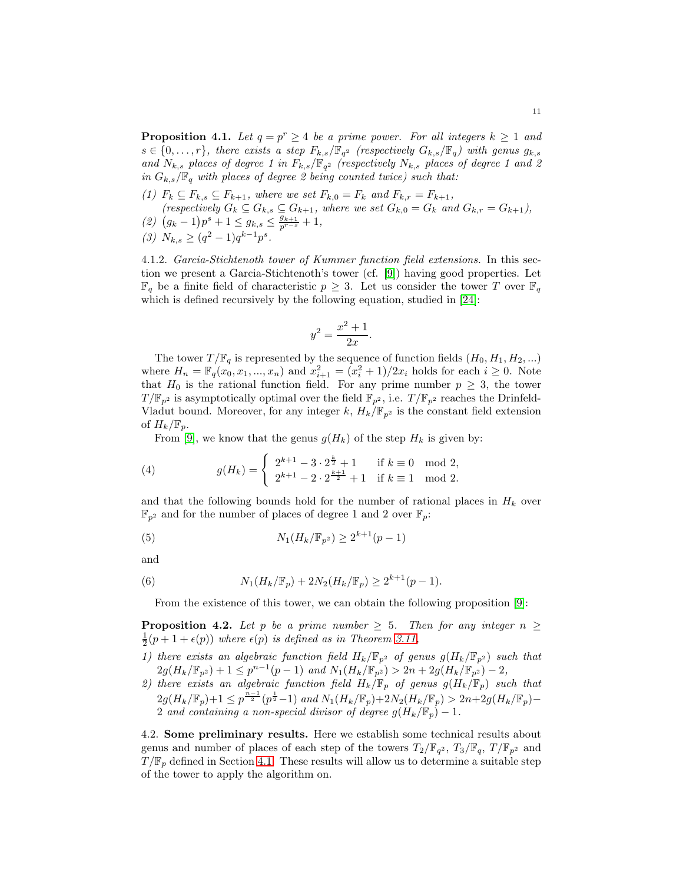<span id="page-41-0"></span>**Proposition 4.1.** Let  $q = p^r \ge 4$  be a prime power. For all integers  $k \ge 1$  and  $s \in \{0, \ldots, r\}$ , there exists a step  $F_{k,s}/\mathbb{F}_{q^2}$  (respectively  $G_{k,s}/\mathbb{F}_q$ ) with genus  $g_{k,s}$ and  $N_{k,s}$  places of degree 1 in  $F_{k,s}/\mathbb{F}_{q^2}$  (respectively  $N_{k,s}$  places of degree 1 and 2 in  $G_{k,s}/\mathbb{F}_q$  with places of degree 2 being counted twice) such that:

- (1)  $F_k \subseteq F_{k,s} \subseteq F_{k+1}$ , where we set  $F_{k,0} = F_k$  and  $F_{k,r} = F_{k+1}$ , (respectively  $G_k \subseteq G_{k,s} \subseteq G_{k+1}$ , where we set  $G_{k,0} = G_k$  and  $G_{k,r} = G_{k+1}$ ),
- (2)  $(g_k 1)p^s + 1 \le g_{k,s} \le \frac{g_{k+1}}{p^{r-s}} + 1,$
- (3)  $N_{k,s} \geq (q^2 1)q^{k-1}p^s$ .

4.1.2. Garcia-Stichtenoth tower of Kummer function field extensions. In this section we present a Garcia-Stichtenoth's tower (cf. [\[9\]](#page-60-13)) having good properties. Let  $\mathbb{F}_q$  be a finite field of characteristic  $p \geq 3$ . Let us consider the tower T over  $\mathbb{F}_q$ which is defined recursively by the following equation, studied in [\[24\]](#page-60-19):

$$
y^2 = \frac{x^2 + 1}{2x}.
$$

The tower  $T/\mathbb{F}_q$  is represented by the sequence of function fields  $(H_0, H_1, H_2, ...)$ where  $H_n = \mathbb{F}_q(x_0, x_1, ..., x_n)$  and  $x_{i+1}^2 = (x_i^2 + 1)/2x_i$  holds for each  $i \ge 0$ . Note that  $H_0$  is the rational function field. For any prime number  $p \geq 3$ , the tower  $T/\mathbb{F}_{p^2}$  is asymptotically optimal over the field  $\mathbb{F}_{p^2}$ , i.e.  $T/\mathbb{F}_{p^2}$  reaches the Drinfeld-Vladut bound. Moreover, for any integer k,  $H_k/\mathbb{F}_{p^2}$  is the constant field extension of  $H_k/\mathbb{F}_p$ .

<span id="page-41-1"></span>From [\[9\]](#page-60-13), we know that the genus  $g(H_k)$  of the step  $H_k$  is given by:

(4) 
$$
g(H_k) = \begin{cases} 2^{k+1} - 3 \cdot 2^{\frac{k}{2}} + 1 & \text{if } k \equiv 0 \mod 2, \\ 2^{k+1} - 2 \cdot 2^{\frac{k+1}{2}} + 1 & \text{if } k \equiv 1 \mod 2. \end{cases}
$$

and that the following bounds hold for the number of rational places in  $H_k$  over  $\mathbb{F}_{p^2}$  and for the number of places of degree 1 and 2 over  $\mathbb{F}_p$ :

<span id="page-41-3"></span>(5) 
$$
N_1(H_k/\mathbb{F}_{p^2}) \ge 2^{k+1}(p-1)
$$

and

(6) 
$$
N_1(H_k/\mathbb{F}_p) + 2N_2(H_k/\mathbb{F}_p) \geq 2^{k+1}(p-1).
$$

<span id="page-41-2"></span>From the existence of this tower, we can obtain the following proposition [\[9\]](#page-60-13):

**Proposition 4.2.** Let p be a prime number  $\geq$  5. Then for any integer  $n \geq$  $\frac{1}{2}(p+1+\epsilon(p))$  where  $\epsilon(p)$  is defined as in Theorem [3.11,](#page-39-1)

- 1) there exists an algebraic function field  $H_k/\mathbb{F}_{p^2}$  of genus  $g(H_k/\mathbb{F}_{p^2})$  such that  $2g(H_k/\mathbb{F}_{p^2})+1 \leq p^{n-1}(p-1)$  and  $N_1(H_k/\mathbb{F}_{p^2}) > 2n + 2g(H_k/\mathbb{F}_{p^2})-2$ ,
- 2) there exists an algebraic function field  $H_k/\mathbb{F}_p$  of genus  $g(H_k/\mathbb{F}_p)$  such that  $2g(H_k/\mathbb{F}_p)+1 \leq p^{\frac{n-1}{2}}(p^{\frac{1}{2}}-1)$  and  $N_1(H_k/\mathbb{F}_p)+2N_2(H_k/\mathbb{F}_p) > 2n+2g(H_k/\mathbb{F}_p)-$ 2 and containing a non-special divisor of degree  $g(H_k/\mathbb{F}_p) - 1$ .

4.2. Some preliminary results. Here we establish some technical results about genus and number of places of each step of the towers  $T_2/\mathbb{F}_{q^2}$ ,  $T_3/\mathbb{F}_{q}$ ,  $T/\mathbb{F}_{p^2}$  and  $T/\mathbb{F}_p$  defined in Section [4.1.](#page-40-0) These results will allow us to determine a suitable step of the tower to apply the algorithm on.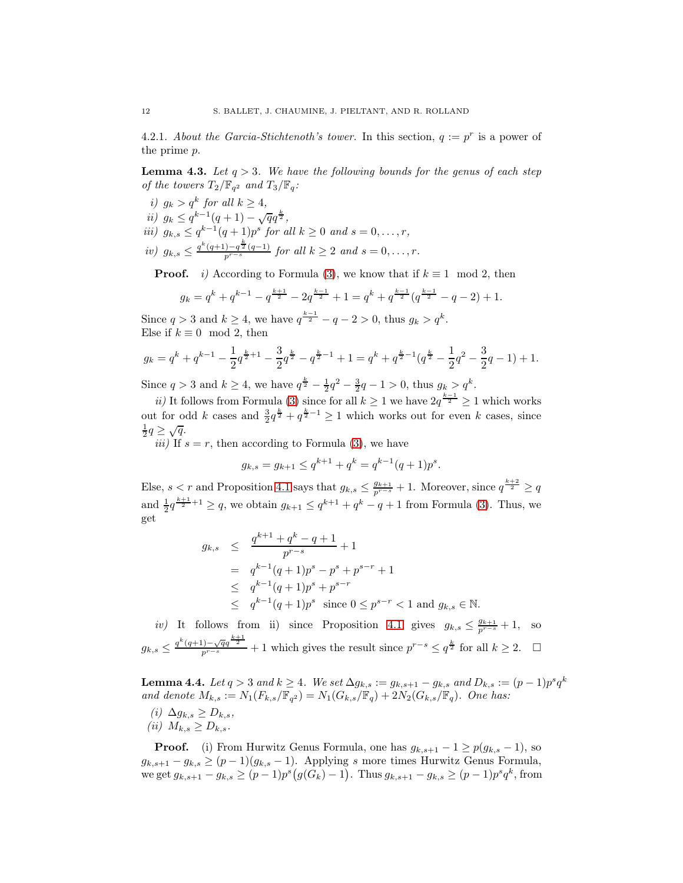4.2.1. About the Garcia-Stichtenoth's tower. In this section,  $q := p^r$  is a power of the prime p.

<span id="page-42-0"></span>**Lemma 4.3.** Let  $q > 3$ . We have the following bounds for the genus of each step of the towers  $T_2/\mathbb{F}_{q^2}$  and  $T_3/\mathbb{F}_{q}$ :

i)  $g_k > q^k$  for all  $k \geq 4$ , ii)  $g_k \leq q^{k-1}(q+1) - \sqrt{q}q^{\frac{k}{2}},$ iii)  $g_{k,s} \leq q^{k-1}(q+1)p^s$  for all  $k \geq 0$  and  $s = 0, \ldots, r$ , iv)  $g_{k,s} \leq \frac{q^k(q+1)-q^{\frac{k}{2}}(q-1)}{p^{r-s}}$  for all  $k \geq 2$  and  $s = 0, \ldots, r$ .

**Proof.** *i*) According to Formula [\(3\)](#page-40-1), we know that if  $k \equiv 1 \mod 2$ , then

$$
g_k = q^k + q^{k-1} - q^{\frac{k+1}{2}} - 2q^{\frac{k-1}{2}} + 1 = q^k + q^{\frac{k-1}{2}}(q^{\frac{k-1}{2}} - q - 2) + 1.
$$

Since  $q > 3$  and  $k \ge 4$ , we have  $q^{\frac{k-1}{2}} - q - 2 > 0$ , thus  $g_k > q^k$ . Else if  $k \equiv 0 \mod 2$ , then

$$
g_k = q^k + q^{k-1} - \frac{1}{2}q^{\frac{k}{2}+1} - \frac{3}{2}q^{\frac{k}{2}} - q^{\frac{k}{2}-1} + 1 = q^k + q^{\frac{k}{2}-1}(q^{\frac{k}{2}} - \frac{1}{2}q^2 - \frac{3}{2}q - 1) + 1.
$$

Since  $q > 3$  and  $k \ge 4$ , we have  $q^{\frac{k}{2}} - \frac{1}{2}q^2 - \frac{3}{2}q - 1 > 0$ , thus  $g_k > q^k$ .

ii) It follows from Formula [\(3\)](#page-40-1) since for all  $k \geq 1$  we have  $2q^{\frac{k-1}{2}} \geq 1$  which works out for odd k cases and  $\frac{3}{2}q^{\frac{k}{2}} + q^{\frac{k}{2}-1} \ge 1$  which works out for even k cases, since  $\frac{1}{2}q \geq \sqrt{q}.$ 

*iii*) If  $s = r$ , then according to Formula [\(3\)](#page-40-1), we have

$$
g_{k,s} = g_{k+1} \le q^{k+1} + q^k = q^{k-1}(q+1)p^s
$$

.

Else,  $s < r$  and Proposition [4.1](#page-41-0) says that  $g_{k,s} \leq \frac{g_{k+1}}{p^{r-s}} + 1$ . Moreover, since  $q^{\frac{k+2}{2}} \geq q$ and  $\frac{1}{2}q^{\frac{k+1}{2}+1} \ge q$ , we obtain  $g_{k+1} \le q^{k+1} + q^k - q + 1$  from Formula [\(3\)](#page-40-1). Thus, we get

$$
g_{k,s} \leq \frac{q^{k+1} + q^k - q + 1}{p^{r-s}} + 1
$$
  
=  $q^{k-1}(q+1)p^s - p^s + p^{s-r} + 1$   
 $\leq q^{k-1}(q+1)p^s + p^{s-r}$   
 $\leq q^{k-1}(q+1)p^s$  since  $0 \leq p^{s-r} < 1$  and  $g_{k,s} \in \mathbb{N}$ .

iv) It follows from ii) since Proposition [4.1](#page-41-0) gives  $g_{k,s} \leq \frac{g_{k+1}}{p^{r-s}} + 1$ , so  $g_{k,s} \leq \frac{q^k(q+1)-\sqrt{q}q^{\frac{k+1}{2}}}{p^{r-s}}+1$  which gives the result since  $p^{r-s} \leq q^{\frac{k}{2}}$  for all  $k \geq 2$ .  $\Box$ 

<span id="page-42-1"></span>**Lemma 4.4.** Let  $q > 3$  and  $k \ge 4$ . We set  $\Delta g_{k,s} := g_{k,s+1} - g_{k,s}$  and  $D_{k,s} := (p-1)p^s q^k$ and denote  $M_{k,s} := N_1(F_{k,s}/\mathbb{F}_{q^2}) = N_1(G_{k,s}/\mathbb{F}_{q}) + 2N_2(G_{k,s}/\mathbb{F}_{q})$ . One has: (i)  $\Delta g_{k,s} \geq D_{k,s}$ , (ii)  $M_{k,s} \geq D_{k,s}$ .

**Proof.** (i) From Hurwitz Genus Formula, one has  $g_{k,s+1} - 1 \geq p(g_{k,s} - 1)$ , so  $g_{k,s+1} - g_{k,s} \ge (p-1)(g_{k,s}-1)$ . Applying s more times Hurwitz Genus Formula, we get  $g_{k,s+1} - g_{k,s} \ge (p-1)p^s(g(G_k) - 1)$ . Thus  $g_{k,s+1} - g_{k,s} \ge (p-1)p^s q^k$ , from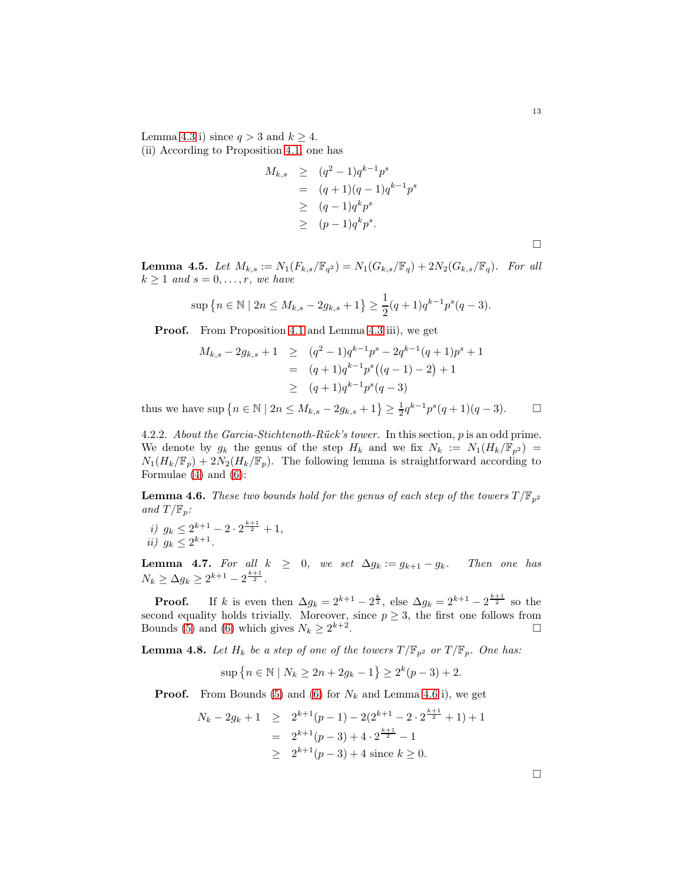Lemma [4.3](#page-42-0) i) since  $q > 3$  and  $k \geq 4$ .

(ii) According to Proposition [4.1,](#page-41-0) one has

$$
M_{k,s} \geq (q^2 - 1)q^{k-1}p^s
$$
  
=  $(q+1)(q-1)q^{k-1}p^s$   
 $\geq (q-1)q^k p^s$   
 $\geq (p-1)q^k p^s$ .

<span id="page-43-1"></span>**Lemma 4.5.** Let  $M_{k,s} := N_1(F_{k,s}/\mathbb{F}_{q^2}) = N_1(G_{k,s}/\mathbb{F}_{q}) + 2N_2(G_{k,s}/\mathbb{F}_{q})$ . For all  $k \geq 1$  and  $s = 0, \ldots, r$ , we have

$$
\sup\left\{n \in \mathbb{N} \mid 2n \le M_{k,s} - 2g_{k,s} + 1\right\} \ge \frac{1}{2}(q+1)q^{k-1}p^s(q-3).
$$

Proof. From Proposition [4.1](#page-41-0) and Lemma [4.3](#page-42-0) iii), we get

$$
M_{k,s} - 2g_{k,s} + 1 \ge (q^2 - 1)q^{k-1}p^s - 2q^{k-1}(q+1)p^s + 1
$$
  
=  $(q+1)q^{k-1}p^s((q-1) - 2) + 1$   
 $\ge (q+1)q^{k-1}p^s(q-3)$ 

thus we have  $\sup \{ n \in \mathbb{N} \mid 2n \le M_{k,s} - 2g_{k,s} + 1 \} \ge \frac{1}{2} q^{k-1} p^s (q+1)(q-3).$ 

4.2.2. About the Garcia-Stichtenoth-Rück's tower. In this section, p is an odd prime. We denote by  $g_k$  the genus of the step  $H_k$  and we fix  $N_k := N_1(H_k/\mathbb{F}_{p^2}) =$  $N_1(H_k/\mathbb{F}_p) + 2N_2(H_k/\mathbb{F}_p)$ . The following lemma is straightforward according to Formulae [\(4\)](#page-41-1) and [\(6\)](#page-41-2):

<span id="page-43-0"></span>**Lemma 4.6.** These two bounds hold for the genus of each step of the towers  $T/\mathbb{F}_{p^2}$ and  $T/\mathbb{F}_p$ :

i)  $g_k \leq 2^{k+1} - 2 \cdot 2^{\frac{k+1}{2}} + 1$ , ii)  $g_k \leq 2^{k+1}$ .

<span id="page-43-2"></span>**Lemma 4.7.** For all  $k \geq 0$ , we set  $\Delta g_k := g_{k+1} - g_k$ . Then one has  $N_k \geq \Delta g_k \geq 2^{k+1} - 2^{\frac{k+1}{2}}.$ 

**Proof.** If k is even then  $\Delta g_k = 2^{k+1} - 2^{\frac{k}{2}}$ , else  $\Delta g_k = 2^{k+1} - 2^{\frac{k+1}{2}}$  so the second equality holds trivially. Moreover, since  $p \ge 3$ , the first one follows from Bounds (5) and (6) which gives  $N_k > 2^{k+2}$ . Bounds [\(5\)](#page-41-3) and [\(6\)](#page-41-2) which gives  $N_k \geq 2^{k+2}$ . — Первый процесс в серверності процесс в серверності процесс в серверності процесс в серверності процесс в с<br>Процесс в серверності процесс в серверності процесс в серверності процесс в серверності процесс в серверності

<span id="page-43-3"></span>**Lemma 4.8.** Let  $H_k$  be a step of one of the towers  $T/\mathbb{F}_{p^2}$  or  $T/\mathbb{F}_p$ . One has:

$$
\sup\{n \in \mathbb{N} \mid N_k \ge 2n + 2g_k - 1\} \ge 2^k(p-3) + 2.
$$

**Proof.** From Bounds [\(5\)](#page-41-3) and [\(6\)](#page-41-2) for  $N_k$  and Lemma [4.6](#page-43-0) i), we get

$$
N_k - 2g_k + 1 \ge 2^{k+1}(p-1) - 2(2^{k+1} - 2 \cdot 2^{\frac{k+1}{2}} + 1) + 1
$$
  
=  $2^{k+1}(p-3) + 4 \cdot 2^{\frac{k+1}{2}} - 1$   
 $\ge 2^{k+1}(p-3) + 4$  since  $k \ge 0$ .

 $\Box$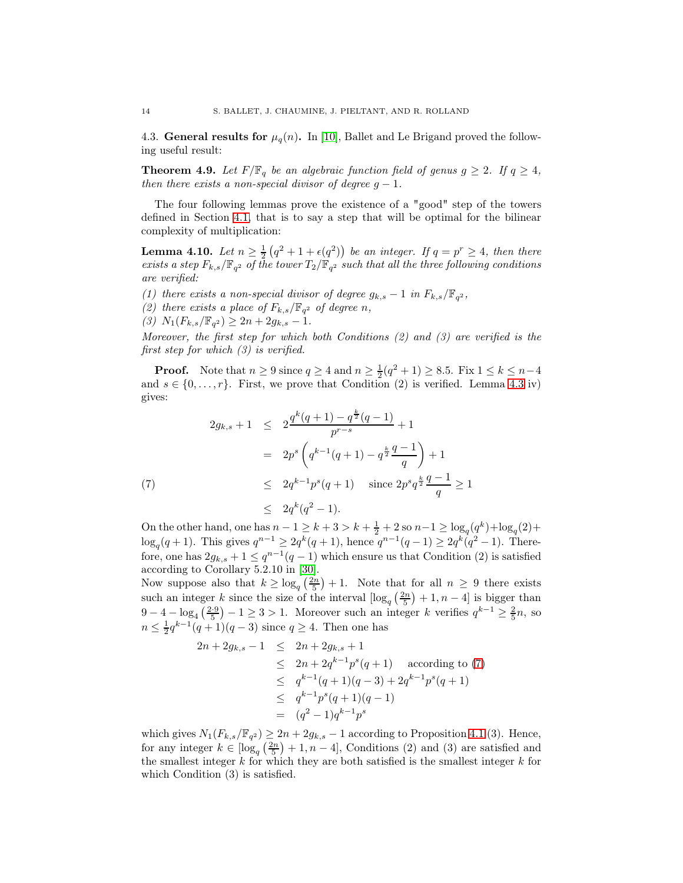4.3. General results for  $\mu_q(n)$ . In [\[10\]](#page-60-20), Ballet and Le Brigand proved the following useful result:

<span id="page-44-1"></span>**Theorem 4.9.** Let  $F/\mathbb{F}_q$  be an algebraic function field of genus  $g \geq 2$ . If  $q \geq 4$ , then there exists a non-special divisor of degree  $g - 1$ .

The four following lemmas prove the existence of a "good" step of the towers defined in Section [4.1,](#page-40-0) that is to say a step that will be optimal for the bilinear complexity of multiplication:

<span id="page-44-2"></span>**Lemma 4.10.** Let  $n \geq \frac{1}{2}(q^2 + 1 + \epsilon(q^2))$  be an integer. If  $q = p^r \geq 4$ , then there exists a step  $F_{k,s}/\mathbb{F}_{q^2}$  of the tower  $T_2/\mathbb{F}_{q^2}$  such that all the three following conditions are verified:

- (1) there exists a non-special divisor of degree  $g_{k,s} 1$  in  $F_{k,s}/\mathbb{F}_{q^2}$ ,
- (2) there exists a place of  $F_{k,s}/\mathbb{F}_{q^2}$  of degree n,

(3)  $N_1(F_{k,s}/\mathbb{F}_{q^2}) \geq 2n + 2g_{k,s} - 1.$ 

Moreover, the first step for which both Conditions (2) and (3) are verified is the first step for which (3) is verified.

**Proof.** Note that  $n \ge 9$  since  $q \ge 4$  and  $n \ge \frac{1}{2}(q^2 + 1) \ge 8.5$ . Fix  $1 \le k \le n-4$ . and  $s \in \{0, \ldots, r\}$ . First, we prove that Condition (2) is verified. Lemma [4.3](#page-42-0) iv) gives:

<span id="page-44-0"></span>
$$
2g_{k,s} + 1 \le 2\frac{q^k(q+1) - q^{\frac{k}{2}}(q-1)}{p^{r-s}} + 1
$$
  
=  $2p^s \left(q^{k-1}(q+1) - q^{\frac{k}{2}}\frac{q-1}{q}\right) + 1$   
 $\le 2q^{k-1}p^s(q+1) \text{ since } 2p^s q^{\frac{k}{2}}\frac{q-1}{q} \ge 1$   
 $\le 2q^k(q^2-1).$ 

On the other hand, one has  $n-1 \geq k+3 > k+\frac{1}{2}+2$  so  $n-1 \geq \log_q(q^k) + \log_q(2) +$  $\log_q(q+1)$ . This gives  $q^{n-1} \geq 2q^k(q+1)$ , hence  $q^{n-1}(q-1) \geq 2q^k(q^2-1)$ . Therefore, one has  $2g_{k,s} + 1 \leq q^{n-1}(q-1)$  which ensure us that Condition (2) is satisfied according to Corollary 5.2.10 in [\[30\]](#page-60-21).

Now suppose also that  $k \geq \log_q \left(\frac{2n}{5}\right) + 1$ . Note that for all  $n \geq 9$  there exists such an integer k since the size of the interval  $\left[\log_q\left(\frac{2n}{5}\right)+1, n-4\right]$  is bigger than 9 − 4 − log<sub>4</sub>  $\left(\frac{2\cdot9}{5}\right)$  − 1 ≥ 3 > 1. Moreover such an integer k verifies  $q^{k-1} \geq \frac{2}{5}n$ , so  $n \leq \frac{1}{2}q^{k-1}(q+1)(q-3)$  since  $q \geq 4$ . Then one has

$$
2n + 2g_{k,s} - 1 \le 2n + 2g_{k,s} + 1
$$
  
\n
$$
\le 2n + 2q^{k-1}p^s(q+1) \text{ according to (7)}
$$
  
\n
$$
\le q^{k-1}(q+1)(q-3) + 2q^{k-1}p^s(q+1)
$$
  
\n
$$
\le q^{k-1}p^s(q+1)(q-1)
$$
  
\n
$$
= (q^2 - 1)q^{k-1}p^s
$$

which gives  $N_1(F_{k,s}/\mathbb{F}_{q^2}) \geq 2n + 2g_{k,s} - 1$  according to Proposition [4.1](#page-41-0) (3). Hence, for any integer  $k \in \left[\log_q\left(\frac{2n}{5}\right) + 1, n - 4\right]$ , Conditions (2) and (3) are satisfied and the smallest integer  $k$  for which they are both satisfied is the smallest integer  $k$  for which Condition (3) is satisfied.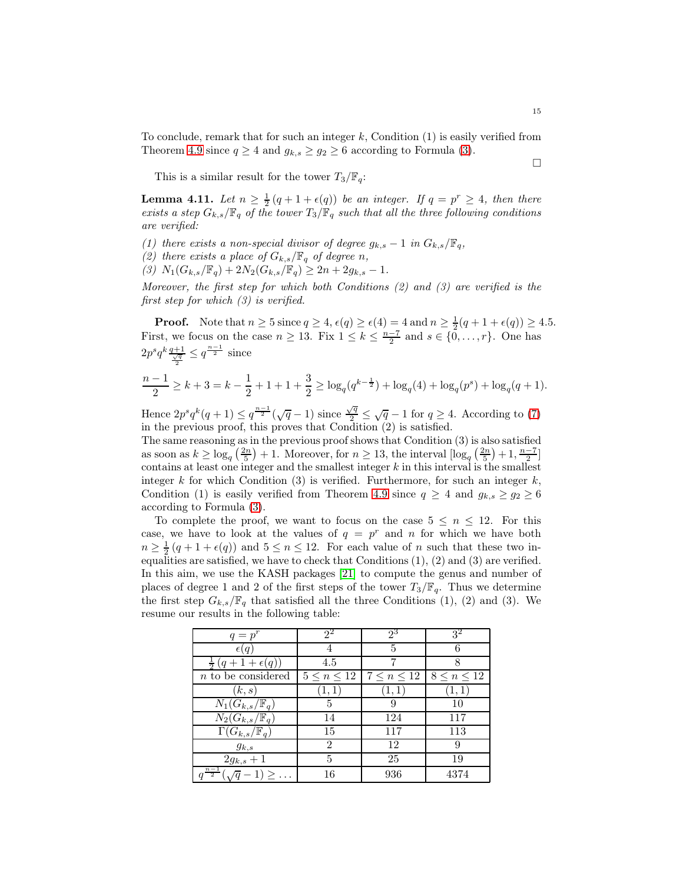To conclude, remark that for such an integer  $k$ , Condition  $(1)$  is easily verified from Theorem [4.9](#page-44-1) since  $q \ge 4$  and  $g_{k,s} \ge g_2 \ge 6$  according to Formula [\(3\)](#page-40-1).

This is a similar result for the tower  $T_3/\mathbb{F}_q$ :

<span id="page-45-0"></span>**Lemma 4.11.** Let  $n \geq \frac{1}{2}(q+1+\epsilon(q))$  be an integer. If  $q = p^r \geq 4$ , then there exists a step  $G_{k,s}/\mathbb{F}_q$  of the tower  $T_3/\mathbb{F}_q$  such that all the three following conditions are verified:

- (1) there exists a non-special divisor of degree  $g_{k,s} 1$  in  $G_{k,s}/\mathbb{F}_q$ ,
- (2) there exists a place of  $G_{k,s}/\mathbb{F}_q$  of degree n,
- (3)  $N_1(G_{k,s}/\mathbb{F}_q) + 2N_2(G_{k,s}/\mathbb{F}_q) \geq 2n + 2g_{k,s} 1.$

Moreover, the first step for which both Conditions (2) and (3) are verified is the first step for which (3) is verified.

**Proof.** Note that  $n \ge 5$  since  $q \ge 4$ ,  $\epsilon(q) \ge \epsilon(4) = 4$  and  $n \ge \frac{1}{2}(q + 1 + \epsilon(q)) \ge 4.5$ . First, we focus on the case  $n \geq 13$ . Fix  $1 \leq k \leq \frac{n-7}{2}$  and  $s \in \{0, \ldots, r\}$ . One has  $2p^sq^k\frac{q+1}{\frac{\sqrt{q}}{2}} \leq q^{\frac{n-1}{2}}$  since

$$
\frac{n-1}{2} \geq k+3 = k - \frac{1}{2} + 1 + 1 + \frac{3}{2} \geq \log_q(q^{k-\frac{1}{2}}) + \log_q(4) + \log_q(p^s) + \log_q(q+1).
$$

Hence  $2p^s q^k(q+1) \leq q^{\frac{n-1}{2}}(\sqrt{q}-1)$  since  $\frac{\sqrt{q}}{2}$  $\sqrt{\frac{q}{2}} \leq \sqrt{q} - 1$  for  $q \geq 4$ . According to [\(7\)](#page-44-0) in the previous proof, this proves that Condition (2) is satisfied.

The same reasoning as in the previous proof shows that Condition (3) is also satisfied as soon as  $k \geq \log_q(\frac{2n}{5}) + 1$ . Moreover, for  $n \geq 13$ , the interval  $\left[\log_q(\frac{2n}{5}) + 1, \frac{n-7}{2}\right]$ contains at least one integer and the smallest integer  $k$  in this interval is the smallest integer k for which Condition (3) is verified. Furthermore, for such an integer  $k$ , Condition (1) is easily verified from Theorem [4.9](#page-44-1) since  $q \geq 4$  and  $g_{k,s} \geq g_2 \geq 6$ according to Formula [\(3\)](#page-40-1).

To complete the proof, we want to focus on the case  $5 \leq n \leq 12$ . For this case, we have to look at the values of  $q = p^r$  and n for which we have both  $n \geq \frac{1}{2}(q+1+\epsilon(q))$  and  $5 \leq n \leq 12$ . For each value of n such that these two inequalities are satisfied, we have to check that Conditions  $(1), (2)$  and  $(3)$  are verified. In this aim, we use the KASH packages [\[21\]](#page-60-22) to compute the genus and number of places of degree 1 and 2 of the first steps of the tower  $T_3/\mathbb{F}_q$ . Thus we determine the first step  $G_{k,s}/\mathbb{F}_q$  that satisfied all the three Conditions (1), (2) and (3). We resume our results in the following table:

| $q=p^r$                                       | $2^2$              | $2^3$            | 3 <sup>2</sup>     |
|-----------------------------------------------|--------------------|------------------|--------------------|
| $\epsilon(q)$                                 |                    | 5                |                    |
| $\frac{1}{2}(q+1+\epsilon(q))$                | 4.5                |                  |                    |
| $n$ to be considered                          | $5 \leq n \leq 12$ | $7\leq n\leq 12$ | $8 \leq n \leq 12$ |
| (k,s)                                         | (1,1)              | (1,1)            | 1, 1,              |
| $N_1(G_{k,s}/\mathbb{F}_q)$                   | 5                  | 9                | 10                 |
| $N_2(G_{k,s}/\mathbb{F}_q)$                   | 14                 | 124              | 117                |
| $\Gamma(G_{k,s}/\mathbb{F}_q)$                | 15                 | 117              | 113                |
| $g_{k,s}$                                     | 2                  | 12               |                    |
| $2g_{k,s}+1$                                  | 5                  | 25               | 19                 |
| $\frac{\frac{n-1}{2}}{\sqrt{q}-1} \geq \dots$ | 16                 | 936              | 4374               |

 $\Box$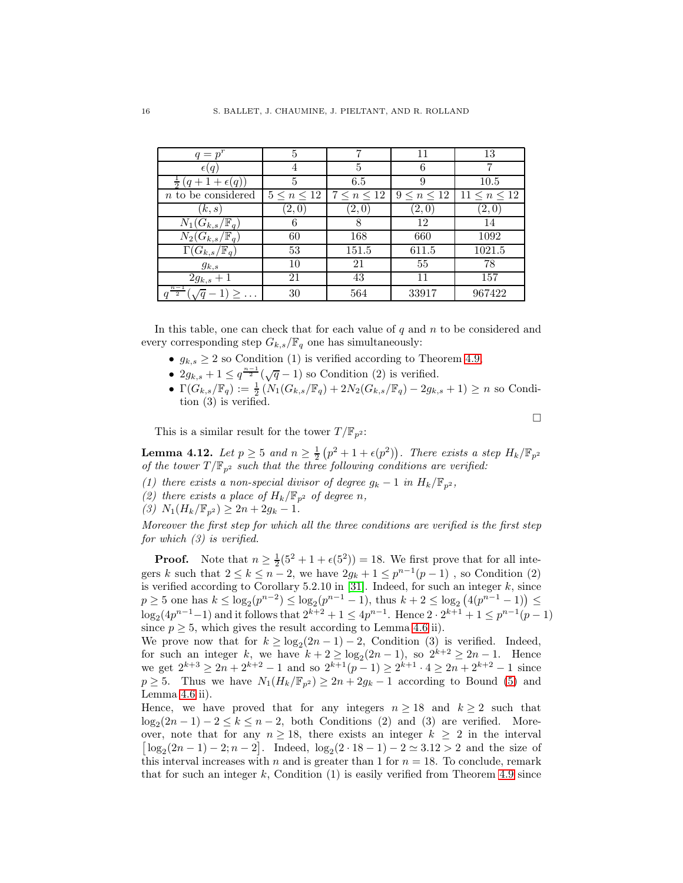| $q=p^r$                                     | 5                  |                  | 11                 | 13                  |
|---------------------------------------------|--------------------|------------------|--------------------|---------------------|
| $\epsilon(q)$                               |                    | 5                | 6                  |                     |
| $(q+1+\epsilon(q))$                         | 5                  | 6.5              | 9                  | 10.5                |
| $n$ to be considered                        | $5 \leq n \leq 12$ | $7\leq n\leq 12$ | $9 \leq n \leq 12$ | $11 \leq n \leq 12$ |
| (k, s)                                      | (2,0)              | (2,0)            | (2,0)              | $\left( 2,0\right)$ |
| $N_1(G_{k,s}/\mathbb{F}_q)$                 | 6                  | 8                | 12                 | 14                  |
| $N_2(G_{k,s}/\mathbb{F}_q)$                 | 60                 | 168              | 660                | 1092                |
| $\Gamma(G_{k,s}/\mathbb{F}_q)$              | 53                 | 151.5            | 611.5              | 1021.5              |
| $g_{k,s}$                                   | 10                 | 21               | 55                 | 78                  |
| $2g_{k,s}+1$                                | 21                 | 43               | 11                 | 157                 |
| $n-1$<br>$1) \geq \ldots$<br>$\overline{2}$ | 30                 | 564              | 33917              | 967422              |

In this table, one can check that for each value of  $q$  and  $n$  to be considered and every corresponding step  $G_{k,s}/\mathbb{F}_q$  one has simultaneously:

- $g_{k,s} \geq 2$  so Condition (1) is verified according to Theorem [4.9,](#page-44-1)
- $2g_{k,s} + 1 \leq q^{\frac{n-1}{2}}(\sqrt{q}-1)$  so Condition (2) is verified.
- $\Gamma(G_{k,s}/\mathbb{F}_{q}) := \frac{1}{2} \left( N_1(G_{k,s}/\mathbb{F}_{q}) + 2N_2(G_{k,s}/\mathbb{F}_{q}) 2g_{k,s} + 1 \right) \geq n$  so Condition (3) is verified.

 $\Box$ 

This is a similar result for the tower  $T/\mathbb{F}_{p^2}$ :

<span id="page-46-0"></span>**Lemma 4.12.** Let  $p \ge 5$  and  $n \ge \frac{1}{2}(p^2 + 1 + \epsilon(p^2))$ . There exists a step  $H_k / \mathbb{F}_{p^2}$ of the tower  $T/\mathbb{F}_{p^2}$  such that the three following conditions are verified:

- (1) there exists a non-special divisor of degree  $g_k 1$  in  $H_k/\mathbb{F}_{p^2}$ ,
- (2) there exists a place of  $H_k/\mathbb{F}_{p^2}$  of degree n,
- (3)  $N_1(H_k/\mathbb{F}_{p^2}) \geq 2n + 2g_k 1.$

Moreover the first step for which all the three conditions are verified is the first step for which  $(3)$  is verified.

**Proof.** Note that  $n \geq \frac{1}{2}(5^2 + 1 + \epsilon(5^2)) = 18$ . We first prove that for all integers k such that  $2 \le k \le n-2$ , we have  $2g_k + 1 \le p^{n-1}(p-1)$ , so Condition (2) is verified according to Corollary 5.2.10 in [\[31\]](#page-60-23). Indeed, for such an integer  $k$ , since  $p \ge 5$  one has  $k \le \log_2(p^{n-2}) \le \log_2(p^{n-1}-1)$ , thus  $k+2 \le \log_2(4(p^{n-1}-1)) \le$  $\log_2(4p^{n-1}-1)$  and it follows that  $2^{k+2}+1 \le 4p^{n-1}$ . Hence  $2 \cdot 2^{k+1}+1 \le p^{n-1}(p-1)$ since  $p \geq 5$ , which gives the result according to Lemma [4.6](#page-43-0) ii).

We prove now that for  $k \geq \log_2(2n-1) - 2$ , Condition (3) is verified. Indeed, for such an integer k, we have  $k + 2 \ge \log_2(2n-1)$ , so  $2^{k+2} \ge 2n-1$ . Hence we get  $2^{k+3} \ge 2n + 2^{k+2} - 1$  and so  $2^{k+1}(p-1) \ge 2^{k+1} \cdot 4 \ge 2n + 2^{k+2} - 1$  since  $p \geq 5$ . Thus we have  $N_1(H_k/\mathbb{F}_{n^2}) \geq 2n + 2g_k - 1$  according to Bound [\(5\)](#page-41-3) and Lemma [4.6](#page-43-0) ii).

Hence, we have proved that for any integers  $n \geq 18$  and  $k \geq 2$  such that  $log_2(2n-1) - 2 \le k \le n-2$ , both Conditions (2) and (3) are verified. Moreover, note that for any  $n \ge 18$ , there exists an integer  $k \ge 2$  in the interval  $\lfloor \log_2(2n-1) - 2; n-2 \rfloor$ . Indeed,  $\log_2(2 \cdot 18 - 1) - 2 \simeq 3.12 > 2$  and the size of this interval increases with n and is greater than 1 for  $n = 18$ . To conclude, remark that for such an integer  $k$ , Condition (1) is easily verified from Theorem [4.9](#page-44-1) since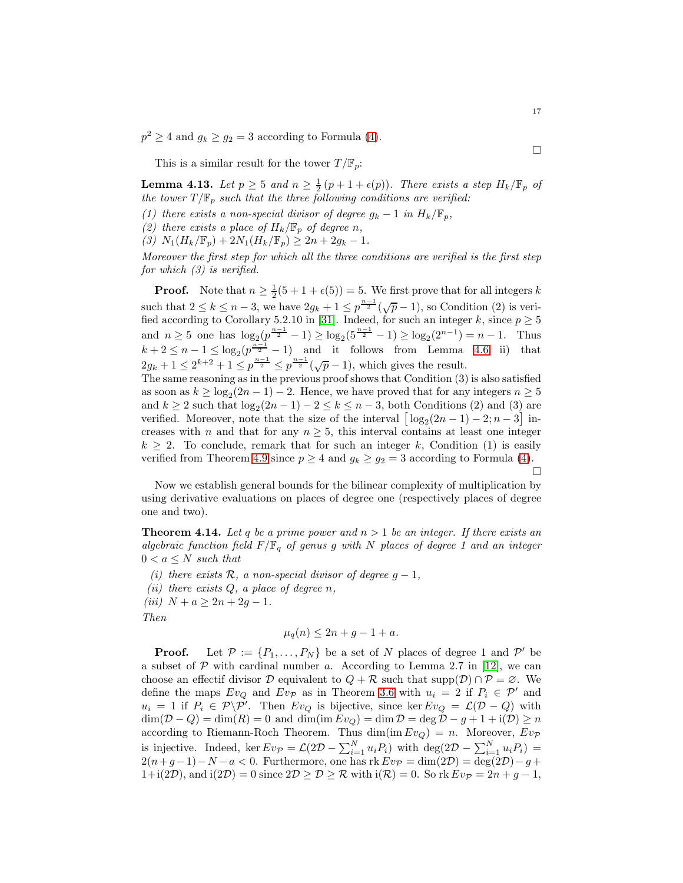$p^2 \ge 4$  and  $g_k \ge g_2 = 3$  according to Formula [\(4\)](#page-41-1).

This is a similar result for the tower  $T/\mathbb{F}_p$ :

<span id="page-47-1"></span>**Lemma 4.13.** Let  $p \ge 5$  and  $n \ge \frac{1}{2}(p+1+\epsilon(p))$ . There exists a step  $H_k/\mathbb{F}_p$  of the tower  $T/\mathbb{F}_p$  such that the three following conditions are verified:

- (1) there exists a non-special divisor of degree  $g_k 1$  in  $H_k/\mathbb{F}_p$ ,
- (2) there exists a place of  $H_k/\mathbb{F}_p$  of degree n,
- (3)  $N_1(H_k/\mathbb{F}_p) + 2N_1(H_k/\mathbb{F}_p) \geq 2n + 2g_k 1.$

Moreover the first step for which all the three conditions are verified is the first step for which  $(3)$  is verified.

**Proof.** Note that  $n \geq \frac{1}{2}(5+1+\epsilon(5))=5$ . We first prove that for all integers k such that  $2 \le k \le n-3$ , we have  $2g_k + 1 \le p^{\frac{n-1}{2}}(\sqrt{p}-1)$ , so Condition (2) is veri-fied according to Corollary 5.2.10 in [\[31\]](#page-60-23). Indeed, for such an integer k, since  $p \geq 5$ and  $n \ge 5$  one has  $\log_2(\frac{p^{n-1}}{2} - 1) \ge \log_2(5^{\frac{n-1}{2}} - 1) \ge \log_2(2^{n-1}) = n - 1$ . Thus  $k+2 \leq n-1 \leq \log_2(p^{\frac{n-1}{2}}-1)$  and it follows from Lemma [4.6](#page-43-0) ii) that  $2g_k + 1 \leq 2^{k+2} + 1 \leq p^{\frac{n-1}{2}} \leq p^{\frac{n-1}{2}}(\sqrt{p}-1)$ , which gives the result.

The same reasoning as in the previous proof shows that Condition (3) is also satisfied as soon as  $k \ge \log_2(2n-1) - 2$ . Hence, we have proved that for any integers  $n \ge 5$ and  $k \ge 2$  such that  $\log_2(2n-1) - 2 \le k \le n-3$ , both Conditions (2) and (3) are verified. Moreover, note that the size of the interval  $\left[\log_2(2n-1)-2; n-3\right]$  increases with n and that for any  $n \geq 5$ , this interval contains at least one integer  $k \geq 2$ . To conclude, remark that for such an integer k, Condition (1) is easily verified from Theorem [4.9](#page-44-1) since  $p \ge 4$  and  $g_k \ge g_2 = 3$  according to Formula [\(4\)](#page-41-1).  $\Box$ 

Now we establish general bounds for the bilinear complexity of multiplication by using derivative evaluations on places of degree one (respectively places of degree one and two).

<span id="page-47-0"></span>**Theorem 4.14.** Let q be a prime power and  $n > 1$  be an integer. If there exists an algebraic function field  $F/\mathbb{F}_q$  of genus g with N places of degree 1 and an integer  $0 < a \leq N$  such that

- (i) there exists  $\mathcal{R}$ , a non-special divisor of degree  $g-1$ ,
- (ii) there exists  $Q$ , a place of degree  $n$ ,
- (iii)  $N + a \geq 2n + 2g 1$ .

Then

$$
\mu_q(n) \le 2n + g - 1 + a.
$$

**Proof.** Let  $P := \{P_1, \ldots, P_N\}$  be a set of N places of degree 1 and P' be a subset of  $\mathcal P$  with cardinal number a. According to Lemma 2.7 in [\[12\]](#page-60-14), we can choose an effectif divisor  $\mathcal D$  equivalent to  $Q + \mathcal R$  such that  $\text{supp}(\mathcal D) \cap \mathcal P = \emptyset$ . We define the maps  $Ev_Q$  and  $Ev_{\mathcal{P}}$  as in Theorem [3.6](#page-37-0) with  $u_i = 2$  if  $P_i \in \mathcal{P}'$  and  $u_i = 1$  if  $P_i \in \mathcal{P} \backslash \mathcal{P}'$ . Then  $Ev_Q$  is bijective, since ker  $Ev_Q = \mathcal{L}(\mathcal{D} - Q)$  with  $\dim(\mathcal{D} - Q) = \dim(R) = 0$  and  $\dim(\text{im} Ev_Q) = \dim \mathcal{D} = \deg \mathcal{D} - g + 1 + i(\mathcal{D}) \ge n$ according to Riemann-Roch Theorem. Thus  $\dim(\mathrm{im} E v_Q) = n$ . Moreover,  $E v_{\mathcal{P}}$ is injective. Indeed, ker  $E v_{\mathcal{P}} = \mathcal{L}(2\mathcal{D} - \sum_{i=1}^{N} u_i P_i)$  with  $\deg(2\mathcal{D} - \sum_{i=1}^{N} u_i P_i) =$  $2(n+g-1)-N-a < 0$ . Furthermore, one has  $\text{rk } Ev_{\mathcal{P}} = \dim(2\mathcal{D}) = \deg(2\mathcal{D}) - g +$  $1+i(2\mathcal{D})$ , and  $i(2\mathcal{D})=0$  since  $2\mathcal{D}\geq \mathcal{D}\geq \mathcal{R}$  with  $i(\mathcal{R})=0$ . So rk  $Ev_{\mathcal{P}}=2n+g-1$ ,

 $\Box$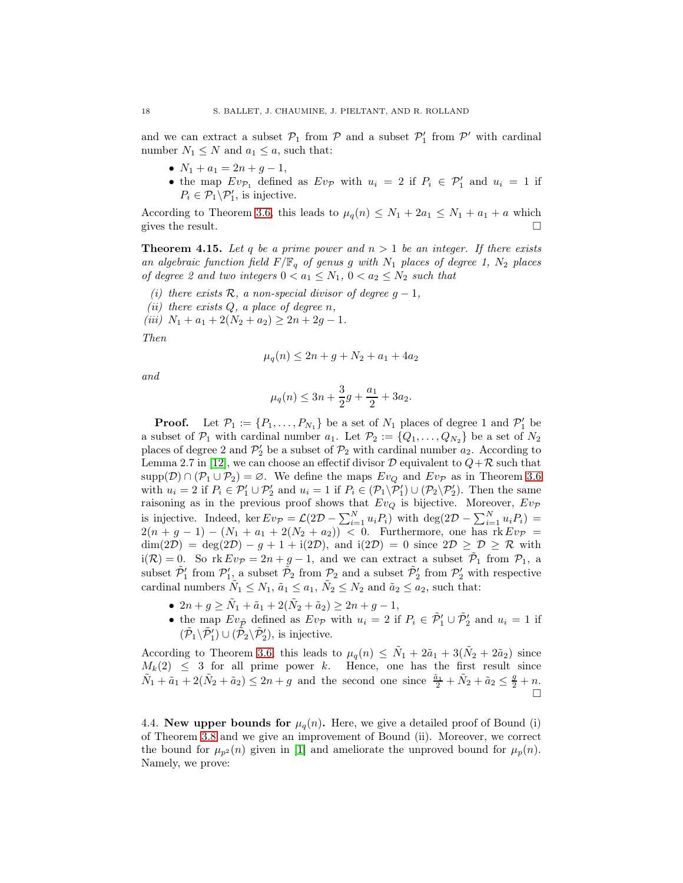and we can extract a subset  $\mathcal{P}_1$  from  $\mathcal{P}$  and a subset  $\mathcal{P}'_1$  from  $\mathcal{P}'$  with cardinal number  $N_1 \leq N$  and  $a_1 \leq a$ , such that:

- $N_1 + a_1 = 2n + g 1$ ,
- the map  $Ev_{\mathcal{P}_1}$  defined as  $Ev_{\mathcal{P}}$  with  $u_i = 2$  if  $P_i \in \mathcal{P}'_1$  and  $u_i = 1$  if  $P_i \in \mathcal{P}_1 \backslash \mathcal{P}'_1$ , is injective.

According to Theorem [3.6,](#page-37-0) this leads to  $\mu_q(n) \leq N_1 + 2a_1 \leq N_1 + a_1 + a$  which gives the result.

<span id="page-48-1"></span>**Theorem 4.15.** Let q be a prime power and  $n > 1$  be an integer. If there exists an algebraic function field  $F/\mathbb{F}_q$  of genus g with  $N_1$  places of degree 1,  $N_2$  places of degree 2 and two integers  $0 < a_1 \leq N_1$ ,  $0 < a_2 \leq N_2$  such that

- (i) there exists  $\mathcal{R}$ , a non-special divisor of degree  $g 1$ ,
- (ii) there exists  $Q$ , a place of degree  $n$ ,

(iii)  $N_1 + a_1 + 2(N_2 + a_2) \geq 2n + 2g - 1$ .

Then

$$
\mu_q(n) \le 2n + g + N_2 + a_1 + 4a_2
$$

and

$$
\mu_q(n) \le 3n + \frac{3}{2}g + \frac{a_1}{2} + 3a_2.
$$

**Proof.** Let  $\mathcal{P}_1 := \{P_1, \ldots, P_{N_1}\}$  be a set of  $N_1$  places of degree 1 and  $\mathcal{P}'_1$  be a subset of  $\mathcal{P}_1$  with cardinal number  $a_1$ . Let  $\mathcal{P}_2 := \{Q_1, \ldots, Q_{N_2}\}\$ be a set of  $N_2$ places of degree 2 and  $\mathcal{P}'_2$  be a subset of  $\mathcal{P}_2$  with cardinal number  $a_2$ . According to Lemma 2.7 in [\[12\]](#page-60-14), we can choose an effect if divisor  $D$  equivalent to  $Q+\mathcal{R}$  such that  $supp(D) \cap (P_1 \cup P_2) = \emptyset$ . We define the maps  $Ev_Q$  and  $Ev_{\mathcal{P}}$  as in Theorem [3.6](#page-37-0) with  $u_i = 2$  if  $P_i \in \mathcal{P}_1' \cup \mathcal{P}_2'$  and  $u_i = 1$  if  $P_i \in (\mathcal{P}_1 \backslash \mathcal{P}_1') \cup (\mathcal{P}_2 \backslash \mathcal{P}_2')$ . Then the same raisoning as in the previous proof shows that  $Ev_Q$  is bijective. Moreover,  $Ev_{\mathcal{P}}$ is injective. Indeed, ker  $Ev_{\mathcal{P}} = \mathcal{L}(2\mathcal{D} - \sum_{i=1}^{N} u_i P_i)$  with  $\deg(2\mathcal{D} - \sum_{i=1}^{N} u_i P_i) =$  $2(n + g - 1) - (N_1 + a_1 + 2(N_2 + a_2)) < 0$ . Furthermore, one has rk  $Ev_{\mathcal{P}} =$  $\dim(2\mathcal{D}) = \deg(2\mathcal{D}) - g + 1 + i(2\mathcal{D}),$  and  $i(2\mathcal{D}) = 0$  since  $2\mathcal{D} \geq \mathcal{D} \geq \mathcal{R}$  with  $i(\mathcal{R}) = 0$ . So  $rk Ev_{\mathcal{P}} = 2n + g - 1$ , and we can extract a subset  $\tilde{\mathcal{P}}_1$  from  $\mathcal{P}_1$ , a subset  $\tilde{P}_1'$  from  $P_1'$ , a subset  $\tilde{P}_2$  from  $P_2$  and a subset  $\tilde{P}_2'$  from  $P_2'$  with respective cardinal numbers  $\tilde{N}_1 \leq N_1$ ,  $\tilde{a}_1 \leq a_1$ ,  $\tilde{N}_2 \leq N_2$  and  $\tilde{a}_2 \leq a_2$ , such that:

- $2n + g \geq \tilde{N}_1 + \tilde{a}_1 + 2(\tilde{N}_2 + \tilde{a}_2) \geq 2n + g 1$ ,
- the map  $Ev_{\tilde{\mathcal{P}}}$  defined as  $Ev_{\mathcal{P}}$  with  $u_i = 2$  if  $P_i \in \tilde{\mathcal{P}}'_1 \cup \tilde{\mathcal{P}}'_2$  and  $u_i = 1$  if  $(\tilde{\mathcal{P}}_1 \backslash \tilde{\mathcal{P}}'_1) \cup (\tilde{\mathcal{P}}_2 \backslash \tilde{\mathcal{P}}'_2)$ , is injective.

According to Theorem [3.6,](#page-37-0) this leads to  $\mu_q(n) \leq \tilde{N}_1 + 2\tilde{a}_1 + 3(\tilde{N}_2 + 2\tilde{a}_2)$  since  $M_k(2) \leq 3$  for all prime power k. Hence, one has the first result since  $\tilde{N}_1 + \tilde{a}_1 + 2(\tilde{N}_2 + \tilde{a}_2) \leq 2n + g$  and the second one since  $\frac{\tilde{a}_1}{2} + \tilde{N}_2 + \tilde{a}_2 \leq \frac{g}{2} + n$ .

<span id="page-48-0"></span>4.4. New upper bounds for  $\mu_q(n)$ . Here, we give a detailed proof of Bound (i) of Theorem [3.8](#page-38-1) and we give an improvement of Bound (ii). Moreover, we correct the bound for  $\mu_{p^2}(n)$  given in [\[1\]](#page-59-2) and ameliorate the unproved bound for  $\mu_p(n)$ . Namely, we prove: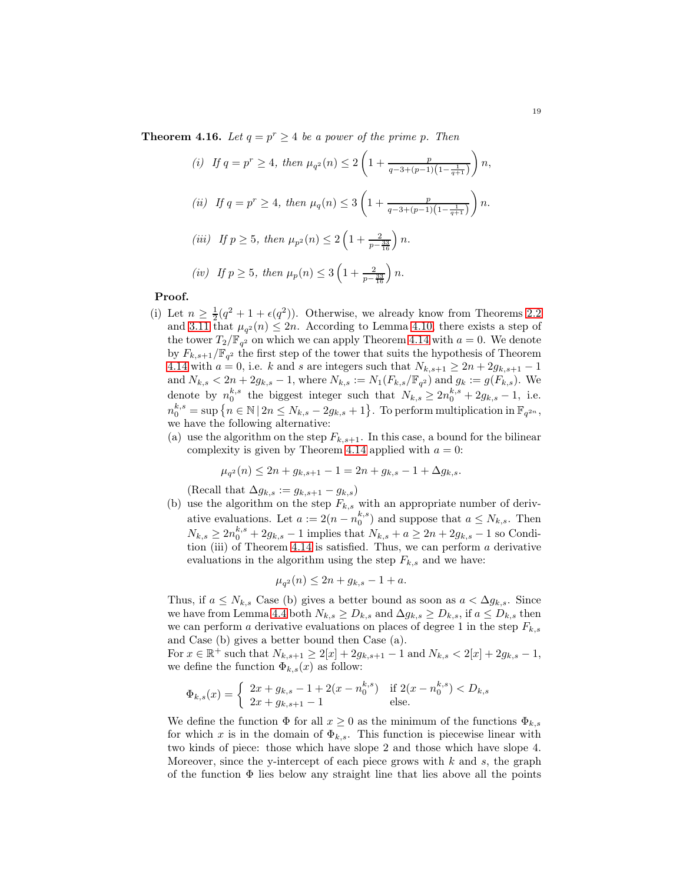**Theorem 4.16.** Let  $q = p^r \ge 4$  be a power of the prime p. Then

(i) If 
$$
q = p^r \ge 4
$$
, then  $\mu_{q^2}(n) \le 2\left(1 + \frac{p}{q-3+(p-1)\left(1-\frac{1}{q+1}\right)}\right)n$ ,  
\n(ii) If  $q = p^r \ge 4$ , then  $\mu_q(n) \le 3\left(1 + \frac{p}{q-3+(p-1)\left(1-\frac{1}{q+1}\right)}\right)n$ .  
\n(iii) If  $p \ge 5$ , then  $\mu_{p^2}(n) \le 2\left(1 + \frac{2}{p-\frac{33}{16}}\right)n$ .

$$
(iv)
$$
 If  $p \ge 5$ , then  $\mu_p(n) \le 3\left(1 + \frac{2}{p - \frac{33}{16}}\right)n$ .

### Proof.

- (i) Let  $n \geq \frac{1}{2}(q^2 + 1 + \epsilon(q^2))$ . Otherwise, we already know from Theorems [2.2](#page-32-1) and [3.11](#page-39-1) that  $\mu_{q^2}(n) \leq 2n$ . According to Lemma [4.10,](#page-44-2) there exists a step of the tower  $T_2/\mathbb{F}_{q^2}$  on which we can apply Theorem [4.14](#page-47-0) with  $a=0$ . We denote by  $F_{k,s+1}/\mathbb{F}_{q^2}$  the first step of the tower that suits the hypothesis of Theorem [4.14](#page-47-0) with  $a = 0$ , i.e. k and s are integers such that  $N_{k,s+1} \geq 2n + 2g_{k,s+1} - 1$ and  $N_{k,s} < 2n + 2g_{k,s} - 1$ , where  $N_{k,s} := N_1(F_{k,s}/\mathbb{F}_{q^2})$  and  $g_k := g(F_{k,s})$ . We denote by  $n_0^{k,s}$  the biggest integer such that  $N_{k,s} \geq 2n_0^{k,s} + 2g_{k,s} - 1$ , i.e.  $n_0^{k,s} = \sup \left\{ n \in \mathbb{N} \, | \, 2n \le N_{k,s} - 2g_{k,s} + 1 \right\}.$  To perform multiplication in  $\mathbb{F}_{q^{2n}},$ we have the following alternative:
	- (a) use the algorithm on the step  $F_{k,s+1}$ . In this case, a bound for the bilinear complexity is given by Theorem [4.14](#page-47-0) applied with  $a = 0$ :

$$
\mu_{q^2}(n) \le 2n + g_{k,s+1} - 1 = 2n + g_{k,s} - 1 + \Delta g_{k,s}.
$$

(Recall that  $\Delta g_{k,s} := g_{k,s+1} - g_{k,s}$ )

(b) use the algorithm on the step  $F_{k,s}$  with an appropriate number of derivative evaluations. Let  $a := 2(n - n_0^{k,s})$  and suppose that  $a \leq N_{k,s}$ . Then  $N_{k,s} \ge 2n_0^{k,s} + 2g_{k,s} - 1$  implies that  $N_{k,s} + a \ge 2n + 2g_{k,s} - 1$  so Condi-tion (iii) of Theorem [4.14](#page-47-0) is satisfied. Thus, we can perform  $a$  derivative evaluations in the algorithm using the step  $F_{k,s}$  and we have:

$$
\mu_{q^2}(n) \le 2n + g_{k,s} - 1 + a.
$$

Thus, if  $a \leq N_{k,s}$  Case (b) gives a better bound as soon as  $a < \Delta g_{k,s}$ . Since we have from Lemma [4.4](#page-42-1) both  $N_{k,s} \geq D_{k,s}$  and  $\Delta g_{k,s} \geq D_{k,s}$ , if  $a \leq D_{k,s}$  then we can perform a derivative evaluations on places of degree 1 in the step  $F_{k,s}$ and Case (b) gives a better bound then Case (a).

For  $x \in \mathbb{R}^+$  such that  $N_{k,s+1} \geq 2[x] + 2g_{k,s+1} - 1$  and  $N_{k,s} < 2[x] + 2g_{k,s} - 1$ , we define the function  $\Phi_{k,s}(x)$  as follow:

$$
\Phi_{k,s}(x) = \begin{cases} 2x + g_{k,s} - 1 + 2(x - n_0^{k,s}) & \text{if } 2(x - n_0^{k,s}) < D_{k,s} \\ 2x + g_{k,s+1} - 1 & \text{else.} \end{cases}
$$

We define the function  $\Phi$  for all  $x \geq 0$  as the minimum of the functions  $\Phi_{k,s}$ for which x is in the domain of  $\Phi_{k,s}$ . This function is piecewise linear with two kinds of piece: those which have slope 2 and those which have slope 4. Moreover, since the y-intercept of each piece grows with  $k$  and  $s$ , the graph of the function  $\Phi$  lies below any straight line that lies above all the points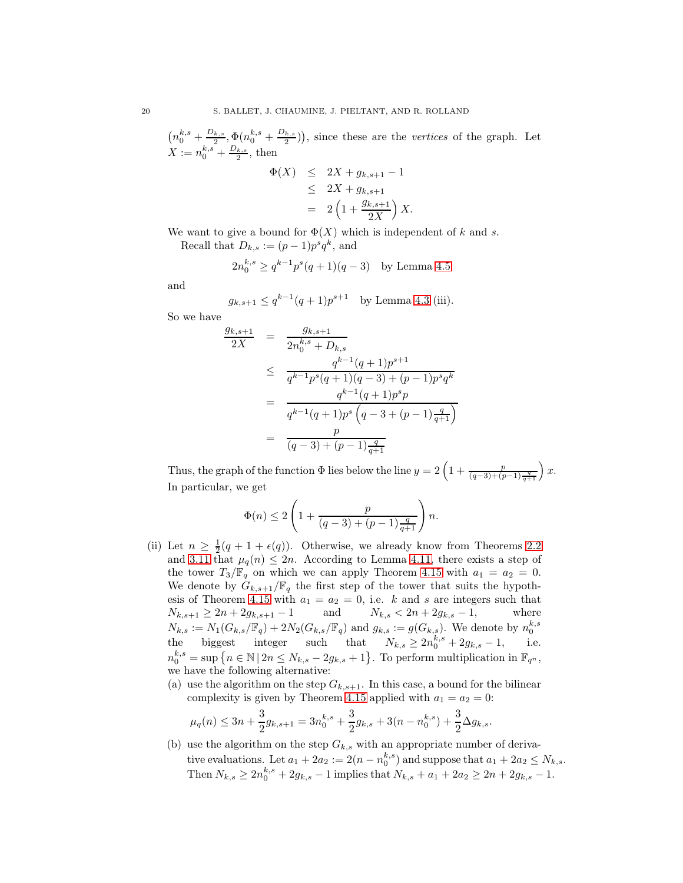$\left(n_0^{k,s} + \frac{D_{k,s}}{2}\right)$  $\frac{q_{k,s}}{2}, \Phi(n_0^{k,s}+\frac{D_{k,s}}{2})$  $\left(\frac{k,s}{2}\right)$ , since these are the *vertices* of the graph. Let  $X := n_0^{k,s} + \frac{D_{k,s}}{2}$  $\frac{k,s}{2}$ , then

$$
\Phi(X) \le 2X + g_{k,s+1} - 1 \n\le 2X + g_{k,s+1} \n= 2\left(1 + \frac{g_{k,s+1}}{2X}\right)X.
$$

We want to give a bound for  $\Phi(X)$  which is independent of k and s.

Recall that  $D_{k,s} := (p-1)p^s q^k$ , and

$$
2n_0^{k,s} \ge q^{k-1}p^s(q+1)(q-3)
$$
 by Lemma 4.5

and

$$
g_{k,s+1} \le q^{k-1}(q+1)p^{s+1}
$$
 by Lemma 4.3 (iii).

So we have

$$
\frac{g_{k,s+1}}{2X} = \frac{g_{k,s+1}}{2n_0^{k,s} + D_{k,s}}
$$
\n
$$
\leq \frac{q^{k-1}(q+1)p^{s+1}}{q^{k-1}p^s(q+1)(q-3) + (p-1)p^s q^k}
$$
\n
$$
= \frac{q^{k-1}(q+1)p^s p}{q^{k-1}(q+1)p^s (q-3+(p-1)\frac{q}{q+1})}
$$
\n
$$
= \frac{p}{(q-3)+(p-1)\frac{q}{q+1}}
$$

Thus, the graph of the function  $\Phi$  lies below the line  $y = 2\left(1 + \frac{p}{(q-3)+(p-1)\frac{q}{q+1}}\right)x$ . In particular, we get

$$
\Phi(n)\leq 2\left(1+\frac{p}{(q-3)+(p-1)\frac{q}{q+1}}\right)n.
$$

- (ii) Let  $n \geq \frac{1}{2}(q + 1 + \epsilon(q))$ . Otherwise, we already know from Theorems [2.2](#page-32-1) and [3.11](#page-39-1) that  $\mu_q(n) \leq 2n$ . According to Lemma [4.11,](#page-45-0) there exists a step of the tower  $T_3/\mathbb{F}_q$  on which we can apply Theorem [4.15](#page-48-1) with  $a_1 = a_2 = 0$ . We denote by  $G_{k,s+1}/\mathbb{F}_q$  the first step of the tower that suits the hypoth-esis of Theorem [4.15](#page-48-1) with  $a_1 = a_2 = 0$ , i.e. k and s are integers such that  $N_{k,s+1} \geq 2n + 2g_{k,s+1} - 1$  and  $N_{k,s} < 2n + 2g_{k,s} - 1$ , where  $N_{k,s} := N_1(G_{k,s}/\mathbb{F}_q) + 2N_2(G_{k,s}/\mathbb{F}_q)$  and  $g_{k,s} := g(G_{k,s})$ . We denote by  $n_0^{k,s}$ the biggest integer such that  $N_{k,s} \geq 2n_0^{k,s} + 2g_{k,s} - 1$ , i.e.  $n_0^{k,s} = \sup \{ n \in \mathbb{N} \, | \, 2n \le N_{k,s} - 2g_{k,s} + 1 \}.$  To perform multiplication in  $\mathbb{F}_{q^n}$ , we have the following alternative:
	- (a) use the algorithm on the step  $G_{k,s+1}$ . In this case, a bound for the bilinear complexity is given by Theorem [4.15](#page-48-1) applied with  $a_1 = a_2 = 0$ :

$$
\mu_q(n) \le 3n + \frac{3}{2}g_{k,s+1} = 3n_0^{k,s} + \frac{3}{2}g_{k,s} + 3(n - n_0^{k,s}) + \frac{3}{2}\Delta g_{k,s}.
$$

(b) use the algorithm on the step  $G_{k,s}$  with an appropriate number of derivative evaluations. Let  $a_1 + 2a_2 := 2(n - n_0^{k,s})$  and suppose that  $a_1 + 2a_2 \le N_{k,s}$ . Then  $N_{k,s} \ge 2n_0^{k,s} + 2g_{k,s} - 1$  implies that  $N_{k,s} + a_1 + 2a_2 \ge 2n + 2g_{k,s} - 1$ .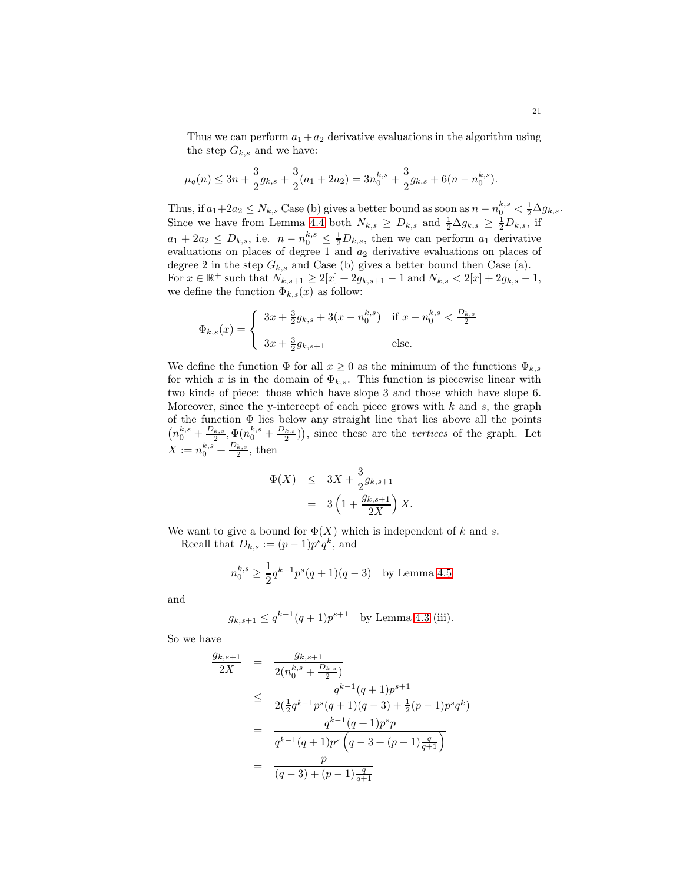Thus we can perform  $a_1 + a_2$  derivative evaluations in the algorithm using the step  $G_{k,s}$  and we have:

$$
\mu_q(n) \le 3n + \frac{3}{2}g_{k,s} + \frac{3}{2}(a_1 + 2a_2) = 3n_0^{k,s} + \frac{3}{2}g_{k,s} + 6(n - n_0^{k,s}).
$$

Thus, if  $a_1+2a_2 \le N_{k,s}$  Case (b) gives a better bound as soon as  $n - n_0^{k,s} < \frac{1}{2} \Delta g_{k,s}$ . Since we have from Lemma [4.4](#page-42-1) both  $N_{k,s} \geq D_{k,s}$  and  $\frac{1}{2} \Delta g_{k,s} \geq \frac{1}{2} D_{k,s}$ , if  $a_1 + 2a_2 \leq D_{k,s}$ , i.e.  $n - n_0^{k,s} \leq \frac{1}{2}D_{k,s}$ , then we can perform  $a_1$  derivative evaluations on places of degree 1 and  $a_2$  derivative evaluations on places of degree 2 in the step  $G_{k,s}$  and Case (b) gives a better bound then Case (a). For  $x \in \mathbb{R}^+$  such that  $N_{k,s+1} \geq 2[x] + 2g_{k,s+1} - 1$  and  $N_{k,s} < 2[x] + 2g_{k,s} - 1$ , we define the function  $\Phi_{k,s}(x)$  as follow:

$$
\Phi_{k,s}(x) = \begin{cases} 3x + \frac{3}{2}g_{k,s} + 3(x - n_0^{k,s}) & \text{if } x - n_0^{k,s} < \frac{D_{k,s}}{2} \\ 3x + \frac{3}{2}g_{k,s+1} & \text{else.} \end{cases}
$$

We define the function  $\Phi$  for all  $x \geq 0$  as the minimum of the functions  $\Phi_{k,s}$ for which x is in the domain of  $\Phi_{k,s}$ . This function is piecewise linear with two kinds of piece: those which have slope 3 and those which have slope 6. Moreover, since the y-intercept of each piece grows with  $k$  and  $s$ , the graph of the function  $\Phi$  lies below any straight line that lies above all the points  $\left(n_0^{k,s} + \frac{D_{k,s}}{2}\right)$  $\frac{Q_{k,s}}{2},\Phi(n_0^{k,s}+\frac{D_{k,s}}{2})$  $\left(\frac{k,s}{2}\right)$ , since these are the vertices of the graph. Let  $X := n_0^{k,s} + \frac{D_{k,s}}{2}$  $\frac{k,s}{2}$ , then

$$
\Phi(X) \leq 3X + \frac{3}{2}g_{k,s+1} \n= 3\left(1 + \frac{g_{k,s+1}}{2X}\right)X.
$$

We want to give a bound for  $\Phi(X)$  which is independent of k and s.

Recall that  $D_{k,s} := (p-1)p^s q^k$ , and

$$
n_0^{k,s} \ge \frac{1}{2} q^{k-1} p^s (q+1)(q-3)
$$
 by Lemma 4.5

and

$$
g_{k,s+1} \le q^{k-1}(q+1)p^{s+1}
$$
 by Lemma 4.3 (iii).

So we have

$$
\frac{g_{k,s+1}}{2X} = \frac{g_{k,s+1}}{2(n_0^{k,s} + \frac{D_{k,s}}{2})}
$$
\n
$$
\leq \frac{q^{k-1}(q+1)p^{s+1}}{2(\frac{1}{2}q^{k-1}p^s(q+1)(q-3) + \frac{1}{2}(p-1)p^s q^k)}
$$
\n
$$
= \frac{q^{k-1}(q+1)p^s p}{q^{k-1}(q+1)p^s (q-3+(p-1)\frac{q}{q+1})}
$$
\n
$$
= \frac{p}{(q-3)+(p-1)\frac{q}{q+1}}
$$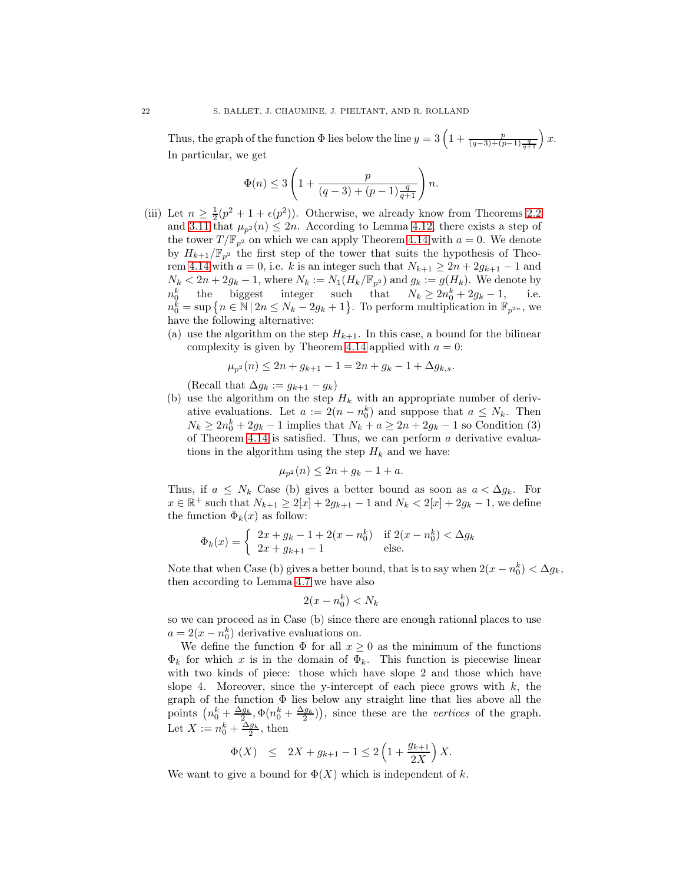Thus, the graph of the function  $\Phi$  lies below the line  $y = 3\left(1 + \frac{p}{(q-3)+(p-1)\frac{q}{q+1}}\right)x$ . In particular, we get

$$
\Phi(n)\leq 3\left(1+\frac{p}{(q-3)+(p-1)\frac{q}{q+1}}\right)n.
$$

- (iii) Let  $n \geq \frac{1}{2}(p^2 + 1 + \epsilon(p^2))$ . Otherwise, we already know from Theorems [2.2](#page-32-1) and [3.11](#page-39-1) that  $\mu_{p^2}(n) \leq 2n$ . According to Lemma [4.12,](#page-46-0) there exists a step of the tower  $T/\mathbb{F}_{p^2}$  on which we can apply Theorem [4.14](#page-47-0) with  $a = 0$ . We denote by  $H_{k+1}/\mathbb{F}_{p^2}$  the first step of the tower that suits the hypothesis of Theo-rem [4.14](#page-47-0) with  $a = 0$ , i.e. k is an integer such that  $N_{k+1} \geq 2n + 2g_{k+1} - 1$  and  $N_k < 2n + 2g_k - 1$ , where  $N_k := N_1(H_k/\mathbb{F}_{p^2})$  and  $g_k := g(H_k)$ . We denote by  $n_0^k$  the biggest integer such that  $N_k \ge 2n_0^k + 2g_k - 1$ , i.e.  $n_0^k$  the biggest integer such that  $N_k \ge 2n_0^k + 2g_k - 1$ , i.e.  $n_0^{\check{k}} = \sup \left\{ n \in \mathbb{N} \, | \, 2n \le N_k - 2g_k + 1 \right\}.$  To perform multiplication in  $\mathbb{F}_{p^{2n}}$ , we have the following alternative:
	- (a) use the algorithm on the step  $H_{k+1}$ . In this case, a bound for the bilinear complexity is given by Theorem [4.14](#page-47-0) applied with  $a = 0$ :

$$
\mu_{p^2}(n) \le 2n + g_{k+1} - 1 = 2n + g_k - 1 + \Delta g_{k,s}.
$$

(Recall that  $\Delta g_k := g_{k+1} - g_k$ )

(b) use the algorithm on the step  $H_k$  with an appropriate number of derivative evaluations. Let  $a := 2(n - n_0^k)$  and suppose that  $a \leq N_k$ . Then  $N_k \ge 2n_0^k + 2g_k - 1$  implies that  $N_k + a \ge 2n + 2g_k - 1$  so Condition (3) of Theorem [4.14](#page-47-0) is satisfied. Thus, we can perform  $\alpha$  derivative evaluations in the algorithm using the step  $H_k$  and we have:

$$
\mu_{p^2}(n) \le 2n + g_k - 1 + a.
$$

Thus, if  $a \leq N_k$  Case (b) gives a better bound as soon as  $a < \Delta g_k$ . For  $x \in \mathbb{R}^+$  such that  $N_{k+1} \ge 2[x] + 2g_{k+1} - 1$  and  $N_k < 2[x] + 2g_k - 1$ , we define the function  $\Phi_k(x)$  as follow:

$$
\Phi_k(x) = \begin{cases} 2x + g_k - 1 + 2(x - n_0^k) & \text{if } 2(x - n_0^k) < \Delta g_k \\ 2x + g_{k+1} - 1 & \text{else.} \end{cases}
$$

Note that when Case (b) gives a better bound, that is to say when  $2(x - n_0^k) < \Delta g_k$ , then according to Lemma [4.7](#page-43-2) we have also

$$
2(x - n_0^k) < N_k
$$

so we can proceed as in Case (b) since there are enough rational places to use  $a = 2(x - n_0^k)$  derivative evaluations on.

We define the function  $\Phi$  for all  $x \geq 0$  as the minimum of the functions  $\Phi_k$  for which x is in the domain of  $\Phi_k$ . This function is piecewise linear with two kinds of piece: those which have slope 2 and those which have slope 4. Moreover, since the y-intercept of each piece grows with  $k$ , the graph of the function  $\Phi$  lies below any straight line that lies above all the points  $\left(n_0^k + \frac{\Delta g_k}{2}, \Phi(n_0^k + \frac{\Delta g_k}{2})\right)$ , since these are the vertices of the graph. Let  $X := n_0^k + \frac{\Delta g_k}{2}$ , then

$$
\Phi(X) \le 2X + g_{k+1} - 1 \le 2\left(1 + \frac{g_{k+1}}{2X}\right)X.
$$

We want to give a bound for  $\Phi(X)$  which is independent of k.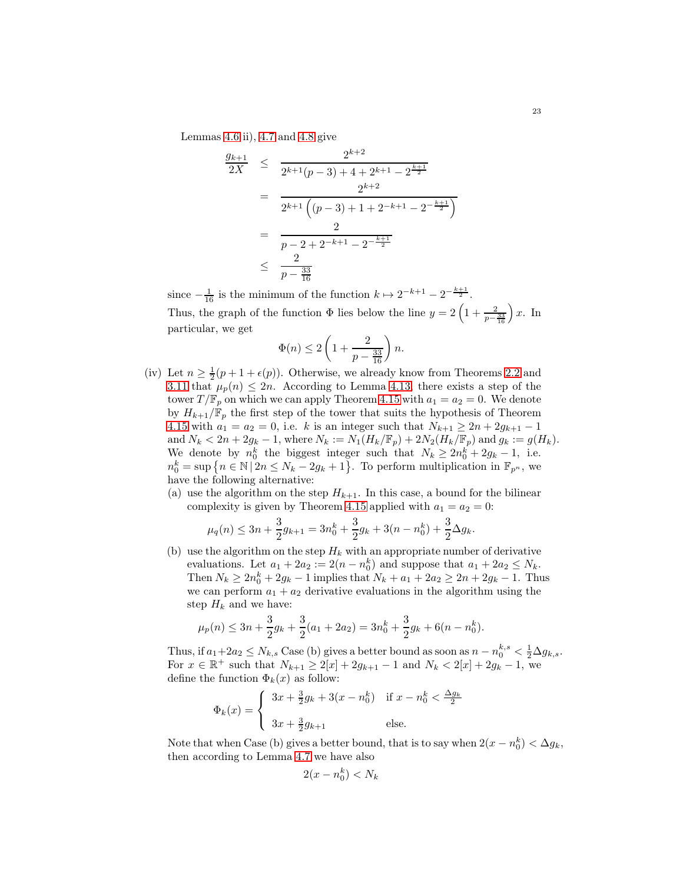Lemmas [4.6](#page-43-0) ii), [4.7](#page-43-2) and [4.8](#page-43-3) give

$$
\frac{g_{k+1}}{2X} \leq \frac{2^{k+2}}{2^{k+1}(p-3) + 4 + 2^{k+1} - 2^{\frac{k+1}{2}}}
$$
\n
$$
= \frac{2^{k+2}}{2^{k+1}((p-3) + 1 + 2^{-k+1} - 2^{-\frac{k+1}{2}})}
$$
\n
$$
= \frac{2}{p-2 + 2^{-k+1} - 2^{-\frac{k+1}{2}}}
$$
\n
$$
\leq \frac{2}{p - \frac{33}{16}}
$$

since  $-\frac{1}{16}$  is the minimum of the function  $k \mapsto 2^{-k+1} - 2^{-\frac{k+1}{2}}$ . Thus, the graph of the function  $\Phi$  lies below the line  $y = 2\left(1 + \frac{2}{p-\frac{33}{16}}\right)x$ . In particular, we get

$$
\Phi(n) \le 2\left(1 + \frac{2}{p - \frac{33}{16}}\right)n.
$$

- (iv) Let  $n \geq \frac{1}{2}(p+1+\epsilon(p))$ . Otherwise, we already know from Theorems [2.2](#page-32-1) and [3.11](#page-39-1) that  $\mu_p(n) \leq 2n$ . According to Lemma [4.13,](#page-47-1) there exists a step of the tower  $T/\mathbb{F}_p$  on which we can apply Theorem [4.15](#page-48-1) with  $a_1 = a_2 = 0$ . We denote by  $H_{k+1}/\mathbb{F}_p$  the first step of the tower that suits the hypothesis of Theorem [4.15](#page-48-1) with  $a_1 = a_2 = 0$ , i.e. k is an integer such that  $N_{k+1} \ge 2n + 2g_{k+1} - 1$ and  $N_k < 2n + 2g_k - 1$ , where  $N_k := N_1(H_k/\mathbb{F}_p) + 2N_2(H_k/\mathbb{F}_p)$  and  $g_k := g(H_k)$ . We denote by  $n_0^k$  the biggest integer such that  $N_k \geq 2n_0^k + 2g_k - 1$ , i.e.  $n_0^k = \sup \left\{ n \in \mathbb{N} \, | \, 2n \le N_k - 2g_k + 1 \right\}.$  To perform multiplication in  $\mathbb{F}_{p^n}$ , we have the following alternative:
	- (a) use the algorithm on the step  $H_{k+1}$ . In this case, a bound for the bilinear complexity is given by Theorem [4.15](#page-48-1) applied with  $a_1 = a_2 = 0$ :

$$
\mu_q(n) \le 3n + \frac{3}{2}g_{k+1} = 3n_0^k + \frac{3}{2}g_k + 3(n - n_0^k) + \frac{3}{2}\Delta g_k.
$$

(b) use the algorithm on the step  $H_k$  with an appropriate number of derivative evaluations. Let  $a_1 + 2a_2 := 2(n - n_0^k)$  and suppose that  $a_1 + 2a_2 \leq N_k$ . Then  $N_k \ge 2n_0^k + 2g_k - 1$  implies that  $N_k + a_1 + 2a_2 \ge 2n + 2g_k - 1$ . Thus we can perform  $a_1 + a_2$  derivative evaluations in the algorithm using the step  $H_k$  and we have:

$$
\mu_p(n) \le 3n + \frac{3}{2}g_k + \frac{3}{2}(a_1 + 2a_2) = 3n_0^k + \frac{3}{2}g_k + 6(n - n_0^k).
$$

Thus, if  $a_1+2a_2 \le N_{k,s}$  Case (b) gives a better bound as soon as  $n - n_0^{k,s} < \frac{1}{2} \Delta g_{k,s}$ . For  $x \in \mathbb{R}^+$  such that  $N_{k+1} \ge 2[x] + 2g_{k+1} - 1$  and  $N_k < 2[x] + 2g_k - 1$ , we define the function  $\Phi_k(x)$  as follow:

$$
\Phi_k(x) = \begin{cases} 3x + \frac{3}{2}g_k + 3(x - n_0^k) & \text{if } x - n_0^k < \frac{\Delta g_k}{2} \\ 3x + \frac{3}{2}g_{k+1} & \text{else.} \end{cases}
$$

Note that when Case (b) gives a better bound, that is to say when  $2(x - n_0^k) < \Delta g_k$ , then according to Lemma [4.7](#page-43-2) we have also

$$
2(x - n_0^k) < N_k
$$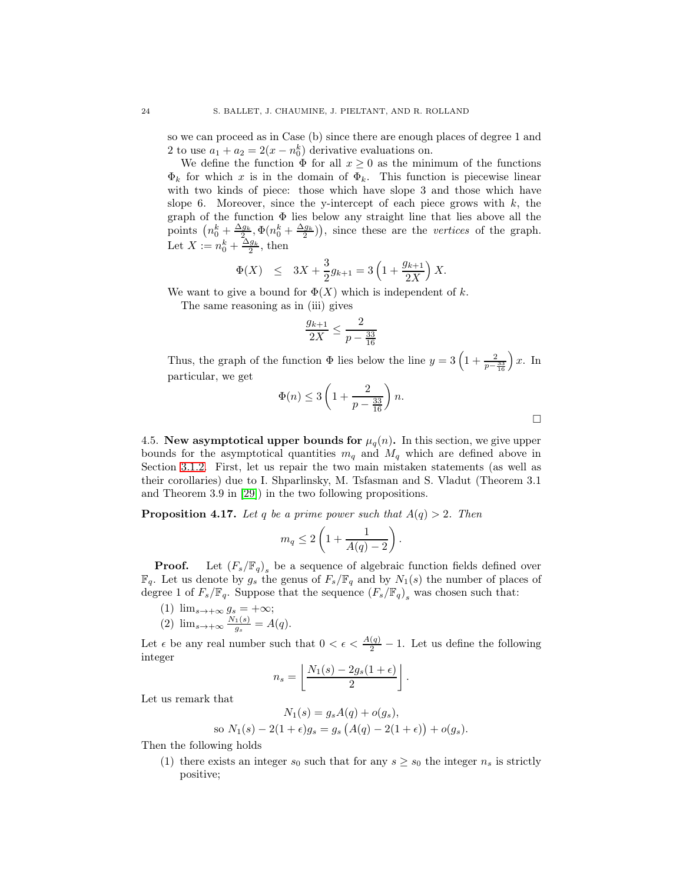so we can proceed as in Case (b) since there are enough places of degree 1 and 2 to use  $a_1 + a_2 = 2(x - n_0^k)$  derivative evaluations on.

We define the function  $\Phi$  for all  $x \geq 0$  as the minimum of the functions  $\Phi_k$  for which x is in the domain of  $\Phi_k$ . This function is piecewise linear with two kinds of piece: those which have slope 3 and those which have slope 6. Moreover, since the y-intercept of each piece grows with  $k$ , the graph of the function  $\Phi$  lies below any straight line that lies above all the points  $\left(n_0^k + \frac{\Delta g_k}{2}, \Phi(n_0^k + \frac{\Delta g_k}{2})\right)$ , since these are the vertices of the graph. Let  $X := n_0^k + \frac{\Delta g_k}{2}$ , then

$$
\Phi(X) \le 3X + \frac{3}{2}g_{k+1} = 3\left(1 + \frac{g_{k+1}}{2X}\right)X.
$$

We want to give a bound for  $\Phi(X)$  which is independent of k.

The same reasoning as in (iii) gives

$$
\frac{g_{k+1}}{2X} \le \frac{2}{p - \frac{33}{16}}
$$

Thus, the graph of the function  $\Phi$  lies below the line  $y = 3\left(1 + \frac{2}{p - \frac{33}{16}}\right)x$ . In particular, we get

$$
\Phi(n) \le 3\left(1 + \frac{2}{p - \frac{33}{16}}\right)n.
$$

.

4.5. New asymptotical upper bounds for  $\mu_q(n)$ . In this section, we give upper bounds for the asymptotical quantities  $m_q$  and  $M_q$  which are defined above in Section [3.1.2.](#page-34-0) First, let us repair the two main mistaken statements (as well as their corollaries) due to I. Shparlinsky, M. Tsfasman and S. Vladut (Theorem 3.1 and Theorem 3.9 in [\[29\]](#page-60-1)) in the two following propositions.

**Proposition 4.17.** Let q be a prime power such that  $A(q) > 2$ . Then

$$
m_q \le 2\left(1 + \frac{1}{A(q) - 2}\right).
$$

**Proof.** Let  $(F_s/\mathbb{F}_q)$ <sub>s</sub> be a sequence of algebraic function fields defined over  $\mathbb{F}_q$ . Let us denote by  $g_s$  the genus of  $F_s/\mathbb{F}_q$  and by  $N_1(s)$  the number of places of degree 1 of  $F_s/\mathbb{F}_q$ . Suppose that the sequence  $(F_s/\mathbb{F}_q)_s$  was chosen such that:

- (1)  $\lim_{s\to+\infty} g_s = +\infty;$
- $(2)$   $\lim_{s\to+\infty}\frac{N_1(s)}{g_s}$  $\frac{1}{g_s} = A(q).$

Let  $\epsilon$  be any real number such that  $0 < \epsilon < \frac{A(q)}{2} - 1$ . Let us define the following integer

$$
n_s = \left\lfloor \frac{N_1(s) - 2g_s(1+\epsilon)}{2} \right\rfloor
$$

Let us remark that

$$
N_1(s) = g_s A(q) + o(g_s),
$$
  
so  $N_1(s) - 2(1 + \epsilon)g_s = g_s (A(q) - 2(1 + \epsilon)) + o(g_s).$ 

Then the following holds

(1) there exists an integer  $s_0$  such that for any  $s \geq s_0$  the integer  $n_s$  is strictly positive;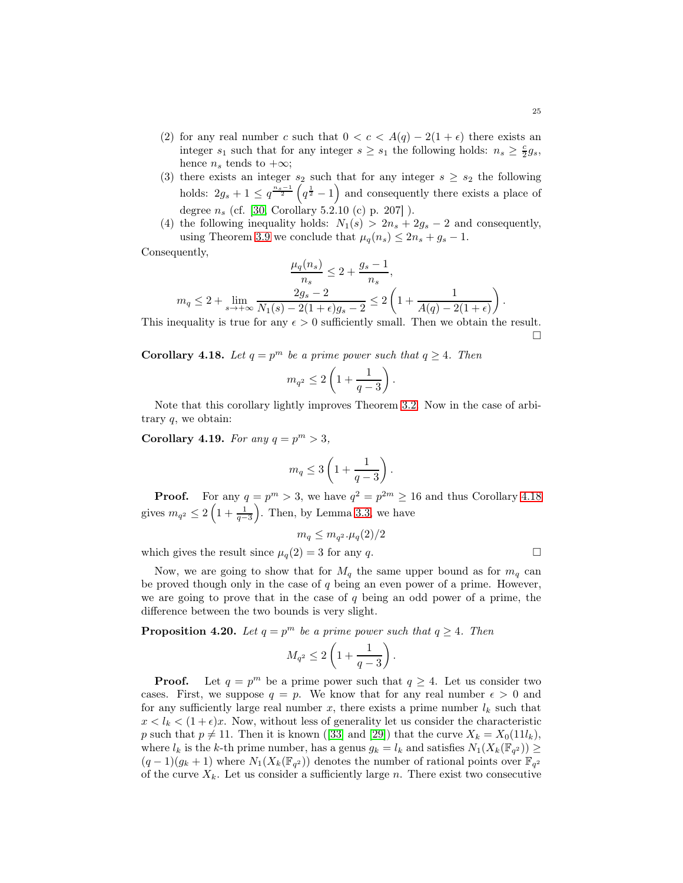- (2) for any real number c such that  $0 < c < A(q) 2(1 + \epsilon)$  there exists an integer  $s_1$  such that for any integer  $s \geq s_1$  the following holds:  $n_s \geq \frac{c}{2}g_s$ , hence  $n_s$  tends to  $+\infty$ ;
- (3) there exists an integer  $s_2$  such that for any integer  $s \geq s_2$  the following holds:  $2g_s + 1 \leq q^{\frac{n_s-1}{2}} \left( q^{\frac{1}{2}} - 1 \right)$  and consequently there exists a place of degree  $n_s$  (cf. [\[30,](#page-60-21) Corollary 5.2.10 (c) p. 207]).
- (4) the following inequality holds:  $N_1(s) > 2n_s + 2g_s 2$  and consequently, using Theorem [3.9](#page-38-0) we conclude that  $\mu_q(n_s) \leq 2n_s + g_s - 1$ .

Consequently,

$$
\frac{\mu_q(n_s)}{n_s} \le 2 + \frac{g_s - 1}{n_s},
$$
  

$$
m_q \le 2 + \lim_{s \to +\infty} \frac{2g_s - 2}{N_1(s) - 2(1 + \epsilon)g_s - 2} \le 2\left(1 + \frac{1}{A(q) - 2(1 + \epsilon)}\right).
$$

This inequality is true for any  $\epsilon > 0$  sufficiently small. Then we obtain the result.  $\Box$ 

<span id="page-55-0"></span>**Corollary 4.18.** Let  $q = p^m$  be a prime power such that  $q \ge 4$ . Then

$$
m_{q^2}\leq 2\left(1+\frac{1}{q-3}\right).
$$

Note that this corollary lightly improves Theorem [3.2.](#page-34-1) Now in the case of arbitrary q, we obtain:

Corollary 4.19. For any  $q = p^m > 3$ ,

$$
m_q \leq 3\left(1 + \frac{1}{q-3}\right).
$$

**Proof.** For any  $q = p^m > 3$ , we have  $q^2 = p^{2m} \ge 16$  and thus Corollary [4.18](#page-55-0) gives  $m_{q^2} \leq 2\left(1 + \frac{1}{q-3}\right)$ ). Then, by Lemma [3.3,](#page-35-1) we have

$$
m_q \leq m_{q^2} \cdot \mu_q(2)/2
$$

which gives the result since  $\mu_q(2) = 3$  for any q.

Now, we are going to show that for  $M_q$  the same upper bound as for  $m_q$  can be proved though only in the case of  $q$  being an even power of a prime. However, we are going to prove that in the case of  $q$  being an odd power of a prime, the difference between the two bounds is very slight.

<span id="page-55-1"></span>**Proposition 4.20.** Let  $q = p^m$  be a prime power such that  $q \ge 4$ . Then

$$
M_{q^2}\leq 2\left(1+\frac{1}{q-3}\right).
$$

**Proof.** Let  $q = p^m$  be a prime power such that  $q \ge 4$ . Let us consider two cases. First, we suppose  $q = p$ . We know that for any real number  $\epsilon > 0$  and for any sufficiently large real number x, there exists a prime number  $l_k$  such that  $x < l_k < (1 + \epsilon)x$ . Now, without less of generality let us consider the characteristic p such that  $p \neq 11$ . Then it is known ([\[33\]](#page-61-3) and [\[29\]](#page-60-1)) that the curve  $X_k = X_0(11l_k)$ , where  $l_k$  is the k-th prime number, has a genus  $g_k = l_k$  and satisfies  $N_1(X_k(\mathbb{F}_{q^2})) \ge$  $(q-1)(g_k+1)$  where  $N_1(X_k(\mathbb{F}_{q^2}))$  denotes the number of rational points over  $\mathbb{F}_{q^2}$ of the curve  $X_k$ . Let us consider a sufficiently large n. There exist two consecutive

$$
\sqcup
$$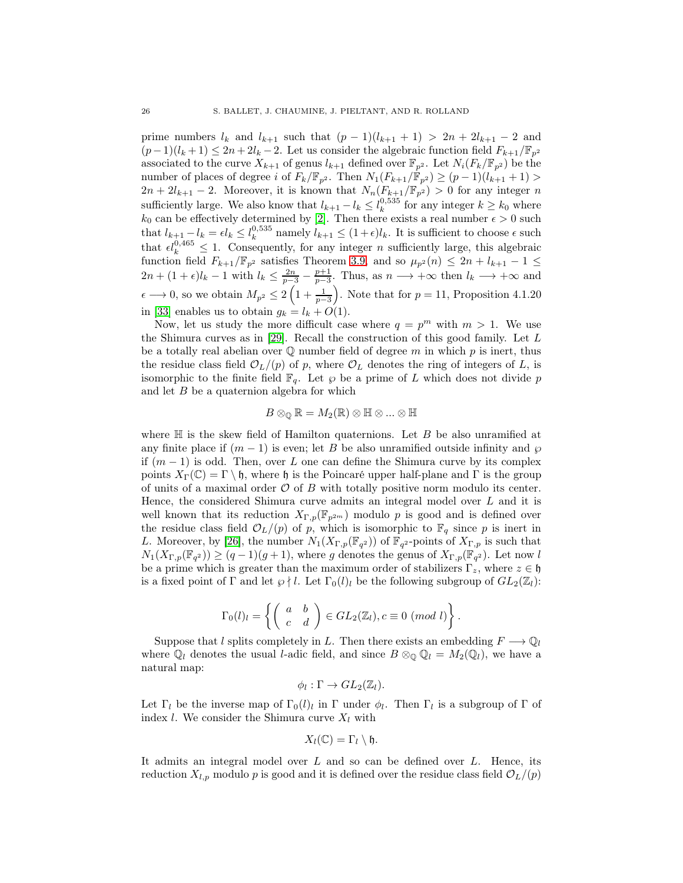prime numbers  $l_k$  and  $l_{k+1}$  such that  $(p-1)(l_{k+1}+1) > 2n + 2l_{k+1} - 2$  and  $(p-1)(l_k+1) \leq 2n+2l_k-2$ . Let us consider the algebraic function field  $F_{k+1}/\mathbb{F}_{p^2}$ associated to the curve  $X_{k+1}$  of genus  $l_{k+1}$  defined over  $\mathbb{F}_{p^2}$ . Let  $N_i(F_k/\mathbb{F}_{p^2})$  be the number of places of degree i of  $F_k/\mathbb{F}_{p^2}$ . Then  $N_1(F_{k+1}/\mathbb{F}_{p^2}) \ge (p-1)(l_{k+1}+1)$  $2n + 2l_{k+1} - 2$ . Moreover, it is known that  $N_n(F_{k+1}/\mathbb{F}_{p^2}) > 0$  for any integer n sufficiently large. We also know that  $l_{k+1} - l_k \leq l_k^{0.535}$  for any integer  $k \geq k_0$  where  $k_0$  can be effectively determined by [\[2\]](#page-59-5). Then there exists a real number  $\epsilon > 0$  such that  $l_{k+1} - l_k = \epsilon l_k \leq l_k^{0.535}$  namely  $l_{k+1} \leq (1+\epsilon)l_k$ . It is sufficient to choose  $\epsilon$  such that  $\epsilon l_k^{0,465} \leq 1$ . Consequently, for any integer *n* sufficiently large, this algebraic function field  $F_{k+1}/\mathbb{F}_{p^2}$  satisfies Theorem [3.9,](#page-38-0) and so  $\mu_{p^2}(n) \leq 2n + l_{k+1} - 1 \leq$  $2n + (1 + \epsilon)l_k - 1$  with  $l_k \leq \frac{2n}{p-3} - \frac{p+1}{p-3}$ . Thus, as  $n \longrightarrow +\infty$  then  $l_k \longrightarrow +\infty$  and  $\epsilon \longrightarrow 0$ , so we obtain  $M_{p^2} \leq 2\left(1 + \frac{1}{p-3}\right)$ ). Note that for  $p = 11$ , Proposition 4.1.20 in [\[33\]](#page-61-3) enables us to obtain  $g_k = l_k + O(1)$ .

Now, let us study the more difficult case where  $q = p^m$  with  $m > 1$ . We use the Shimura curves as in [\[29\]](#page-60-1). Recall the construction of this good family. Let L be a totally real abelian over  $\mathbb Q$  number field of degree m in which p is inert, thus the residue class field  $\mathcal{O}_L/(p)$  of p, where  $\mathcal{O}_L$  denotes the ring of integers of L, is isomorphic to the finite field  $\mathbb{F}_q$ . Let  $\wp$  be a prime of L which does not divide p and let  $B$  be a quaternion algebra for which

$$
B\otimes_{\mathbb{Q}}\mathbb{R}=M_2(\mathbb{R})\otimes\mathbb{H}\otimes...\otimes\mathbb{H}
$$

where  $\mathbb H$  is the skew field of Hamilton quaternions. Let B be also unramified at any finite place if  $(m - 1)$  is even; let B be also unramified outside infinity and  $\wp$ if  $(m-1)$  is odd. Then, over L one can define the Shimura curve by its complex points  $X_{\Gamma}(\mathbb{C}) = \Gamma \setminus \mathfrak{h}$ , where h is the Poincaré upper half-plane and Γ is the group of units of a maximal order  $\mathcal O$  of B with totally positive norm modulo its center. Hence, the considered Shimura curve admits an integral model over  $L$  and it is well known that its reduction  $X_{\Gamma,p}(\mathbb{F}_{p^{2m}})$  modulo p is good and is defined over the residue class field  $\mathcal{O}_L/(p)$  of p, which is isomorphic to  $\mathbb{F}_q$  since p is inert in L. Moreover, by [\[26\]](#page-60-24), the number  $N_1(X_{\Gamma,p}(\mathbb{F}_{q^2}))$  of  $\mathbb{F}_{q^2}$ -points of  $X_{\Gamma,p}$  is such that  $N_1(X_{\Gamma,p}(\mathbb{F}_{q^2})) \ge (q-1)(g+1)$ , where g denotes the genus of  $X_{\Gamma,p}(\mathbb{F}_{q^2})$ . Let now l be a prime which is greater than the maximum order of stabilizers  $\Gamma_z$ , where  $z \in \mathfrak{h}$ is a fixed point of  $\Gamma$  and let  $\wp \nmid l$ . Let  $\Gamma_0(l)_l$  be the following subgroup of  $GL_2(\mathbb{Z}_l)$ :

$$
\Gamma_0(l)_l = \left\{ \left( \begin{array}{cc} a & b \\ c & d \end{array} \right) \in GL_2(\mathbb{Z}_l), c \equiv 0 \ (mod \ l) \right\}.
$$

Suppose that l splits completely in L. Then there exists an embedding  $F \longrightarrow \mathbb{Q}_l$ where  $\mathbb{Q}_l$  denotes the usual *l*-adic field, and since  $B \otimes_{\mathbb{Q}} \mathbb{Q}_l = M_2(\mathbb{Q}_l)$ , we have a natural map:

$$
\phi_l : \Gamma \to GL_2(\mathbb{Z}_l).
$$

Let  $\Gamma_l$  be the inverse map of  $\Gamma_0(l)_l$  in  $\Gamma$  under  $\phi_l$ . Then  $\Gamma_l$  is a subgroup of  $\Gamma$  of index *l*. We consider the Shimura curve  $X_l$  with

$$
X_l(\mathbb{C})=\Gamma_l\setminus\mathfrak{h}.
$$

It admits an integral model over  $L$  and so can be defined over  $L$ . Hence, its reduction  $X_{l,p}$  modulo p is good and it is defined over the residue class field  $\mathcal{O}_L/(p)$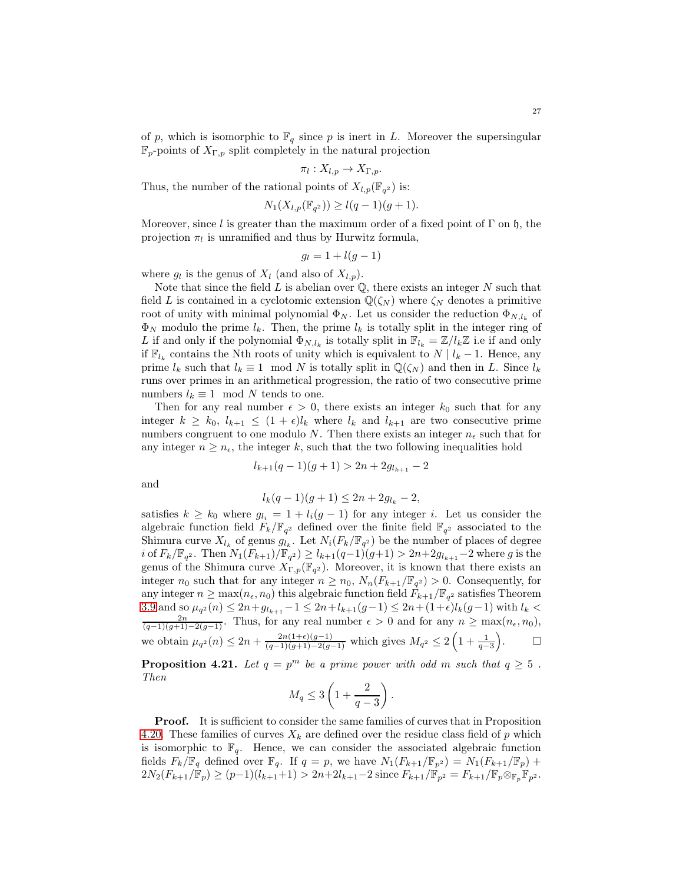of p, which is isomorphic to  $\mathbb{F}_q$  since p is inert in L. Moreover the supersingular  $\mathbb{F}_p$ -points of  $X_{\Gamma,p}$  split completely in the natural projection

$$
\pi_l: X_{l,p} \to X_{\Gamma,p}.
$$

Thus, the number of the rational points of  $X_{l,p}(\mathbb{F}_{q^2})$  is:

$$
N_1(X_{l,p}(\mathbb{F}_{q^2})) \ge l(q-1)(g+1).
$$

Moreover, since l is greater than the maximum order of a fixed point of  $\Gamma$  on  $\mathfrak{h}$ , the projection  $\pi_l$  is unramified and thus by Hurwitz formula,

$$
g_l = 1 + l(g-1)
$$

where  $g_l$  is the genus of  $X_l$  (and also of  $X_{l,p}$ ).

Note that since the field  $L$  is abelian over  $\mathbb{Q}$ , there exists an integer  $N$  such that field L is contained in a cyclotomic extension  $\mathbb{Q}(\zeta_N)$  where  $\zeta_N$  denotes a primitive root of unity with minimal polynomial  $\Phi_N$ . Let us consider the reduction  $\Phi_{N,l_k}$  of  $\Phi_N$  modulo the prime  $l_k$ . Then, the prime  $l_k$  is totally split in the integer ring of L if and only if the polynomial  $\Phi_{N,l_k}$  is totally split in  $\mathbb{F}_{l_k} = \mathbb{Z}/l_k\mathbb{Z}$  i.e if and only if  $\mathbb{F}_{l_k}$  contains the Nth roots of unity which is equivalent to  $N \mid l_k - 1$ . Hence, any prime  $l_k$  such that  $l_k \equiv 1 \mod N$  is totally split in  $\mathbb{Q}(\zeta_N)$  and then in L. Since  $l_k$ runs over primes in an arithmetical progression, the ratio of two consecutive prime numbers  $l_k \equiv 1 \mod N$  tends to one.

Then for any real number  $\epsilon > 0$ , there exists an integer  $k_0$  such that for any integer  $k \geq k_0$ ,  $l_{k+1} \leq (1+\epsilon)l_k$  where  $l_k$  and  $l_{k+1}$  are two consecutive prime numbers congruent to one modulo N. Then there exists an integer  $n_{\epsilon}$  such that for any integer  $n \geq n_{\epsilon}$ , the integer k, such that the two following inequalities hold

$$
l_{k+1}(q-1)(g+1) > 2n + 2g_{l_{k+1}} - 2
$$

and

$$
l_k(q-1)(g+1) \le 2n + 2g_{l_k} - 2,
$$

satisfies  $k \geq k_0$  where  $g_{l_i} = 1 + l_i(g-1)$  for any integer i. Let us consider the algebraic function field  $F_k/\mathbb{F}_{q^2}$  defined over the finite field  $\mathbb{F}_{q^2}$  associated to the Shimura curve  $X_{l_k}$  of genus  $g_{l_k}$ . Let  $N_i(F_k/\mathbb{F}_{q^2})$  be the number of places of degree  $i$  of  $F_k/\mathbb{F}_{q^2}$ . Then  $N_1(F_{k+1})/\mathbb{F}_{q^2}) \geq l_{k+1}(q-1)(g+1) > 2n+2g_{l_{k+1}}-2$  where g is the genus of the Shimura curve  $X_{\Gamma,p}(\mathbb{F}_{q^2})$ . Moreover, it is known that there exists an integer  $n_0$  such that for any integer  $n \ge n_0$ ,  $N_n(F_{k+1}/\mathbb{F}_{q^2}) > 0$ . Consequently, for any integer  $n \ge \max(n_\epsilon, n_0)$  this algebraic function field  $F_{k+1}/\mathbb{F}_{q^2}$  satisfies Theorem [3.9](#page-38-0) and so  $\mu_{q^2}(n) \leq 2n + g_{l_{k+1}} - 1 \leq 2n + l_{k+1}(g-1) \leq 2n + (1+\epsilon)l_k(g-1)$  with  $l_k$  $\frac{2n}{(q-1)(g+1)-2(g-1)}$ . Thus, for any real number  $\epsilon > 0$  and for any  $n \ge \max(n_{\epsilon}, n_0)$ , we obtain  $\mu_{q^2}(n) \leq 2n + \frac{2n(1+\epsilon)(g-1)}{(q-1)(g+1)-2(g-1)}$  which gives  $M_{q^2} \leq 2\left(1+\frac{1}{q-3}\right)$  $\setminus$  $\Box$ 

**Proposition 4.21.** Let  $q = p^m$  be a prime power with odd m such that  $q \ge 5$ . Then

$$
M_q \leq 3\left(1 + \frac{2}{q-3}\right).
$$

Proof. It is sufficient to consider the same families of curves that in Proposition [4.20.](#page-55-1) These families of curves  $X_k$  are defined over the residue class field of p which is isomorphic to  $\mathbb{F}_q$ . Hence, we can consider the associated algebraic function fields  $F_k/\mathbb{F}_q$  defined over  $\mathbb{F}_q$ . If  $q = p$ , we have  $N_1(F_{k+1}/\mathbb{F}_{p^2}) = N_1(F_{k+1}/\mathbb{F}_p)$  +  $2N_2(F_{k+1}/\mathbb{F}_p) \ge (p-1)(l_{k+1}+1) > 2n+2l_{k+1}-2$  since  $F_{k+1}/\mathbb{F}_{p^2} = F_{k+1}/\mathbb{F}_p \otimes_{\mathbb{F}_p} \mathbb{F}_p^2$ .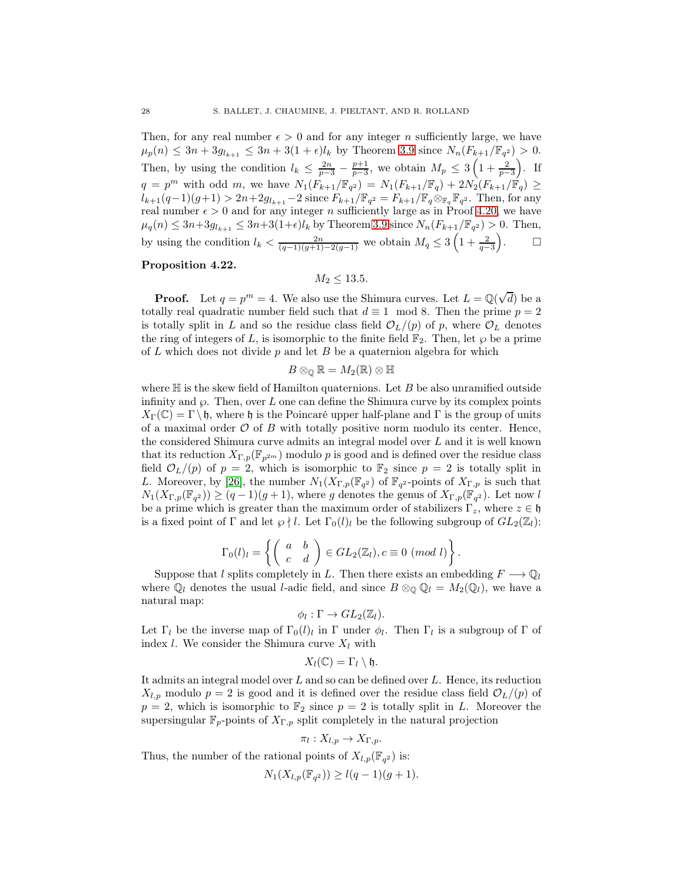Then, for any real number  $\epsilon > 0$  and for any integer n sufficiently large, we have  $\mu_p(n) \leq 3n + 3g_{l_{k+1}} \leq 3n + 3(1+\epsilon)l_k$  by Theorem [3.9](#page-38-0) since  $N_n(F_{k+1}/\mathbb{F}_{q^2}) > 0$ . Then, by using the condition  $l_k \leq \frac{2n}{p-3} - \frac{p+1}{p-3}$ , we obtain  $M_p \leq 3\left(1 + \frac{2}{p-3}\right)$  $\big)$ . If  $q = p^m$  with odd m, we have  $N_1(F_{k+1}/\mathbb{F}_{q^2}) = N_1(F_{k+1}/\mathbb{F}_{q}) + 2N_2(F_{k+1}/\mathbb{F}_{q}) \ge$  $l_{k+1}(q-1)(g+1) > 2n+2g_{l_{k+1}}-2$  since  $F_{k+1}/\mathbb{F}_{q^2} = F_{k+1}/\mathbb{F}_{q} \otimes_{\mathbb{F}_{q}} \mathbb{F}_{q^2}$ . Then, for any real number  $\epsilon > 0$  and for any integer n sufficiently large as in Proof [4.20,](#page-55-1) we have  $\mu_q(n) \leq 3n + 3g_{l_{k+1}} \leq 3n + 3(1+\epsilon)l_k$  by Theorem [3.9](#page-38-0) since  $N_n(F_{k+1}/\mathbb{F}_{q^2}) > 0$ . Then, by using the condition  $l_k < \frac{2n}{(q-1)(g+1)-2(g-1)}$  we obtain  $M_q \leq 3\left(1 + \frac{2}{q-3}\right)$  $\setminus$  $\Box$ 

## Proposition 4.22.

 $M_2 < 13.5$ .

**Proof.** Let  $q = p^m = 4$ . We also use the Shimura curves. Let  $L = \mathbb{Q}(\sqrt{d})$  be a totally real quadratic number field such that  $d \equiv 1 \mod 8$ . Then the prime  $p = 2$ is totally split in L and so the residue class field  $\mathcal{O}_L/(p)$  of p, where  $\mathcal{O}_L$  denotes the ring of integers of L, is isomorphic to the finite field  $\mathbb{F}_2$ . Then, let  $\wp$  be a prime of L which does not divide  $p$  and let B be a quaternion algebra for which

$$
B\otimes_{\mathbb{Q}}\mathbb{R}=M_2(\mathbb{R})\otimes \mathbb{H}
$$

where  $\mathbb H$  is the skew field of Hamilton quaternions. Let B be also unramified outside infinity and  $\wp$ . Then, over L one can define the Shimura curve by its complex points  $X_{\Gamma}(\mathbb{C}) = \Gamma \backslash \mathfrak{h}$ , where  $\mathfrak{h}$  is the Poincaré upper half-plane and  $\Gamma$  is the group of units of a maximal order  $\mathcal O$  of  $B$  with totally positive norm modulo its center. Hence, the considered Shimura curve admits an integral model over L and it is well known that its reduction  $X_{\Gamma,p}(\mathbb{F}_{p^{2m}})$  modulo p is good and is defined over the residue class field  $\mathcal{O}_L(p)$  of  $p = 2$ , which is isomorphic to  $\mathbb{F}_2$  since  $p = 2$  is totally split in L. Moreover, by [\[26\]](#page-60-24), the number  $N_1(X_{\Gamma,p}(\mathbb{F}_{q^2})$  of  $\mathbb{F}_{q^2}$ -points of  $X_{\Gamma,p}$  is such that  $N_1(X_{\Gamma,p}(\mathbb{F}_{q^2})) \ge (q-1)(g+1)$ , where g denotes the genus of  $X_{\Gamma,p}(\mathbb{F}_{q^2})$ . Let now l be a prime which is greater than the maximum order of stabilizers  $\Gamma_z$ , where  $z \in \mathfrak{h}$ is a fixed point of  $\Gamma$  and let  $\wp \nmid l$ . Let  $\Gamma_0(l)_l$  be the following subgroup of  $GL_2(\mathbb{Z}_l)$ :

$$
\Gamma_0(l)_l = \left\{ \left( \begin{array}{cc} a & b \\ c & d \end{array} \right) \in GL_2(\mathbb{Z}_l), c \equiv 0 \ (mod \ l) \right\}.
$$

Suppose that l splits completely in L. Then there exists an embedding  $F \longrightarrow \mathbb{Q}_l$ where  $\mathbb{Q}_l$  denotes the usual *l*-adic field, and since  $B \otimes_{\mathbb{Q}} \mathbb{Q}_l = M_2(\mathbb{Q}_l)$ , we have a natural map:

$$
\phi_l : \Gamma \to GL_2(\mathbb{Z}_l).
$$

Let  $\Gamma_l$  be the inverse map of  $\Gamma_0(l)_l$  in  $\Gamma$  under  $\phi_l$ . Then  $\Gamma_l$  is a subgroup of  $\Gamma$  of index *l*. We consider the Shimura curve  $X_l$  with

$$
X_l(\mathbb{C})=\Gamma_l\setminus\mathfrak{h}.
$$

It admits an integral model over  $L$  and so can be defined over  $L$ . Hence, its reduction  $X_{l,p}$  modulo  $p = 2$  is good and it is defined over the residue class field  $\mathcal{O}_L/(p)$  of  $p = 2$ , which is isomorphic to  $\mathbb{F}_2$  since  $p = 2$  is totally split in L. Moreover the supersingular  $\mathbb{F}_p$ -points of  $X_{\Gamma,p}$  split completely in the natural projection

$$
\pi_l: X_{l,p} \to X_{\Gamma,p}.
$$

Thus, the number of the rational points of  $X_{l,p}(\mathbb{F}_{q^2})$  is:

$$
N_1(X_{l,p}(\mathbb{F}_{q^2})) \ge l(q-1)(g+1).
$$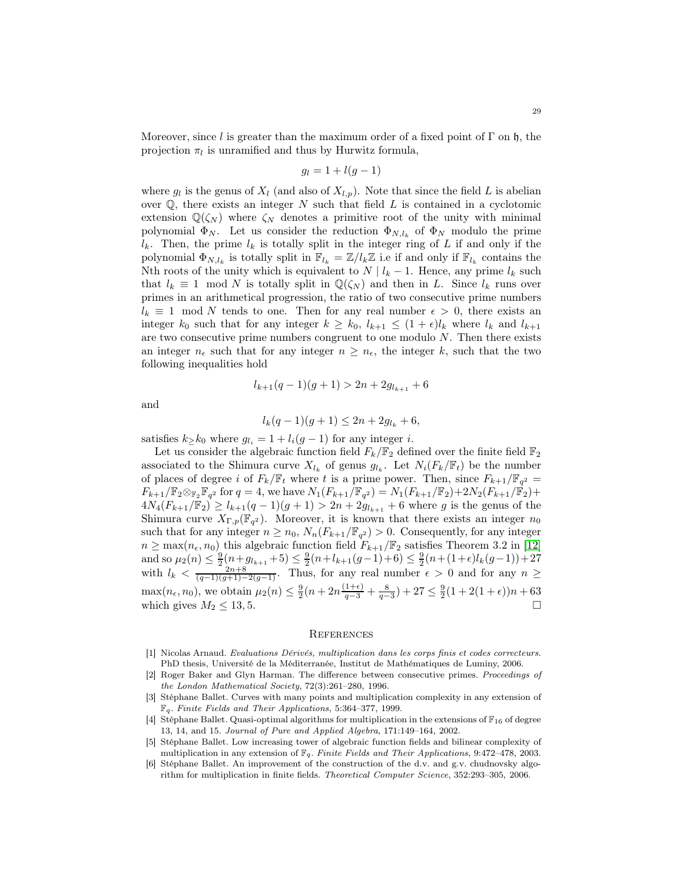Moreover, since l is greater than the maximum order of a fixed point of  $\Gamma$  on h, the projection  $\pi_l$  is unramified and thus by Hurwitz formula,

$$
g_l = 1 + l(g - 1)
$$

where  $g_l$  is the genus of  $X_l$  (and also of  $X_{l,p}$ ). Note that since the field L is abelian over  $\mathbb{Q}$ , there exists an integer N such that field L is contained in a cyclotomic extension  $\mathbb{Q}(\zeta_N)$  where  $\zeta_N$  denotes a primitive root of the unity with minimal polynomial  $\Phi_N$ . Let us consider the reduction  $\Phi_{N,l_k}$  of  $\Phi_N$  modulo the prime  $l_k$ . Then, the prime  $l_k$  is totally split in the integer ring of L if and only if the polynomial  $\Phi_{N,l_k}$  is totally split in  $\mathbb{F}_{l_k} = \mathbb{Z}/l_k\mathbb{Z}$  i.e if and only if  $\mathbb{F}_{l_k}$  contains the Nth roots of the unity which is equivalent to  $N | l_k - 1$ . Hence, any prime  $l_k$  such that  $l_k \equiv 1 \mod N$  is totally split in  $\mathbb{Q}(\zeta_N)$  and then in L. Since  $l_k$  runs over primes in an arithmetical progression, the ratio of two consecutive prime numbers  $l_k \equiv 1 \mod N$  tends to one. Then for any real number  $\epsilon > 0$ , there exists an integer  $k_0$  such that for any integer  $k \geq k_0$ ,  $l_{k+1} \leq (1 + \epsilon)l_k$  where  $l_k$  and  $l_{k+1}$ are two consecutive prime numbers congruent to one modulo  $N$ . Then there exists an integer  $n_{\epsilon}$  such that for any integer  $n \geq n_{\epsilon}$ , the integer k, such that the two following inequalities hold

$$
l_{k+1}(q-1)(g+1) > 2n + 2g_{l_{k+1}} + 6
$$

and

$$
l_k(q-1)(g+1) \le 2n + 2g_{l_k} + 6,
$$

satisfies  $k \geq k_0$  where  $g_{l_i} = 1 + l_i(g-1)$  for any integer i.

Let us consider the algebraic function field  $F_k/\mathbb{F}_2$  defined over the finite field  $\mathbb{F}_2$ associated to the Shimura curve  $X_{l_k}$  of genus  $g_{l_k}$ . Let  $N_i(F_k/\mathbb{F}_t)$  be the number of places of degree i of  $F_k/\mathbb{F}_t$  where t is a prime power. Then, since  $F_{k+1}/\mathbb{F}_{q^2} =$  $F_{k+1}/\mathbb{F}_2 \otimes_{\mathbb{F}_2} \mathbb{F}_{q^2}$  for  $q = 4$ , we have  $N_1(F_{k+1}/\mathbb{F}_{q^2}) = N_1(F_{k+1}/\mathbb{F}_2) + 2N_2(F_{k+1}/\mathbb{F}_2) +$  $4N_4(F_{k+1}/\mathbb{F}_2) \ge l_{k+1}(q-1)(g+1) > 2n + 2g_{l_{k+1}} + 6$  where g is the genus of the Shimura curve  $X_{\Gamma,p}(\mathbb{F}_{q^2})$ . Moreover, it is known that there exists an integer  $n_0$ such that for any integer  $n \geq n_0$ ,  $N_n(F_{k+1}/\mathbb{F}_{q^2}) > 0$ . Consequently, for any integer  $n \geq \max(n_{\epsilon}, n_0)$  this algebraic function field  $F_{k+1}/\mathbb{F}_2$  satisfies Theorem 3.2 in [\[12\]](#page-60-14) and so  $\mu_2(n) \leq \frac{9}{2}(n+g_{k+1}+5) \leq \frac{9}{2}(n+l_{k+1}(g-1)+6) \leq \frac{9}{2}(n+(1+\epsilon)l_k(g-1))+27$ with  $l_k < \frac{2n+8}{(q-1)(g+1)-2(g-1)}$ . Thus, for any real number  $\epsilon > 0$  and for any  $n \geq$  $\max(n_{\epsilon}, n_0)$ , we obtain  $\mu_2(n) \leq \frac{9}{2}(n + 2n\frac{(1+\epsilon)}{q-3} + \frac{8}{q-3}) + 27 \leq \frac{9}{2}(1+2(1+\epsilon))n + 63$ which gives  $M_2 \leq 13, 5$ .

#### **REFERENCES**

- <span id="page-59-2"></span>[1] Nicolas Arnaud. Evaluations Dérivés, multiplication dans les corps finis et codes correcteurs. PhD thesis, Université de la Méditerranée, Institut de Mathématiques de Luminy, 2006.
- <span id="page-59-5"></span>[2] Roger Baker and Glyn Harman. The difference between consecutive primes. Proceedings of the London Mathematical Society, 72(3):261–280, 1996.
- <span id="page-59-1"></span>[3] Stéphane Ballet. Curves with many points and multiplication complexity in any extension of  $\mathbb{F}_q$ . Finite Fields and Their Applications, 5:364-377, 1999.
- <span id="page-59-0"></span>[4] Stéphane Ballet. Quasi-optimal algorithms for multiplication in the extensions of  $\mathbb{F}_{16}$  of degree 13, 14, and 15. Journal of Pure and Applied Algebra, 171:149–164, 2002.
- <span id="page-59-3"></span>[5] Stéphane Ballet. Low increasing tower of algebraic function fields and bilinear complexity of multiplication in any extension of  $\mathbb{F}_q$ . Finite Fields and Their Applications, 9:472–478, 2003.
- <span id="page-59-4"></span>[6] Stéphane Ballet. An improvement of the construction of the d.v. and g.v. chudnovsky algorithm for multiplication in finite fields. Theoretical Computer Science, 352:293–305, 2006.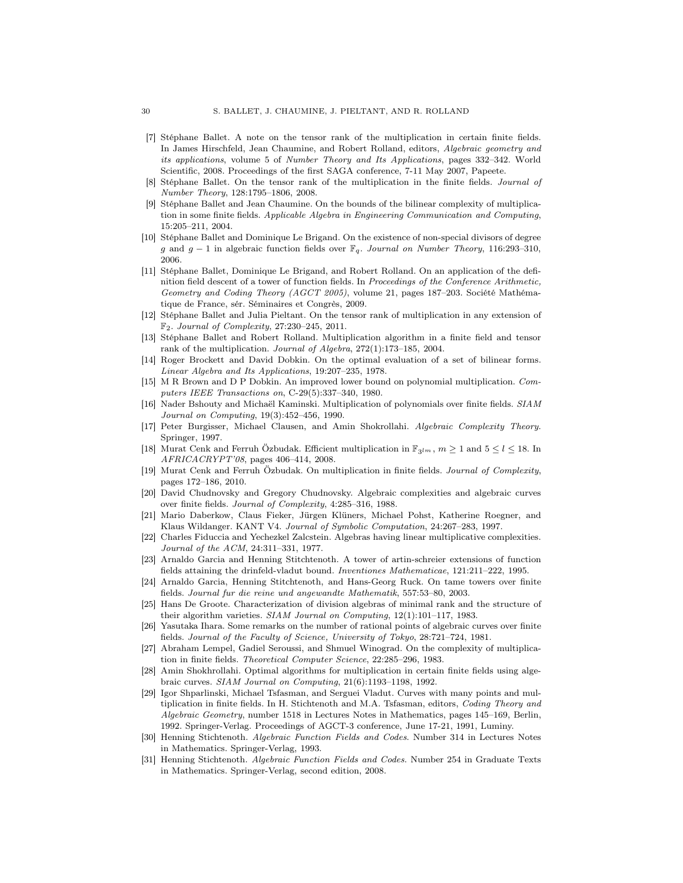- <span id="page-60-16"></span>[7] Stéphane Ballet. A note on the tensor rank of the multiplication in certain finite fields. In James Hirschfeld, Jean Chaumine, and Robert Rolland, editors, Algebraic geometry and its applications, volume 5 of Number Theory and Its Applications, pages 332–342. World Scientific, 2008. Proceedings of the first SAGA conference, 7-11 May 2007, Papeete.
- <span id="page-60-15"></span>Stéphane Ballet. On the tensor rank of the multiplication in the finite fields. Journal of Number Theory, 128:1795–1806, 2008.
- <span id="page-60-13"></span>[9] Stéphane Ballet and Jean Chaumine. On the bounds of the bilinear complexity of multiplication in some finite fields. Applicable Algebra in Engineering Communication and Computing, 15:205–211, 2004.
- <span id="page-60-20"></span>[10] Stéphane Ballet and Dominique Le Brigand. On the existence of non-special divisors of degree g and g − 1 in algebraic function fields over  $\mathbb{F}_q$ . Journal on Number Theory, 116:293–310, 2006.
- <span id="page-60-12"></span>[11] Stéphane Ballet, Dominique Le Brigand, and Robert Rolland. On an application of the definition field descent of a tower of function fields. In Proceedings of the Conference Arithmetic, Geometry and Coding Theory (AGCT 2005), volume 21, pages 187–203. Société Mathématique de France, sér. Séminaires et Congrès, 2009.
- <span id="page-60-14"></span>[12] Stéphane Ballet and Julia Pieltant. On the tensor rank of multiplication in any extension of F2. Journal of Complexity, 27:230–245, 2011.
- <span id="page-60-9"></span>[13] Stéphane Ballet and Robert Rolland. Multiplication algorithm in a finite field and tensor rank of the multiplication. Journal of Algebra, 272(1):173–185, 2004.
- <span id="page-60-7"></span>[14] Roger Brockett and David Dobkin. On the optimal evaluation of a set of bilinear forms. Linear Algebra and Its Applications, 19:207–235, 1978.
- <span id="page-60-8"></span>[15] M R Brown and D P Dobkin. An improved lower bound on polynomial multiplication. Computers IEEE Transactions on, C-29(5):337–340, 1980.
- <span id="page-60-6"></span>[16] Nader Bshouty and Michaël Kaminski. Multiplication of polynomials over finite fields. SIAM Journal on Computing, 19(3):452–456, 1990.
- <span id="page-60-0"></span>[17] Peter Burgisser, Michael Clausen, and Amin Shokrollahi. Algebraic Complexity Theory. Springer, 1997.
- <span id="page-60-11"></span>[18] Murat Cenk and Ferruh Özbudak. Efficient multiplication in  $\mathbb{F}_{3lm}$ ,  $m \geq 1$  and  $5 \leq l \leq 18$ . In AFRICACRYPT'08, pages 406–414, 2008.
- <span id="page-60-10"></span>[19] Murat Cenk and Ferruh Özbudak. On multiplication in finite fields. Journal of Complexity, pages 172–186, 2010.
- <span id="page-60-2"></span>[20] David Chudnovsky and Gregory Chudnovsky. Algebraic complexities and algebraic curves over finite fields. Journal of Complexity, 4:285–316, 1988.
- <span id="page-60-22"></span>[21] Mario Daberkow, Claus Fieker, Jürgen Klüners, Michael Pohst, Katherine Roegner, and Klaus Wildanger. KANT V4. Journal of Symbolic Computation, 24:267–283, 1997.
- <span id="page-60-3"></span>[22] Charles Fiduccia and Yechezkel Zalcstein. Algebras having linear multiplicative complexities. Journal of the ACM, 24:311–331, 1977.
- <span id="page-60-18"></span>[23] Arnaldo Garcia and Henning Stitchtenoth. A tower of artin-schreier extensions of function fields attaining the drinfeld-vladut bound. Inventiones Mathematicae, 121:211-222, 1995.
- <span id="page-60-19"></span>[24] Arnaldo Garcia, Henning Stitchtenoth, and Hans-Georg Ruck. On tame towers over finite fields. Journal fur die reine und angewandte Mathematik, 557:53–80, 2003.
- <span id="page-60-4"></span>[25] Hans De Groote. Characterization of division algebras of minimal rank and the structure of their algorithm varieties. SIAM Journal on Computing, 12(1):101–117, 1983.
- <span id="page-60-24"></span>[26] Yasutaka Ihara. Some remarks on the number of rational points of algebraic curves over finite fields. Journal of the Faculty of Science, University of Tokyo, 28:721–724, 1981.
- <span id="page-60-5"></span>[27] Abraham Lempel, Gadiel Seroussi, and Shmuel Winograd. On the complexity of multiplication in finite fields. Theoretical Computer Science, 22:285–296, 1983.
- <span id="page-60-17"></span>[28] Amin Shokhrollahi. Optimal algorithms for multiplication in certain finite fields using algebraic curves. SIAM Journal on Computing, 21(6):1193–1198, 1992.
- <span id="page-60-1"></span>[29] Igor Shparlinski, Michael Tsfasman, and Serguei Vladut. Curves with many points and multiplication in finite fields. In H. Stichtenoth and M.A. Tsfasman, editors, *Coding Theory and* Algebraic Geometry, number 1518 in Lectures Notes in Mathematics, pages 145–169, Berlin, 1992. Springer-Verlag. Proceedings of AGCT-3 conference, June 17-21, 1991, Luminy.
- <span id="page-60-21"></span>[30] Henning Stichtenoth. Algebraic Function Fields and Codes. Number 314 in Lectures Notes in Mathematics. Springer-Verlag, 1993.
- <span id="page-60-23"></span>[31] Henning Stichtenoth. Algebraic Function Fields and Codes. Number 254 in Graduate Texts in Mathematics. Springer-Verlag, second edition, 2008.